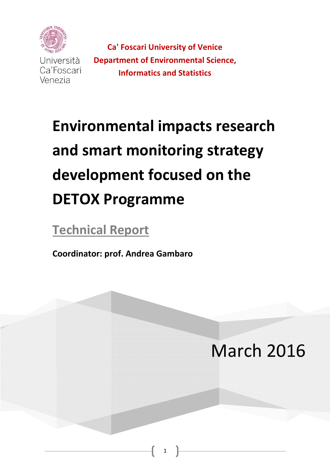

Università Ca'Foscari Venezia

**Ca' Foscari University of Venice Department of Environmental Science, Informatics and Statistics**

# **Environmental impacts research and smart monitoring strategy development focused on the DETOX Programme**

**Technical Report** 

**Coordinator: prof. Andrea Gambaro**

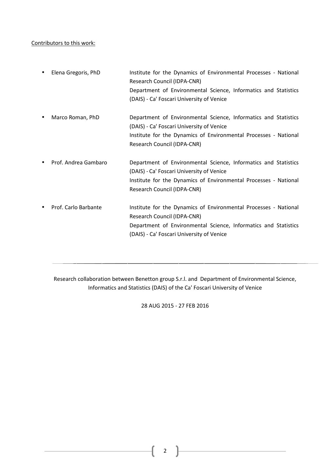## Contributors to this work:

| $\bullet$ | Elena Gregoris, PhD  | Institute for the Dynamics of Environmental Processes - National<br>Research Council (IDPA-CNR)<br>Department of Environmental Science, Informatics and Statistics<br>(DAIS) - Ca' Foscari University of Venice |
|-----------|----------------------|-----------------------------------------------------------------------------------------------------------------------------------------------------------------------------------------------------------------|
| $\bullet$ | Marco Roman, PhD     | Department of Environmental Science, Informatics and Statistics<br>(DAIS) - Ca' Foscari University of Venice<br>Institute for the Dynamics of Environmental Processes - National<br>Research Council (IDPA-CNR) |
| $\bullet$ | Prof. Andrea Gambaro | Department of Environmental Science, Informatics and Statistics<br>(DAIS) - Ca' Foscari University of Venice<br>Institute for the Dynamics of Environmental Processes - National<br>Research Council (IDPA-CNR) |
|           | Prof. Carlo Barbante | Institute for the Dynamics of Environmental Processes - National<br>Research Council (IDPA-CNR)<br>Department of Environmental Science, Informatics and Statistics<br>(DAIS) - Ca' Foscari University of Venice |

Research collaboration between Benetton group S.r.l. and Department of Environmental Science, Informatics and Statistics (DAIS) of the Ca' Foscari University of Venice

28 AUG 2015 - 27 FEB 2016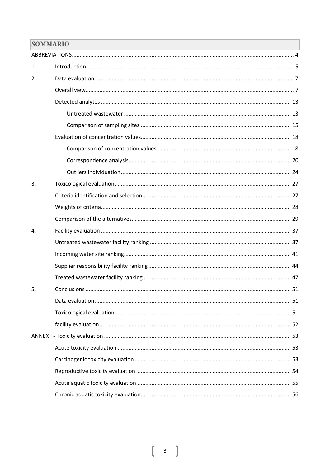|    | <b>SOMMARIO</b> |  |
|----|-----------------|--|
|    |                 |  |
| 1. |                 |  |
| 2. |                 |  |
|    |                 |  |
|    |                 |  |
|    |                 |  |
|    |                 |  |
|    |                 |  |
|    |                 |  |
|    |                 |  |
|    |                 |  |
| 3. |                 |  |
|    |                 |  |
|    |                 |  |
|    |                 |  |
| 4. |                 |  |
|    |                 |  |
|    |                 |  |
|    |                 |  |
|    |                 |  |
| 5. |                 |  |
|    |                 |  |
|    |                 |  |
|    |                 |  |
|    |                 |  |
|    |                 |  |
|    |                 |  |
|    |                 |  |
|    |                 |  |
|    |                 |  |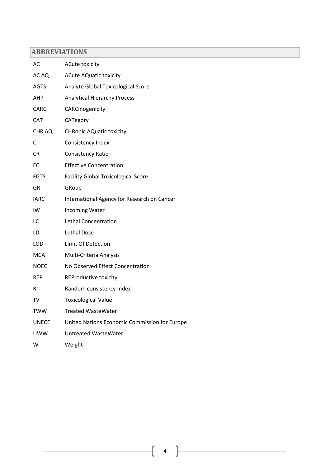# **ABBREVIATIONS**

| AC             | ACute toxicity                                |
|----------------|-----------------------------------------------|
| AC AQ          | <b>ACute AQuatic toxicity</b>                 |
| <b>AGTS</b>    | Analyte Global Toxicological Score            |
| AHP            | <b>Analytical Hierarchy Process</b>           |
| CARC           | CARCinogenicity                               |
| CAT            | CATegory                                      |
| CHR AQ         | <b>CHRonic AQuatic toxicity</b>               |
| CI             | Consistency Index                             |
| CR             | <b>Consistency Ratio</b>                      |
| EC             | <b>Effective Concentration</b>                |
| <b>FGTS</b>    | <b>Facility Global Toxicological Score</b>    |
| GR             | GRoup                                         |
| <b>IARC</b>    | International Agency for Research on Cancer   |
| IW             | <b>Incoming Water</b>                         |
| LC             | Lethal Concentration                          |
| LD             | Lethal Dose                                   |
| <b>LOD</b>     | Limit Of Detection                            |
| <b>MCA</b>     | Multi-Criteria Analysis                       |
| <b>NOEC</b>    | No Observed Effect Concentration              |
| <b>REP</b>     | <b>REProductive toxicity</b>                  |
| R <sub>l</sub> | Random consistency Index                      |
| <b>TV</b>      | <b>Toxicological Value</b>                    |
| <b>TWW</b>     | <b>Treated WasteWater</b>                     |
| <b>UNECE</b>   | United Nations Economic Commission for Europe |
| <b>UWW</b>     | Untreated WasteWater                          |
| W              | Weight                                        |
|                |                                               |

 $\begin{pmatrix} 4 \end{pmatrix}$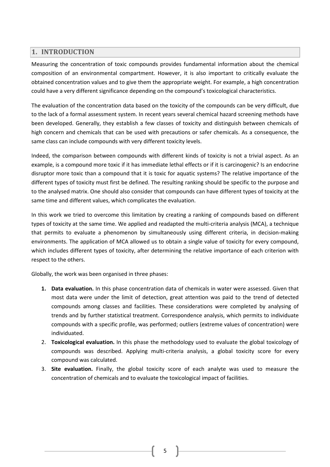# **1. INTRODUCTION**

Measuring the concentration of toxic compounds provides fundamental information about the chemical composition of an environmental compartment. However, it is also important to critically evaluate the obtained concentration values and to give them the appropriate weight. For example, a high concentration could have a very different significance depending on the compound's toxicological characteristics.

The evaluation of the concentration data based on the toxicity of the compounds can be very difficult, due to the lack of a formal assessment system. In recent years several chemical hazard screening methods have been developed. Generally, they establish a few classes of toxicity and distinguish between chemicals of high concern and chemicals that can be used with precautions or safer chemicals. As a consequence, the same class can include compounds with very different toxicity levels.

Indeed, the comparison between compounds with different kinds of toxicity is not a trivial aspect. As an example, is a compound more toxic if it has immediate lethal effects or if it is carcinogenic? Is an endocrine disruptor more toxic than a compound that it is toxic for aquatic systems? The relative importance of the different types of toxicity must first be defined. The resulting ranking should be specific to the purpose and to the analysed matrix. One should also consider that compounds can have different types of toxicity at the same time and different values, which complicates the evaluation.

In this work we tried to overcome this limitation by creating a ranking of compounds based on different types of toxicity at the same time. We applied and readapted the multi-criteria analysis (MCA), a technique that permits to evaluate a phenomenon by simultaneously using different criteria, in decision-making environments. The application of MCA allowed us to obtain a single value of toxicity for every compound, which includes different types of toxicity, after determining the relative importance of each criterion with respect to the others.

Globally, the work was been organised in three phases:

- **1. Data evaluation.** In this phase concentration data of chemicals in water were assessed. Given that most data were under the limit of detection, great attention was paid to the trend of detected compounds among classes and facilities. These considerations were completed by analysing of trends and by further statistical treatment. Correspondence analysis, which permits to individuate compounds with a specific profile, was performed; outliers (extreme values of concentration) were individuated.
- 2. **Toxicological evaluation.** In this phase the methodology used to evaluate the global toxicology of compounds was described. Applying multi-criteria analysis, a global toxicity score for every compound was calculated.
- 3. **Site evaluation.** Finally, the global toxicity score of each analyte was used to measure the concentration of chemicals and to evaluate the toxicological impact of facilities.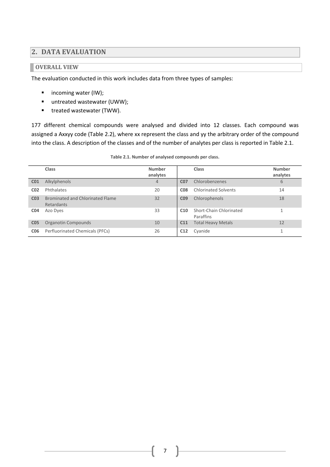# **2. DATA EVALUATION**

## **OVERALL VIEW**

The evaluation conducted in this work includes data from three types of samples:

- incoming water (IW);
- untreated wastewater (UWW);
- **treated wastewater (TWW).**

177 different chemical compounds were analysed and divided into 12 classes. Each compound was assigned a Axxyy code (Table 2.2), where xx represent the class and yy the arbitrary order of the compound into the class. A description of the classes and of the number of analytes per class is reported in Table 2.1.

|                 | Class                                          | <b>Number</b><br>analytes |                 | Class                                | <b>Number</b><br>analytes |
|-----------------|------------------------------------------------|---------------------------|-----------------|--------------------------------------|---------------------------|
| CO <sub>1</sub> | Alkylphenols                                   | 4                         | <b>C07</b>      | Chlorobenzenes                       | 6                         |
| <b>CO2</b>      | Phthalates                                     | 20                        | C <sub>08</sub> | <b>Chlorinated Solvents</b>          | 14                        |
| CO <sub>3</sub> | Brominated and Chlorinated Flame<br>Retardants | 32                        | CO <sub>9</sub> | Chlorophenols                        | 18                        |
| CO <sub>4</sub> | Azo Dyes                                       | 33                        | C10             | Short-Chain Chlorinated<br>Paraffins |                           |
| C <sub>05</sub> | Organotin Compounds                            | 10                        | C11             | <b>Total Heavy Metals</b>            | 12                        |
| <b>CO6</b>      | Perfluorinated Chemicals (PFCs)                | 26                        | C12             | Cyanide                              |                           |

**Table 2.1. Number of analysed compounds per class.**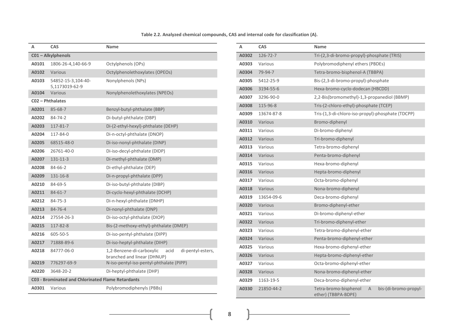| А     | <b>CAS</b>                                               | Name                                                                                  |
|-------|----------------------------------------------------------|---------------------------------------------------------------------------------------|
|       | C01-Alkylphenols                                         |                                                                                       |
| A0101 | 1806-26-4,140-66-9                                       | Octylphenols (OPs)                                                                    |
| A0102 | Various                                                  | Octylphenolethoxylates (OPEOs)                                                        |
| A0103 | 54852-15-3,104-40-<br>5,1173019-62-9                     | Nonylphenols (NPs)                                                                    |
| A0104 | Various                                                  | Nonylphenolethoxylates (NPEOs)                                                        |
|       | C02 - Phthalates                                         |                                                                                       |
| A0201 | 85-68-7                                                  | Benzyl-butyl-phthalate (BBP)                                                          |
| A0202 | 84-74-2                                                  | Di-butyl-phthalate (DBP)                                                              |
| A0203 | 117-81-7                                                 | Di-(2-ethyl-hexyl)-phthalate (DEHP)                                                   |
| A0204 | 117-84-0                                                 | Di-n-octyl-phthalate (DNOP)                                                           |
| A0205 | 68515-48-0                                               | Di-iso-nonyl-phthalate (DINP)                                                         |
| A0206 | 26761-40-0                                               | Di-iso-decyl-phthalate (DIDP)                                                         |
| A0207 | $131 - 11 - 3$                                           | Di-methyl-phthalate (DMP)                                                             |
| A0208 | 84-66-2                                                  | Di-ethyl-phthalate (DEP)                                                              |
| A0209 | $131 - 16 - 8$                                           | Di-n-propyl-phthalate (DPP)                                                           |
| A0210 | 84-69-5                                                  | Di-iso-butyl-phthalate (DIBP)                                                         |
| A0211 | 84-61-7                                                  | Di-cyclo-hexyl-phthalate (DCHP)                                                       |
| A0212 | 84-75-3                                                  | Di-n-hexyl-phthalate (DNHP)                                                           |
| A0213 | 84-76-4                                                  | Di-nonyl-phthalate (DNP)                                                              |
| A0214 | 27554-26-3                                               | Di-iso-octyl-phthalate (DIOP)                                                         |
| A0215 | 117-82-8                                                 | Bis-(2-methoxy-ethyl)-phthalate (DMEP)                                                |
| A0216 | 605-50-5                                                 | Di-iso-pentyl-phthalate (DIPP)                                                        |
| A0217 | 71888-89-6                                               | Di-iso-heptyl-phthalate (DIHP)                                                        |
| A0218 | 84777-06-0                                               | 1,2-Benzene-di-carboxylic<br>acid<br>di-pentyl-esters,<br>branched and linear (DHNUP) |
| A0219 | 776297-69-9                                              | N-iso-pentyl-iso-pentyl-phthalate (PIPP)                                              |
| A0220 | 3648-20-2                                                | Di-heptyl-phthalate (DHP)                                                             |
|       | <b>C03 - Brominated and Chlorinated Flame Retardants</b> |                                                                                       |
| A0301 | Various                                                  | Polybromodiphenyls (PBBs)                                                             |

| А     | <b>CAS</b> | <b>Name</b>                                                                |
|-------|------------|----------------------------------------------------------------------------|
| A0302 | 126-72-7   | Tri-(2,3-di-bromo-propyl)-phosphate (TRIS)                                 |
| A0303 | Various    | Polybromodiphenyl ethers (PBDEs)                                           |
| A0304 | 79-94-7    | Tetra-bromo-bisphenol-A (TBBPA)                                            |
| A0305 | 5412-25-9  | Bis-(2,3-di-bromo-propyl)-phosphate                                        |
| A0306 | 3194-55-6  | Hexa-bromo-cyclo-dodecan (HBCDD)                                           |
| A0307 | 3296-90-0  | 2,2-Bis(bromomethyl)-1,3-propanediol (BBMP)                                |
| A0308 | 115-96-8   | Tris-(2-chloro-ethyl)-phosphate (TCEP)                                     |
| A0309 | 13674-87-8 | Tris-(1,3-di-chloro-iso-propyl)-phosphate (TDCPP)                          |
| A0310 | Various    | Bromo-diphenyl                                                             |
| A0311 | Various    | Di-bromo-diphenyl                                                          |
| A0312 | Various    | Tri-bromo-diphenyl                                                         |
| A0313 | Various    | Tetra-bromo-diphenyl                                                       |
| A0314 | Various    | Penta-bromo-diphenyl                                                       |
| A0315 | Various    | Hexa-bromo-diphenyl                                                        |
| A0316 | Various    | Hepta-bromo-diphenyl                                                       |
| A0317 | Various    | Octa-bromo-diphenyl                                                        |
| A0318 | Various    | Nona-bromo-diphenyl                                                        |
| A0319 | 13654-09-6 | Deca-bromo-diphenyl                                                        |
| A0320 | Various    | Bromo-diphenyl-ether                                                       |
| A0321 | Various    | Di-bromo-diphenyl-ether                                                    |
| A0322 | Various    | Tri-bromo-diphenyl-ether                                                   |
| A0323 | Various    | Tetra-bromo-diphenyl-ether                                                 |
| A0324 | Various    | Penta-bromo-diphenyl-ether                                                 |
| A0325 | Various    | Hexa-bromo-diphenyl-ether                                                  |
| A0326 | Various    | Hepta-bromo-diphenyl-ether                                                 |
| A0327 | Various    | Octa-bromo-diphenyl-ether                                                  |
| A0328 | Various    | Nona-bromo-diphenyl-ether                                                  |
| A0329 | 1163-19-5  | Deca-bromo-diphenyl-ether                                                  |
| A0330 | 21850-44-2 | Tetra-bromo-bisphenol<br>bis-(di-bromo-propyl-<br>A<br>ether) (TBBPA-BDPE) |

**Table 2.2. Analyzed chemical compounds, CAS and internal code for classification (A).**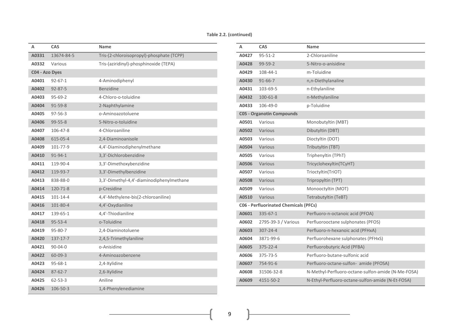## **Table 2.2. (continued)**

| А              | <b>CAS</b>    | Name                                      |
|----------------|---------------|-------------------------------------------|
| A0331          | 13674-84-5    | Tris-(2-chloroisopropyl)-phosphate (TCPP) |
| A0332          | Various       | Tris-(aziridinyl)-phosphinoxide (TEPA)    |
| C04 - Azo Dyes |               |                                           |
| A0401          | $92 - 67 - 1$ | 4-Aminodiphenyl                           |
| A0402          | $92 - 87 - 5$ | <b>Benzidine</b>                          |
| A0403          | $95 - 69 - 2$ | 4-Chloro-o-toluidine                      |
| A0404          | $91 - 59 - 8$ | 2-Naphthylamine                           |
| A0405          | $97 - 56 - 3$ | o-Aminoazotoluene                         |
| A0406          | $99 - 55 - 8$ | 5-Nitro-o-toluidine                       |
| A0407          | 106-47-8      | 4-Chloroaniline                           |
| A0408          | 615-05-4      | 2,4-Diaminoanisole                        |
| A0409          | 101-77-9      | 4,4'-Diaminodiphenylmethane               |
| A0410          | $91 - 94 - 1$ | 3,3'-Dichlorobenzidine                    |
| A0411          | 119-90-4      | 3,3'-Dimethoxybenzidine                   |
| A0412          | 119-93-7      | 3,3'-Dimethylbenzidine                    |
| A0413          | 838-88-0      | 3,3'-Dimethyl-4,4'-diaminodiphenylmethane |
| A0414          | 120-71-8      | p-Cresidine                               |
| A0415          | 101-14-4      | 4,4'-Methylene-bis(2-chloroaniline)       |
| A0416          | 101-80-4      | 4,4'-Oxydianiline                         |
| A0417          | 139-65-1      | 4,4'-Thiodianiline                        |
| A0418          | $95 - 53 - 4$ | o-Toluidine                               |
| A0419          | 95-80-7       | 2,4-Diaminotoluene                        |
| A0420          | 137-17-7      | 2,4,5-Trimethylaniline                    |
| A0421          | $90 - 04 - 0$ | o-Anisidine                               |
| A0422          | $60 - 09 - 3$ | 4-Aminoazobenzene                         |
| A0423          | $95 - 68 - 1$ | 2,4-Xylidine                              |
| A0424          | $87 - 62 - 7$ | 2,6-Xylidine                              |
| A0425          | $62 - 53 - 3$ | Aniline                                   |
| A0426          | 106-50-3      | 1,4-Phenylenediamine                      |

| А     | <b>CAS</b>                                   | <b>Name</b>                                        |
|-------|----------------------------------------------|----------------------------------------------------|
| A0427 | $95 - 51 - 2$                                | 2-Chloroaniline                                    |
| A0428 | $99 - 59 - 2$                                | 5-Nitro-o-anisidine                                |
| A0429 | 108-44-1                                     | m-Toluidine                                        |
| A0430 | $91 - 66 - 7$                                | n,n-Diethylanaline                                 |
| A0431 | 103-69-5                                     | n-Ethylaniline                                     |
| A0432 | $100 - 61 - 8$                               | n-Methylaniline                                    |
| A0433 | 106-49-0                                     | p-Toluidine                                        |
|       | <b>C05 - Organotin Compounds</b>             |                                                    |
| A0501 | Various                                      | Monobutyltin (MBT)                                 |
| A0502 | Various                                      | Dibutyltin (DBT)                                   |
| A0503 | Various                                      | Dioctyltin (DOT)                                   |
| A0504 | Various                                      | Tributyltin (TBT)                                  |
| A0505 | Various                                      | Triphenyltin (TPhT)                                |
| A0506 | Various                                      | Tricyclohexyltin(TCyHT)                            |
| A0507 | Various                                      | Trioctyltin(TriOT)                                 |
| A0508 | Various                                      | Tripropyltin (TPT)                                 |
| A0509 | Various                                      | Monooctyltin (MOT)                                 |
| A0510 | Various                                      | Tetrabutyltin (TeBT)                               |
|       | <b>C06 - Perfluorinated Chemicals (PFCs)</b> |                                                    |
| A0601 | 335-67-1                                     | Perfluoro-n-octanoic acid (PFOA)                   |
| A0602 | 2795-39-3 / Various                          | Perfluorooctane sulphonates (PFOS)                 |
| A0603 | $307 - 24 - 4$                               | Perfluoro-n-hexanoic acid (PFHxA)                  |
| A0604 | 3871-99-6                                    | Perfluorohexane sulphonates (PFHxS)                |
| A0605 | $375 - 22 - 4$                               | Perfluorobutyric Acid (PFBA)                       |
| A0606 | 375-73-5                                     | Perfluoro-butane-sulfonic acid                     |
| A0607 | 754-91-6                                     | Perfluoro-octane-sulfon- amide (PFOSA)             |
| A0608 | 31506-32-8                                   | N-Methyl-Perfluoro-octane-sulfon-amide (N-Me-FOSA) |
| A0609 | 4151-50-2                                    | N-Ethyl-Perfluoro-octane-sulfon-amide (N-Et-FOSA)  |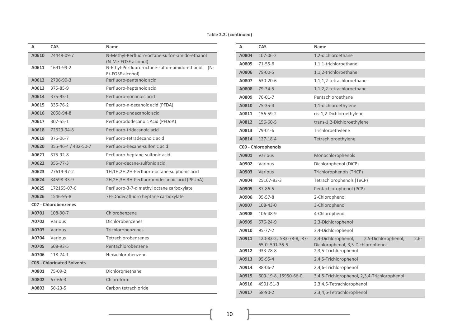| А     | <b>CAS</b>                        | <b>Name</b>                                                                |
|-------|-----------------------------------|----------------------------------------------------------------------------|
| A0610 | 24448-09-7                        | N-Methyl-Perfluoro-octane-sulfon-amido-ethanol<br>(N-Me-FOSE alcohol)      |
| A0611 | 1691-99-2                         | N-Ethyl-Perfluoro-octane-sulfon-amido-ethanol<br>$(N-$<br>Et-FOSE alcohol) |
| A0612 | 2706-90-3                         | Perfluoro-pentanoic acid                                                   |
| A0613 | 375-85-9                          | Perfluoro-heptanoic acid                                                   |
| A0614 | 375-95-1                          | Perfluoro-nonanoic acid                                                    |
| A0615 | 335-76-2                          | Perfluoro-n-decanoic acid (PFDA)                                           |
| A0616 | 2058-94-8                         | Perfluoro-undecanoic acid                                                  |
| A0617 | $307 - 55 - 1$                    | Perfluorododecanoic Acid (PFDoA)                                           |
| A0618 | 72629-94-8                        | Perfluoro-tridecanoic acid                                                 |
| A0619 | 376-06-7                          | Perfluoro-tetradecanoic acid                                               |
| A0620 | 355-46-4 / 432-50-7               | Perfluoro-hexane-sulfonic acid                                             |
| A0621 | 375-92-8                          | Perfluoro-heptane-sulfonic acid                                            |
| A0622 | $355 - 77 - 3$                    | Perfluor-decane-sulfonic acid                                              |
| A0623 | 27619-97-2                        | 1H,1H,2H,2H-Perfluoro-octane-sulphonic acid                                |
| A0624 | 34598-33-9                        | 2H,2H,3H,3H-Perfluoroundecanoic acid (PFUnA)                               |
| A0625 | 172155-07-6                       | Perfluoro-3-7-dimethyl octane carboxylate                                  |
| A0626 | 1546-95-8                         | 7H-Dodecafluoro heptane carboxylate                                        |
|       | <b>C07 - Chlorobenzenes</b>       |                                                                            |
| A0701 | 108-90-7                          | Chlorobenzene                                                              |
| A0702 | Various                           | Dichlorobenzenes                                                           |
| A0703 | Various                           | Trichlorobenzenes                                                          |
| A0704 | Various                           | Tetrachlorobenzenes                                                        |
| A0705 | 608-93-5                          | Pentachlorobenzene                                                         |
| A0706 | 118-74-1                          | Hexachlorobenzene                                                          |
|       | <b>C08 - Chlorinated Solvents</b> |                                                                            |
| A0801 | 75-09-2                           | Dichloromethane                                                            |
| A0802 | 67-66-3                           | Chloroform                                                                 |
| A0803 | $56 - 23 - 5$                     | Carbon tetrachloride                                                       |

| А     | <b>CAS</b>                 | <b>Name</b>                                                 |
|-------|----------------------------|-------------------------------------------------------------|
| A0804 | 107-06-2                   | 1,2-dichloroethane                                          |
| A0805 | $71 - 55 - 6$              | 1,1,1-trichloroethane                                       |
| A0806 | 79-00-5                    | 1,1,2-trichloroethane                                       |
| A0807 | 630-20-6                   | 1,1,1,2-tetrachloroethane                                   |
| A0808 | 79-34-5                    | 1,1,2,2-tetrachloroethane                                   |
| A0809 | 76-01-7                    | Pentachloroethane                                           |
| A0810 | $75 - 35 - 4$              | 1,1-dichloroethylene                                        |
| A0811 | 156-59-2                   | cis-1,2-Dichloroethylene                                    |
| A0812 | 156-60-5                   | trans-1,2-Dichloroethylene                                  |
| A0813 | 79-01-6                    | Trichloroethylene                                           |
| A0814 | 127-18-4                   | Tetrachloroethylene                                         |
|       | C09 - Chlorophenols        |                                                             |
| A0901 | Various                    | Monochlorophenols                                           |
| A0902 | Various                    | Dichlorophenol (DiCP)                                       |
| A0903 | Various                    | Trichlorophenols (TriCP)                                    |
| A0904 | 25167-83-3                 | Tetrachlorophenols (TeCP)                                   |
| A0905 | 87-86-5                    | Pentachlorophenol (PCP)                                     |
| A0906 | $95 - 57 - 8$              | 2-Chlorophenol                                              |
| A0907 | 108-43-0                   | 3-Chlorophenol                                              |
| A0908 | 106-48-9                   | 4-Chlorophenol                                              |
| A0909 | 576-24-9                   | 2,3-Dichlorophenol                                          |
| A0910 | $95 - 77 - 2$              | 3,4-Dichlorophenol                                          |
| A0911 | 120-83-2, 583-78-8, 87-    | 2,4-Dichlorophenol,<br>2,5-Dichlorophenol,<br>$2,6-$        |
| A0912 | 65-0, 591-35-5<br>933-78-8 | Dichlorophenol, 3,5-Dichlorophenol<br>2,3,5-Trichlorophenol |
| A0913 | 95-95-4                    | 2,4,5-Trichlorophenol                                       |
| A0914 | 88-06-2                    | 2,4,6-Trichlorophenol                                       |
| A0915 | 609-19-8, 15950-66-0       | 3,4,5-Trichlorophenol, 2,3,4-Trichlorophenol                |
| A0916 | 4901-51-3                  | 2,3,4,5-Tetrachlorophenol                                   |
| A0917 | $58 - 90 - 2$              | 2,3,4,6-Tetrachlorophenol                                   |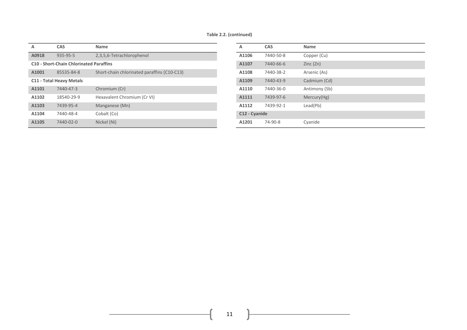## **Table 2.2. (continued)**

| А     | <b>CAS</b>                                     | <b>Name</b>                                 |  |  |  |
|-------|------------------------------------------------|---------------------------------------------|--|--|--|
| A0918 | 935-95-5                                       | 2,3,5,6-Tetrachlorophenol                   |  |  |  |
|       | <b>C10 - Short-Chain Chlorinated Paraffins</b> |                                             |  |  |  |
| A1001 | 85535-84-8                                     | Short-chain chlorinated paraffins (C10-C13) |  |  |  |
|       | <b>C11 - Total Heavy Metals</b>                |                                             |  |  |  |
| A1101 | 7440-47-3                                      | Chromium (Cr)                               |  |  |  |
| A1102 | 18540-29-9                                     | Hexavalent Chromium (Cr VI)                 |  |  |  |
| A1103 | 7439-95-4                                      | Manganese (Mn)                              |  |  |  |
| A1104 | 7440-48-4                                      | Cobalt (Co)                                 |  |  |  |
| A1105 | 7440-02-0                                      | Nickel (Ni)                                 |  |  |  |

| A             | CAS       | Name          |  |
|---------------|-----------|---------------|--|
| A1106         | 7440-50-8 | Copper (Cu)   |  |
| A1107         | 7440-66-6 | Zinc(Zn)      |  |
| A1108         | 7440-38-2 | Arsenic (As)  |  |
| A1109         | 7440-43-9 | Cadmium (Cd)  |  |
| A1110         | 7440-36-0 | Antimony (Sb) |  |
| A1111         | 7439-97-6 | Mercury(Hg)   |  |
| A1112         | 7439-92-1 | Lead(Pb)      |  |
| C12 - Cyanide |           |               |  |
| A1201         | 74-90-8   | Cyanide       |  |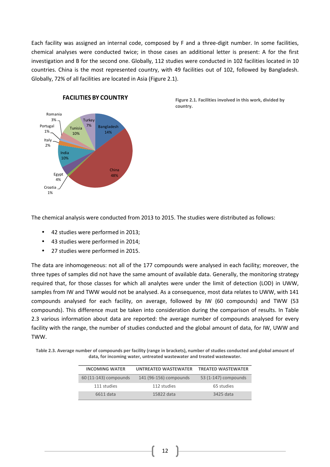Each facility was assigned an internal code, composed by F and a three-digit number. In some facilities, chemical analyses were conducted twice; in those cases an additional letter is present: A for the first investigation and B for the second one. Globally, 112 studies were conducted in 102 facilities located in 10 countries. China is the most represented country, with 49 facilities out of 102, followed by Bangladesh. Globally, 72% of all facilities are located in Asia (Figure 2.1).



## **FACILITIES BY COUNTRY**

**Figure 2.1. Facilities involved in this work, divided by country.** 

The chemical analysis were conducted from 2013 to 2015. The studies were distributed as follows:

- 42 studies were performed in 2013;
- 43 studies were performed in 2014;
- 27 studies were performed in 2015.

The data are inhomogeneous: not all of the 177 compounds were analysed in each facility; moreover, the three types of samples did not have the same amount of available data. Generally, the monitoring strategy required that, for those classes for which all analytes were under the limit of detection (LOD) in UWW, samples from IW and TWW would not be analysed. As a consequence, most data relates to UWW, with 141 compounds analysed for each facility, on average, followed by IW (60 compounds) and TWW (53 compounds). This difference must be taken into consideration during the comparison of results. In Table 2.3 various information about data are reported: the average number of compounds analysed for every facility with the range, the number of studies conducted and the global amount of data, for IW, UWW and TWW.

**Table 2.3. Average number of compounds per facility (range in brackets), number of studies conducted and global amount of data, for incoming water, untreated wastewater and treated wastewater.** 

| <b>INCOMING WATER</b> | UNTREATED WASTEWATER   | <b>TREATED WASTEWATER</b> |
|-----------------------|------------------------|---------------------------|
| 60 (11-143) compounds | 141 (96-156) compounds | 53 (1-147) compounds      |
| 111 studies           | 112 studies            | 65 studies                |
| 6611 data             | 15822 data             | 3425 data                 |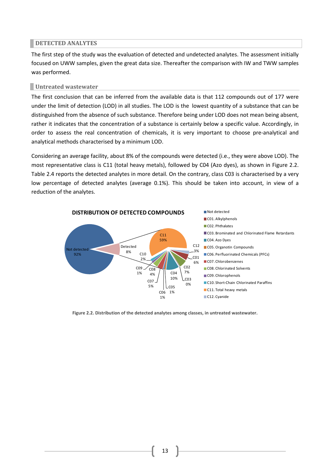## **DETECTED ANALYTES**

The first step of the study was the evaluation of detected and undetected analytes. The assessment initially focused on UWW samples, given the great data size. Thereafter the comparison with IW and TWW samples was performed.

## **Untreated wastewater**

The first conclusion that can be inferred from the available data is that 112 compounds out of 177 were under the limit of detection (LOD) in all studies. The LOD is the lowest quantity of a substance that can be distinguished from the absence of such substance. Therefore being under LOD does not mean being absent, rather it indicates that the concentration of a substance is certainly below a specific value. Accordingly, in order to assess the real concentration of chemicals, it is very important to choose pre-analytical and analytical methods characterised by a minimum LOD.

Considering an average facility, about 8% of the compounds were detected (i.e., they were above LOD). The most representative class is C11 (total heavy metals), followed by C04 (Azo dyes), as shown in Figure 2.2. Table 2.4 reports the detected analytes in more detail. On the contrary, class C03 is characterised by a very low percentage of detected analytes (average 0.1%). This should be taken into account, in view of a reduction of the analytes.



**Figure 2.2. Distribution of the detected analytes among classes, in untreated wastewater.**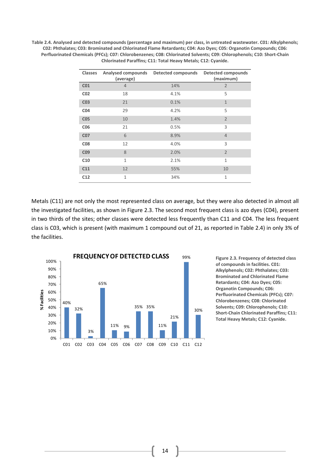**Table 2.4. Analysed and detected compounds (percentage and maximum) per class, in untreated wastewater. C01: Alkylphenols; C02: Phthalates; C03: Brominated and Chlorinated Flame Retardants; C04: Azo Dyes; C05: Organotin Compounds; C06: Perfluorinated Chemicals (PFCs); C07: Chlorobenzenes; C08: Chlorinated Solvents; C09: Chlorophenols; C10: Short-Chain Chlorinated Paraffins; C11: Total Heavy Metals; C12: Cyanide.** 

| <b>Classes</b>  | <b>Analysed compounds</b><br>(average) | <b>Detected compounds</b> | <b>Detected compounds</b><br>(maximum) |
|-----------------|----------------------------------------|---------------------------|----------------------------------------|
| CO <sub>1</sub> | $\overline{4}$                         | 14%                       | $\overline{2}$                         |
| C <sub>02</sub> | 18                                     | 4.1%                      | 5                                      |
| CO <sub>3</sub> | 21                                     | 0.1%                      | $\mathbf{1}$                           |
| CO <sub>4</sub> | 29                                     | 4.2%                      | 5                                      |
| C <sub>05</sub> | 10                                     | 1.4%                      | $\overline{2}$                         |
| C <sub>06</sub> | 21                                     | 0.5%                      | 3                                      |
| <b>C07</b>      | 6                                      | 8.9%                      | $\overline{4}$                         |
| <b>CO8</b>      | 12                                     | 4.0%                      | 3                                      |
| CO <sub>9</sub> | 8                                      | 2.0%                      | $\overline{2}$                         |
| C <sub>10</sub> | $\mathbf{1}$                           | 2.1%                      | $\mathbf{1}$                           |
| C11             | 12                                     | 55%                       | 10                                     |
| C12             | 1                                      | 34%                       | $\mathbf{1}$                           |

Metals (C11) are not only the most represented class on average, but they were also detected in almost all the investigated facilities, as shown in Figure 2.3. The second most frequent class is azo dyes (C04), present in two thirds of the sites; other classes were detected less frequently than C11 and C04. The less frequent class is C03, which is present (with maximum 1 compound out of 21, as reported in Table 2.4) in only 3% of the facilities.



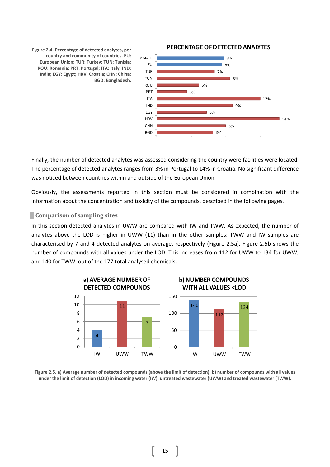**Figure 2.4. Percentage of detected analytes, per country and community of countries. EU: European Union; TUR: Turkey; TUN: Tunisia; ROU: Romania; PRT: Portugal; ITA: Italy; IND: India; EGY: Egypt; HRV: Croatia; CHN: China; BGD: Bangladesh.** 



**PERCENTAGE OF DETECTED ANALYTES**

Finally, the number of detected analytes was assessed considering the country were facilities were located. The percentage of detected analytes ranges from 3% in Portugal to 14% in Croatia. No significant difference was noticed between countries within and outside of the European Union.

Obviously, the assessments reported in this section must be considered in combination with the information about the concentration and toxicity of the compounds, described in the following pages.

## **Comparison of sampling sites**

In this section detected analytes in UWW are compared with IW and TWW. As expected, the number of analytes above the LOD is higher in UWW (11) than in the other samples: TWW and IW samples are characterised by 7 and 4 detected analytes on average, respectively (Figure 2.5a). Figure 2.5b shows the number of compounds with all values under the LOD. This increases from 112 for UWW to 134 for UWW, and 140 for TWW, out of the 177 total analysed chemicals.



**Figure 2.5. a) Average number of detected compounds (above the limit of detection); b) number of compounds with all values under the limit of detection (LOD) in incoming water (IW), untreated wastewater (UWW) and treated wastewater (TWW).**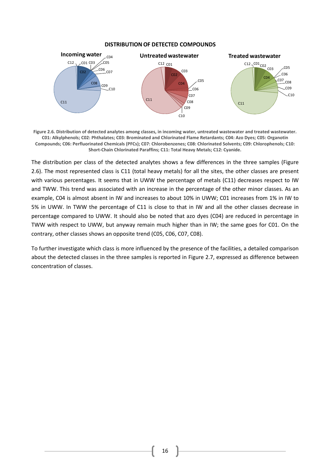

## **DISTRIBUTION OF DETECTED COMPOUNDS**

**Figure 2.6. Distribution of detected analytes among classes, in incoming water, untreated wastewater and treated wastewater. C01: Alkylphenols; C02: Phthalates; C03: Brominated and Chlorinated Flame Retardants; C04: Azo Dyes; C05: Organotin Compounds; C06: Perfluorinated Chemicals (PFCs); C07: Chlorobenzenes; C08: Chlorinated Solvents; C09: Chlorophenols; C10: Short-Chain Chlorinated Paraffins; C11: Total Heavy Metals; C12: Cyanide.** 

The distribution per class of the detected analytes shows a few differences in the three samples (Figure 2.6). The most represented class is C11 (total heavy metals) for all the sites, the other classes are present with various percentages. It seems that in UWW the percentage of metals (C11) decreases respect to IW and TWW. This trend was associated with an increase in the percentage of the other minor classes. As an example, C04 is almost absent in IW and increases to about 10% in UWW; C01 increases from 1% in IW to 5% in UWW. In TWW the percentage of C11 is close to that in IW and all the other classes decrease in percentage compared to UWW. It should also be noted that azo dyes (C04) are reduced in percentage in TWW with respect to UWW, but anyway remain much higher than in IW; the same goes for C01. On the contrary, other classes shows an opposite trend (C05, C06, C07, C08).

To further investigate which class is more influenced by the presence of the facilities, a detailed comparison about the detected classes in the three samples is reported in Figure 2.7, expressed as difference between concentration of classes.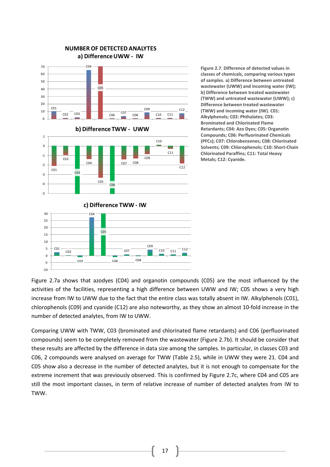

# **NUMBER OF DETECTED ANALYTES a) Difference UWW - IW**

**Figure 2.7. Difference of detected values in classes of chemicals, comparing various types of samples. a) Difference between untreated wastewater (UWW) and incoming water (IW); b) Difference between treated wastewater (TWW) and untreated wastewater (UWW); c) Difference between treated wastewater (TWW) and incoming water (IW). C01: Alkylphenols; C02: Phthalates; C03: Brominated and Chlorinated Flame Retardants; C04: Azo Dyes; C05: Organotin Compounds; C06: Perfluorinated Chemicals (PFCs); C07: Chlorobenzenes; C08: Chlorinated Solvents; C09: Chlorophenols; C10: Short-Chain Chlorinated Paraffins; C11: Total Heavy Metals; C12: Cyanide.** 

Figure 2.7a shows that azodyes (C04) and organotin compounds (C05) are the most influenced by the activities of the facilities, representing a high difference between UWW and IW; C05 shows a very high increase from IW to UWW due to the fact that the entire class was totally absent in IW. Alkylphenols (C01), chlorophenols (C09) and cyanide (C12) are also noteworthy, as they show an almost 10-fold increase in the number of detected analytes, from IW to UWW.

Comparing UWW with TWW, C03 (brominated and chlorinated flame retardants) and C06 (perfluorinated compounds) seem to be completely removed from the wastewater (Figure 2.7b). It should be consider that these results are affected by the difference in data size among the samples. In particular, in classes C03 and C06, 2 compounds were analysed on average for TWW (Table 2.5), while in UWW they were 21. C04 and C05 show also a decrease in the number of detected analytes, but it is not enough to compensate for the extreme increment that was previously observed. This is confirmed by Figure 2.7c, where C04 and C05 are still the most important classes, in term of relative increase of number of detected analytes from IW to TWW.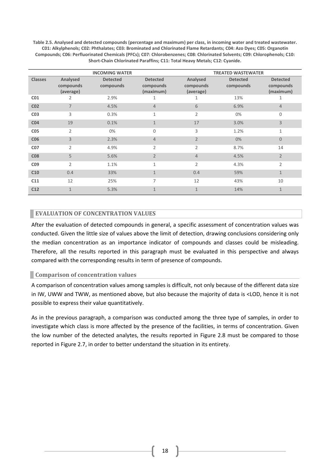**Table 2.5. Analysed and detected compounds (percentage and maximum) per class, in incoming water and treated wastewater. C01: Alkylphenols; C02: Phthalates; C03: Brominated and Chlorinated Flame Retardants; C04: Azo Dyes; C05: Organotin Compounds; C06: Perfluorinated Chemicals (PFCs); C07: Chlorobenzenes; C08: Chlorinated Solvents; C09: Chlorophenols; C10: Short-Chain Chlorinated Paraffins; C11: Total Heavy Metals; C12: Cyanide.** 

|                 |                                    | <b>INCOMING WATER</b>        |                                           |                                    | <b>TREATED WASTEWATER</b>    |                                           |
|-----------------|------------------------------------|------------------------------|-------------------------------------------|------------------------------------|------------------------------|-------------------------------------------|
| <b>Classes</b>  | Analysed<br>compounds<br>(average) | <b>Detected</b><br>compounds | <b>Detected</b><br>compounds<br>(maximum) | Analysed<br>compounds<br>(average) | <b>Detected</b><br>compounds | <b>Detected</b><br>compounds<br>(maximum) |
| CO <sub>1</sub> | 2                                  | 2.9%                         | 1                                         |                                    | 13%                          |                                           |
| CO <sub>2</sub> | 7                                  | 4.5%                         | $\overline{4}$                            | 6                                  | 6.9%                         | $\overline{4}$                            |
| CO <sub>3</sub> | 3                                  | 0.3%                         | $\mathbf{1}$                              | $\overline{2}$                     | 0%                           | $\Omega$                                  |
| CO <sub>4</sub> | 19                                 | 0.1%                         | $\mathbf{1}$                              | 17                                 | 3.0%                         | 3                                         |
| C <sub>05</sub> | $\overline{2}$                     | 0%                           | $\mathbf{0}$                              | 3                                  | 1.2%                         | $\mathbf{1}$                              |
| CO <sub>6</sub> | 3                                  | 2.3%                         | $\overline{4}$                            | $\overline{2}$                     | 0%                           | $\overline{0}$                            |
| C <sub>07</sub> | $\overline{2}$                     | 4.9%                         | $\overline{2}$                            | $\overline{2}$                     | 8.7%                         | 14                                        |
| CO8             | 5                                  | 5.6%                         | $\overline{2}$                            | $\overline{4}$                     | 4.5%                         | $\overline{2}$                            |
| C <sub>09</sub> | $\overline{2}$                     | 1.1%                         | $\mathbf{1}$                              | $\overline{2}$                     | 4.3%                         | $\overline{2}$                            |
| C10             | 0.4                                | 33%                          | $\mathbf{1}$                              | 0.4                                | 59%                          | $\mathbf{1}$                              |
| C11             | 12                                 | 25%                          | 7                                         | 12                                 | 43%                          | 10                                        |
| C12             | $\mathbf{1}$                       | 5.3%                         | $\mathbf{1}$                              | $\mathbf{1}$                       | 14%                          | $\mathbf{1}$                              |

## **EVALUATION OF CONCENTRATION VALUES**

After the evaluation of detected compounds in general, a specific assessment of concentration values was conducted. Given the little size of values above the limit of detection, drawing conclusions considering only the median concentration as an importance indicator of compounds and classes could be misleading. Therefore, all the results reported in this paragraph must be evaluated in this perspective and always compared with the corresponding results in term of presence of compounds.

## **Comparison of concentration values**

A comparison of concentration values among samples is difficult, not only because of the different data size in IW, UWW and TWW, as mentioned above, but also because the majority of data is <LOD, hence it is not possible to express their value quantitatively.

As in the previous paragraph, a comparison was conducted among the three type of samples, in order to investigate which class is more affected by the presence of the facilities, in terms of concentration. Given the low number of the detected analytes, the results reported in Figure 2.8 must be compared to those reported in Figure 2.7, in order to better understand the situation in its entirety.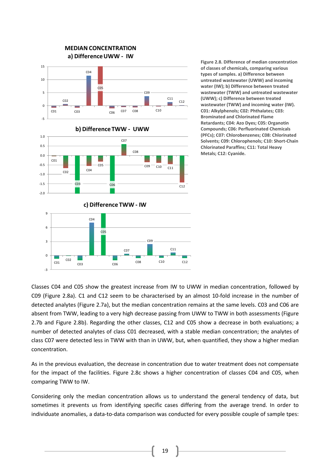

**Figure 2.8. Difference of median concentration of classes of chemicals, comparing various types of samples. a) Difference between untreated wastewater (UWW) and incoming water (IW); b) Difference between treated wastewater (TWW) and untreated wastewater (UWW); c) Difference between treated wastewater (TWW) and incoming water (IW). C01: Alkylphenols; C02: Phthalates; C03: Brominated and Chlorinated Flame Retardants; C04: Azo Dyes; C05: Organotin Compounds; C06: Perfluorinated Chemicals (PFCs); C07: Chlorobenzenes; C08: Chlorinated Solvents; C09: Chlorophenols; C10: Short-Chain Chlorinated Paraffins; C11: Total Heavy Metals; C12: Cyanide.** 

Classes C04 and C05 show the greatest increase from IW to UWW in median concentration, followed by C09 (Figure 2.8a). C1 and C12 seem to be characterised by an almost 10-fold increase in the number of detected analytes (Figure 2.7a), but the median concentration remains at the same levels. C03 and C06 are absent from TWW, leading to a very high decrease passing from UWW to TWW in both assessments (Figure 2.7b and Figure 2.8b). Regarding the other classes, C12 and C05 show a decrease in both evaluations; a number of detected analytes of class C01 decreased, with a stable median concentration; the analytes of class C07 were detected less in TWW with than in UWW, but, when quantified, they show a higher median concentration.

As in the previous evaluation, the decrease in concentration due to water treatment does not compensate for the impact of the facilities. Figure 2.8c shows a higher concentration of classes C04 and C05, when comparing TWW to IW.

Considering only the median concentration allows us to understand the general tendency of data, but sometimes it prevents us from identifying specific cases differing from the average trend. In order to individuate anomalies, a data-to-data comparison was conducted for every possible couple of sample tpes: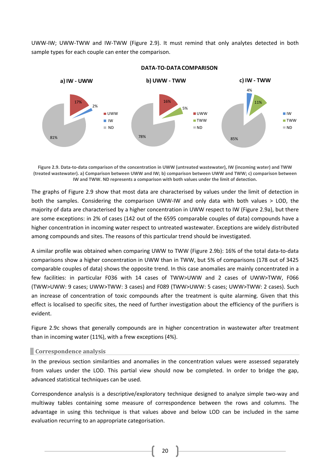UWW-IW; UWW-TWW and IW-TWW (Figure 2.9). It must remind that only analytes detected in both sample types for each couple can enter the comparison.



**DATA-TO-DATA COMPARISON**

**Figure 2.9. Data-to-data comparison of the concentration in UWW (untreated wastewater), IW (incoming water) and TWW (treated wastewater). a) Comparison between UWW and IW; b) comparison between UWW and TWW; c) comparison between IW and TWW. ND represents a comparison with both values under the limit of detection.** 

The graphs of Figure 2.9 show that most data are characterised by values under the limit of detection in both the samples. Considering the comparison UWW-IW and only data with both values > LOD, the majority of data are characterised by a higher concentration in UWW respect to IW (Figure 2.9a), but there are some exceptions: in 2% of cases (142 out of the 6595 comparable couples of data) compounds have a higher concentration in incoming water respect to untreated wastewater. Exceptions are widely distributed among compounds and sites. The reasons of this particular trend should be investigated.

A similar profile was obtained when comparing UWW to TWW (Figure 2.9b): 16% of the total data-to-data comparisons show a higher concentration in UWW than in TWW, but 5% of comparisons (178 out of 3425 comparable couples of data) shows the opposite trend. In this case anomalies are mainly concentrated in a few facilities: in particular F036 with 14 cases of TWW>UWW and 2 cases of UWW>TWW, F066 (TWW>UWW: 9 cases; UWW>TWW: 3 cases) and F089 (TWW>UWW: 5 cases; UWW>TWW: 2 cases). Such an increase of concentration of toxic compounds after the treatment is quite alarming. Given that this effect is localised to specific sites, the need of further investigation about the efficiency of the purifiers is evident.

Figure 2.9c shows that generally compounds are in higher concentration in wastewater after treatment than in incoming water (11%), with a frew exceptions (4%).

## **Correspondence analysis**

In the previous section similarities and anomalies in the concentration values were assessed separately from values under the LOD. This partial view should now be completed. In order to bridge the gap, advanced statistical techniques can be used.

Correspondence analysis is a descriptive/exploratory technique designed to analyze simple two-way and multiway tables containing some measure of correspondence between the rows and columns. The advantage in using this technique is that values above and below LOD can be included in the same evaluation recurring to an appropriate categorisation.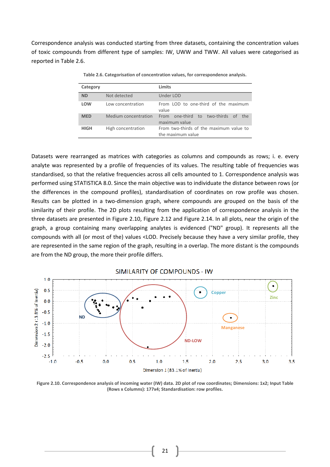Correspondence analysis was conducted starting from three datasets, containing the concentration values of toxic compounds from different type of samples: IW, UWW and TWW. All values were categorised as reported in Table 2.6.

| Category    |                      | Limits                                                            |
|-------------|----------------------|-------------------------------------------------------------------|
| <b>ND</b>   | Not detected         | Under LOD                                                         |
| <b>LOW</b>  | Low concentration    | From LOD to one-third of the maximum<br>value                     |
| <b>MED</b>  | Medium concentration | one-third to two-thirds<br>of the<br><b>From</b><br>maximum value |
| <b>HIGH</b> | High concentration   | From two-thirds of the maximum value to<br>the maximum value      |

**Table 2.6. Categorisation of concentration values, for correspondence analysis.** 

Datasets were rearranged as matrices with categories as columns and compounds as rows; i. e. every analyte was represented by a profile of frequencies of its values. The resulting table of frequencies was standardised, so that the relative frequencies across all cells amounted to 1. Correspondence analysis was performed using STATISTICA 8.0. Since the main objective was to individuate the distance between rows (or the differences in the compound profiles), standardisation of coordinates on row profile was chosen. Results can be plotted in a two-dimension graph, where compounds are grouped on the basis of the similarity of their profile. The 2D plots resulting from the application of correspondence analysis in the three datasets are presented in Figure 2.10, Figure 2.12 and Figure 2.14. In all plots, near the origin of the graph, a group containing many overlapping analytes is evidenced ("ND" group). It represents all the compounds with all (or most of the) values <LOD. Precisely because they have a very similar profile, they are represented in the same region of the graph, resulting in a overlap. The more distant is the compounds are from the ND group, the more their profile differs.



**Figure 2.10. Correspondence analysis of incoming water (IW) data. 2D plot of row coordinates; Dimensions: 1x2; Input Table (Rows x Columns): 177x4; Standardisation: row profiles.**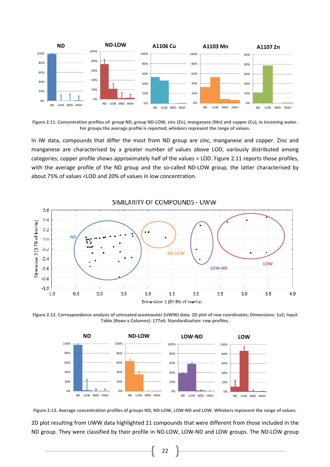

**Figure 2.11. Concentration profiles of: group ND, group ND-LOW, zinc (Zn), manganese (Mn) and copper (Cu), in incoming water. For groups the average profile is reported; whiskers represent the range of values.** 

In IW data, compounds that differ the most from ND group are zinc, manganese and copper. Zinc and manganese are characterised by a greater number of values above LOD, variously distributed among categories; copper profile shows approximately half of the values > LOD. Figure 2.11 reports those profiles, with the average profile of the ND group and the so-called ND-LOW group, the latter characterised by about 75% of values <LOD and 20% of values in low concentration.



**Figure 2.12. Correspondence analysis of untreated wastewater (UWW) data. 2D plot of row coordinates; Dimensions: 1x2; Input Table (Rows x Columns): 177x4; Standardisation: row profiles.** 



**Figure 2.13. Average concentration profiles of groups ND, ND-LOW, LOW-ND and LOW. Whiskers represent the range of values.** 

2D plot resulting from UWW data highlighted 11 compounds that were different from those included in the ND group. They were classified by their profile in ND-LOW, LOW-ND and LOW groups. The ND-LOW group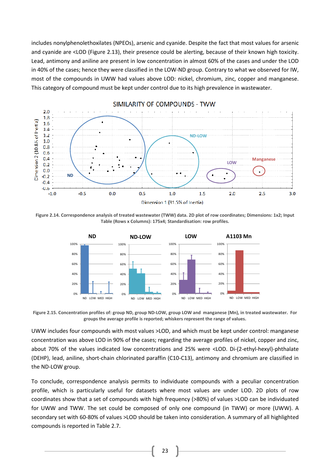includes nonylphenolethoxilates (NPEOs), arsenic and cyanide. Despite the fact that most values for arsenic and cyanide are <LOD (Figure 2.13), their presence could be alerting, because of their known high toxicity. Lead, antimony and aniline are present in low concentration in almost 60% of the cases and under the LOD in 40% of the cases; hence they were classified in the LOW-ND group. Contrary to what we observed for IW, most of the compounds in UWW had values above LOD: nickel, chromium, zinc, copper and manganese. This category of compound must be kept under control due to its high prevalence in wastewater.



**Figure 2.14. Correspondence analysis of treated wastewater (TWW) data. 2D plot of row coordinates; Dimensions: 1x2; Input Table (Rows x Columns): 175x4; Standardisation: row profiles.** 



**Figure 2.15. Concentration profiles of: group ND, group ND-LOW, group LOW and manganese (Mn), in treated wastewater. For groups the average profile is reported; whiskers represent the range of values.** 

UWW includes four compounds with most values >LOD, and which must be kept under control: manganese concentration was above LOD in 90% of the cases; regarding the average profiles of nickel, copper and zinc, about 70% of the values indicated low concentrations and 25% were <LOD. Di-(2-ethyl-hexyl)-phthalate (DEHP), lead, aniline, short-chain chlorinated paraffin (C10-C13), antimony and chromium are classified in the ND-LOW group.

To conclude, correspondence analysis permits to individuate compounds with a peculiar concentration profile, which is particularly useful for datasets where most values are under LOD. 2D plots of row coordinates show that a set of compounds with high frequency (>80%) of values >LOD can be individuated for UWW and TWW. The set could be composed of only one compound (in TWW) or more (UWW). A secondary set with 60-80% of values >LOD should be taken into consideration. A summary of all highlighted compounds is reported in Table 2.7.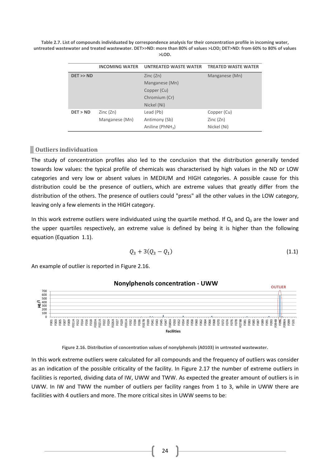**Table 2.7. List of compounds individuated by correspondence analysis for their concentration profile in incoming water, untreated wastewater and treated wastewater. DET>>ND: more than 80% of values >LOD; DET>ND: from 60% to 80% of values >LOD.** 

|              | <b>INCOMING WATER</b> | <b>UNTREATED WASTE WATER</b> | <b>TREATED WASTE WATER</b> |
|--------------|-----------------------|------------------------------|----------------------------|
| $DEF \gg ND$ |                       | Zinc(Zn)                     | Manganese (Mn)             |
|              |                       | Manganese (Mn)               |                            |
|              |                       | Copper (Cu)                  |                            |
|              |                       | Chromium (Cr)                |                            |
|              |                       | Nickel (Ni)                  |                            |
| DEF > ND     | Zinc(Zn)              | Lead (Pb)                    | Copper (Cu)                |
|              | Manganese (Mn)        | Antimony (Sb)                | Zinc(Zn)                   |
|              |                       | Aniline ( $PhNH3$ )          | Nickel (Ni)                |

## **Outliers individuation**

The study of concentration profiles also led to the conclusion that the distribution generally tended towards low values: the typical profile of chemicals was characterised by high values in the ND or LOW categories and very low or absent values in MEDIUM and HIGH categories. A possible cause for this distribution could be the presence of outliers, which are extreme values that greatly differ from the distribution of the others. The presence of outliers could "press" all the other values in the LOW category, leaving only a few elements in the HIGH category.

In this work extreme outliers were individuated using the quartile method. If  $Q_1$  and  $Q_3$  are the lower and the upper quartiles respectively, an extreme value is defined by being it is higher than the following equation (Equation 1.1).

$$
Q_3 + 3(Q_3 - Q_1) \tag{1.1}
$$

An example of outlier is reported in Figure 2.16.



**Figure 2.16. Distribution of concentration values of nonylphenols (A0103) in untreated wastewater.** 

In this work extreme outliers were calculated for all compounds and the frequency of outliers was consider as an indication of the possible criticality of the facility. In Figure 2.17 the number of extreme outliers in facilities is reported, dividing data of IW, UWW and TWW. As expected the greater amount of outliers is in UWW. In IW and TWW the number of outliers per facility ranges from 1 to 3, while in UWW there are facilities with 4 outliers and more. The more critical sites in UWW seems to be: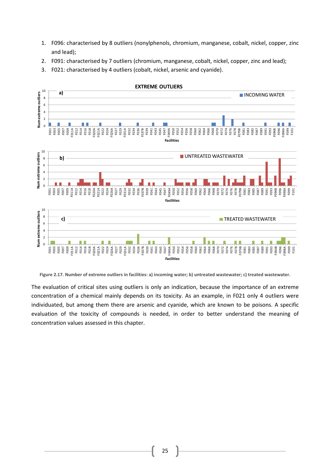- 1. F096: characterised by 8 outliers (nonylphenols, chromium, manganese, cobalt, nickel, copper, zinc and lead);
- 2. F091: characterised by 7 outliers (chromium, manganese, cobalt, nickel, copper, zinc and lead);
- 3. F021: characterised by 4 outliers (cobalt, nickel, arsenic and cyanide).



**Figure 2.17. Number of extreme outliers in facilities: a) incoming water; b) untreated wastewater; c) treated wastewater.** 

The evaluation of critical sites using outliers is only an indication, because the importance of an extreme concentration of a chemical mainly depends on its toxicity. As an example, in F021 only 4 outliers were individuated, but among them there are arsenic and cyanide, which are known to be poisons. A specific evaluation of the toxicity of compounds is needed, in order to better understand the meaning of concentration values assessed in this chapter.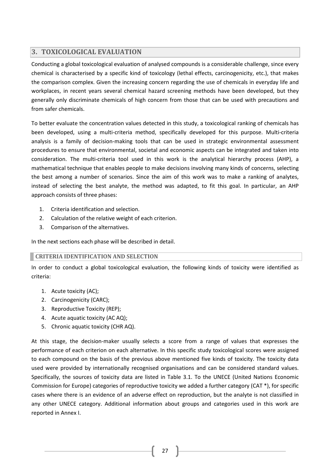# **3. TOXICOLOGICAL EVALUATION**

Conducting a global toxicological evaluation of analysed compounds is a considerable challenge, since every chemical is characterised by a specific kind of toxicology (lethal effects, carcinogenicity, etc.), that makes the comparison complex. Given the increasing concern regarding the use of chemicals in everyday life and workplaces, in recent years several chemical hazard screening methods have been developed, but they generally only discriminate chemicals of high concern from those that can be used with precautions and from safer chemicals.

To better evaluate the concentration values detected in this study, a toxicological ranking of chemicals has been developed, using a multi-criteria method, specifically developed for this purpose. Multi-criteria analysis is a family of decision-making tools that can be used in strategic environmental assessment procedures to ensure that environmental, societal and economic aspects can be integrated and taken into consideration. The multi-criteria tool used in this work is the analytical hierarchy process (AHP), a mathematical technique that enables people to make decisions involving many kinds of concerns, selecting the best among a number of scenarios. Since the aim of this work was to make a ranking of analytes, instead of selecting the best analyte, the method was adapted, to fit this goal. In particular, an AHP approach consists of three phases:

- 1. Criteria identification and selection.
- 2. Calculation of the relative weight of each criterion.
- 3. Comparison of the alternatives.

In the next sections each phase will be described in detail.

## **CRITERIA IDENTIFICATION AND SELECTION**

In order to conduct a global toxicological evaluation, the following kinds of toxicity were identified as criteria:

- 1. Acute toxicity (AC);
- 2. Carcinogenicity (CARC);
- 3. Reproductive Toxicity (REP);
- 4. Acute aquatic toxicity (AC AQ);
- 5. Chronic aquatic toxicity (CHR AQ).

At this stage, the decision-maker usually selects a score from a range of values that expresses the performance of each criterion on each alternative. In this specific study toxicological scores were assigned to each compound on the basis of the previous above mentioned five kinds of toxicity. The toxicity data used were provided by internationally recognised organisations and can be considered standard values. Specifically, the sources of toxicity data are listed in Table 3.1. To the UNECE (United Nations Economic Commission for Europe) categories of reproductive toxicity we added a further category (CAT \*), for specific cases where there is an evidence of an adverse effect on reproduction, but the analyte is not classified in any other UNECE category. Additional information about groups and categories used in this work are reported in Annex I.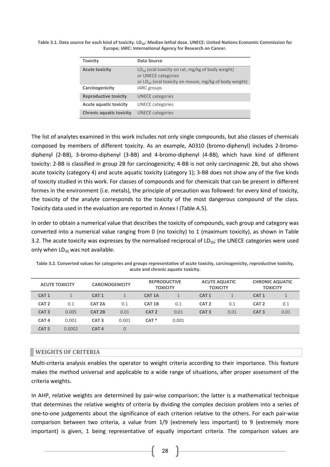| <b>Toxicity</b>                 | Data Source                                                                                                                                  |
|---------------------------------|----------------------------------------------------------------------------------------------------------------------------------------------|
| <b>Acute toxicity</b>           | $LD_{50}$ (oral toxicity on rat, mg/kg of body weight)<br>or UNECE categories<br>or $LD_{50}$ (oral toxicity on mouse, mg/kg of body weight) |
| Carcinogenicity                 | <b>IARC</b> groups                                                                                                                           |
| <b>Reproductive toxicity</b>    | <b>UNECE</b> categories                                                                                                                      |
| <b>Acute aquatic toxicity</b>   | UNECE categories                                                                                                                             |
| <b>Chronic aquatic toxicity</b> | <b>UNECE categories</b>                                                                                                                      |

Table 3.1. Data source for each kind of toxicity. LD<sub>50</sub>: Median lethal dose. UNECE: United Nations Economic Commission for **Europe; IARC: International Agency for Research on Cancer.** 

The list of analytes examined in this work includes not only single compounds, but also classes of chemicals composed by members of different toxicity. As an example, A0310 (bromo-diphenyl) includes 2-bromodiphenyl (2-BB), 3-bromo-diphenyl (3-BB) and 4-bromo-diphenyl (4-BB), which have kind of different toxicity: 2-BB is classified in group 2B for carcinogenicity; 4-BB is not only carcinogenic 2B, but also shows acute toxicity (category 4) and acute aquatic toxicity (category 1); 3-BB does not show any of the five kinds of toxicity studied in this work. For classes of compounds and for chemicals that can be present in different formes in the environment (i.e. metals), the principle of precaution was followed: for every kind of toxicity, the toxicity of the analyte corresponds to the toxicity of the most dangerous compound of the class. Toxicity data used in the evaluation are reported in Annex I (Table A.5).

In order to obtain a numerical value that describes the toxicity of compounds, each group and category was converted into a numerical value ranging from 0 (no toxicity) to 1 (maximum toxicity), as shown in Table 3.2. The acute toxicity was expresses by the normalised reciprocal of  $LD_{50}$ ; the UNECE categories were used only when  $LD_{50}$  was not available.

| <b>ACUTE TOXICITY</b> |              | <b>CARCINOGENICITY</b> |                | <b>REPRODUCTIVE</b><br><b>TOXICITY</b> |              | <b>ACUTE AQUATIC</b><br><b>TOXICITY</b> |              | <b>CHRONIC AQUATIC</b><br><b>TOXICITY</b> |      |
|-----------------------|--------------|------------------------|----------------|----------------------------------------|--------------|-----------------------------------------|--------------|-------------------------------------------|------|
| CAT <sub>1</sub>      | $\mathbf{1}$ | CAT <sub>1</sub>       | $\mathbf{1}$   | CAT <sub>1</sub> A                     | $\mathbf{1}$ | CAT <sub>1</sub>                        | $\mathbf{1}$ | CAT <sub>1</sub>                          |      |
| CAT <sub>2</sub>      | 0.1          | CAT <sub>2A</sub>      | 0.1            | CAT <sub>1B</sub>                      | 0.1          | CAT <sub>2</sub>                        | 0.1          | CAT <sub>2</sub>                          | 0.1  |
| CAT <sub>3</sub>      | 0.005        | CAT <sub>2B</sub>      | 0.01           | CAT <sub>2</sub>                       | 0.01         | CAT <sub>3</sub>                        | 0.01         | CAT <sub>3</sub>                          | 0.01 |
| CAT <sub>4</sub>      | 0.001        | CAT <sub>3</sub>       | 0.001          | $CAT *$                                | 0.001        |                                         |              |                                           |      |
| CAT <sub>5</sub>      | 0.0002       | CAT <sub>4</sub>       | $\overline{0}$ |                                        |              |                                         |              |                                           |      |

**Table 3.2. Converted values for categories and groups representative of acute toxicity, carcinogenicity, reproductive toxicity, acute and chronic aquatic toxicity.** 

## **WEIGHTS OF CRITERIA**

Multi-criteria analysis enables the operator to weight criteria according to their importance. This feature makes the method universal and applicable to a wide range of situations, after proper assessment of the criteria weights.

In AHP, relative weights are determined by pair-wise comparison: the latter is a mathematical technique that determines the relative weights of criteria by dividing the complex decision problem into a series of one-to-one judgements about the significance of each criterion relative to the others. For each pair-wise comparison between two criteria, a value from 1/9 (extremely less important) to 9 (extremely more important) is given, 1 being representative of equally important criteria. The comparison values are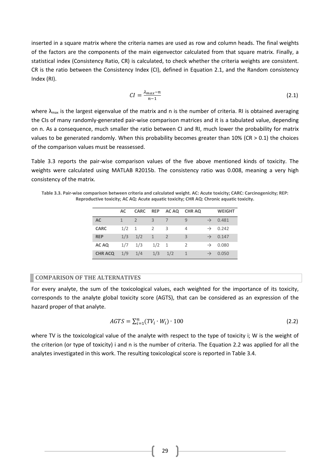inserted in a square matrix where the criteria names are used as row and column heads. The final weights of the factors are the components of the main eigenvector calculated from that square matrix. Finally, a statistical index (Consistency Ratio, CR) is calculated, to check whether the criteria weights are consistent. CR is the ratio between the Consistency Index (CI), defined in Equation 2.1, and the Random consistency Index (RI).

$$
CI = \frac{\lambda_{max} - n}{n - 1} \tag{2.1}
$$

where  $\lambda_{\text{max}}$  is the largest eigenvalue of the matrix and n is the number of criteria. RI is obtained averaging the CIs of many randomly-generated pair-wise comparison matrices and it is a tabulated value, depending on n. As a consequence, much smaller the ratio between CI and RI, much lower the probability for matrix values to be generated randomly. When this probability becomes greater than 10% (CR > 0.1) the choices of the comparison values must be reassessed.

Table 3.3 reports the pair-wise comparison values of the five above mentioned kinds of toxicity. The weights were calculated using MATLAB R2015b. The consistency ratio was 0.008, meaning a very high consistency of the matrix.

**Table 3.3. Pair-wise comparison between criteria and calculated weight. AC: Acute toxicity; CARC: Carcinogenicity; REP: Reproductive toxicity; AC AQ: Acute aquatic toxicity; CHR AQ: Chronic aquatic toxicity.** 

|                | AC           | <b>CARC</b>    | REP           | AC AQ | <b>CHR AO</b> |               | <b>WEIGHT</b>       |
|----------------|--------------|----------------|---------------|-------|---------------|---------------|---------------------|
| <b>AC</b>      | $\mathbf{1}$ | $\mathcal{P}$  | $\mathcal{E}$ |       | 9             | $\rightarrow$ | 0.481               |
| <b>CARC</b>    | 1/2          | $\overline{1}$ | 2             | 3     | 4             | $\rightarrow$ | 0.242               |
| <b>REP</b>     | 1/3          | 1/2            | $\mathbf{1}$  |       | 3             |               | $\rightarrow$ 0.147 |
| AC AQ          | 1/7          | 1/3            | 1/2           | - 1   | 2             | $\rightarrow$ | 0.080               |
| <b>CHR ACQ</b> | 1/9          | 1/4            | 1/3           | 1/2   | $\mathbf{1}$  | $\rightarrow$ | 0.050               |

## **COMPARISON OF THE ALTERNATIVES**

For every analyte, the sum of the toxicological values, each weighted for the importance of its toxicity, corresponds to the analyte global toxicity score (AGTS), that can be considered as an expression of the hazard proper of that analyte.

$$
AGTS = \sum_{i=1}^{n} (TV_i \cdot W_i) \cdot 100 \tag{2.2}
$$

where TV is the toxicological value of the analyte with respect to the type of toxicity i; W is the weight of the criterion (or type of toxicity) i and n is the number of criteria. The Equation 2.2 was applied for all the analytes investigated in this work. The resulting toxicological score is reported in Table 3.4.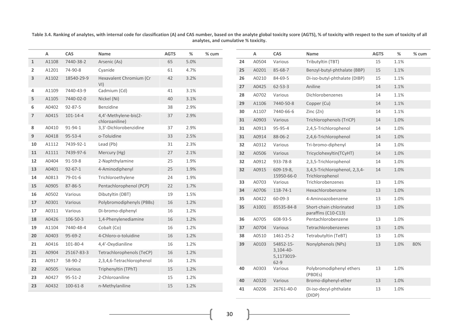|                | A     | CAS            | <b>Name</b>                              | <b>AGTS</b> | $\%$ | % cum |          | A              | CAS                       | <b>Name</b>                                      | <b>AGTS</b> | %            | % cum |
|----------------|-------|----------------|------------------------------------------|-------------|------|-------|----------|----------------|---------------------------|--------------------------------------------------|-------------|--------------|-------|
| 1              | A1108 | 7440-38-2      | Arsenic (As)                             | 65          | 5.0% |       | 24       | A0504          | Various                   | Tributyltin (TBT)                                | 15          | 1.1%         |       |
| $\overline{2}$ | A1201 | 74-90-8        | Cyanide                                  | 61          | 4.7% |       | 25       | A0201          | 85-68-7                   | Benzyl-butyl-phthalate (BBP)                     | 15          | 1.1%         |       |
| 3              | A1102 | 18540-29-9     | Hexavalent Chromium (Cr                  | 42          | 3.2% |       | 26       | A0210          | 84-69-5                   | Di-iso-butyl-phthalate (DIBP)                    | 15          | 1.1%         |       |
| 4              | A1109 | 7440-43-9      | VI)<br>Cadmium (Cd)                      | 41          | 3.1% |       | 27       | A0425          | $62 - 53 - 3$             | Aniline                                          | 14          | 1.1%         |       |
| 5              | A1105 | 7440-02-0      | Nickel (Ni)                              | 40          | 3.1% |       | 28       | A0702          | Various                   | Dichlorobenzenes                                 | 14          | 1.1%         |       |
| 6              | A0402 | 92-87-5        | Benzidine                                | 38          | 2.9% |       | 29       | A1106          | 7440-50-8                 | Copper (Cu)                                      | 14          | 1.1%         |       |
| $\overline{7}$ | A0415 | $101 - 14 - 4$ | 4,4'-Methylene-bis(2-                    | 37          | 2.9% |       | 30<br>31 | A1107<br>A0903 | 7440-66-6<br>Various      | Zinc (Zn)<br>Trichlorophenols (TriCP)            | 14<br>14    | 1.1%<br>1.0% |       |
| 8              | A0410 | 91-94-1        | chloroaniline)<br>3,3'-Dichlorobenzidine | 37          | 2.9% |       |          |                |                           |                                                  |             |              |       |
| 9              | A0418 | $95 - 53 - 4$  | o-Toluidine                              | 33          | 2.5% |       | 31<br>31 | A0913          | 95-95-4<br>88-06-2        | 2,4,5-Trichlorophenol                            | 14          | 1.0%         |       |
| 10             | A1112 | 7439-92-1      | Lead (Pb)                                | 31          | 2.3% |       |          | A0914          |                           | 2,4,6-Trichlorophenol                            | 14          | 1.0%         |       |
|                |       |                |                                          |             |      |       | 32       | A0312          | Various                   | Tri-bromo-diphenyl                               | 14          | 1.0%         |       |
| 11             | A1111 | 7439-97-6      | Mercury (Hg)                             | 27          | 2.1% |       | 32       | A0506          | Various                   | Tricyclohexyltin(TCyHT)                          | 14          | 1.0%         |       |
| 12             | A0404 | 91-59-8        | 2-Naphthylamine                          | 25          | 1.9% |       | 32       | A0912          | 933-78-8                  | 2,3,5-Trichlorophenol                            | 14          | 1.0%         |       |
| 13             | A0401 | $92 - 67 - 1$  | 4-Aminodiphenyl                          | 25          | 1.9% |       | 32       | A0915          | 609-19-8,<br>15950-66-0   | 3,4,5-Trichlorophenol, 2,3,4-<br>Trichlorophenol | 14          | 1.0%         |       |
| 14             | A0813 | $79-01-6$      | Trichloroethylene                        | 24          | 1.9% |       | 33       | A0703          | Various                   | Trichlorobenzenes                                | 13          | 1.0%         |       |
| 15             | A0905 | 87-86-5        | Pentachlorophenol (PCP)                  | 22          | 1.7% |       | 34       | A0706          | 118-74-1                  | Hexachlorobenzene                                | 13          | 1.0%         |       |
| 16             | A0502 | Various        | Dibutyltin (DBT)                         | 19          | 1.5% |       | 35       | A0422          | 60-09-3                   | 4-Aminoazobenzene                                | 13          | 1.0%         |       |
| 17             | A0301 | Various        | Polybromodiphenyls (PBBs)                | 16          | 1.2% |       | 35       | A1001          | 85535-84-8                | Short-chain chlorinated                          | 13          | 1.0%         |       |
| 17             | A0311 | Various        | Di-bromo-diphenyl                        | 16          | 1.2% |       |          |                |                           | paraffins (C10-C13)                              |             |              |       |
| 18             | A0426 | 106-50-3       | 1,4-Phenylenediamine                     | 16          | 1.2% |       | 36       | A0705          | 608-93-5                  | Pentachlorobenzene                               | 13          | 1.0%         |       |
| 19             | A1104 | 7440-48-4      | Cobalt (Co)                              | 16          | 1.2% |       | 37       | A0704          | Various                   | Tetrachlorobenzenes                              | 13          | 1.0%         |       |
| 20             | A0403 | 95-69-2        | 4-Chloro-o-toluidine                     | 16          | 1.2% |       | 38       | A0510          | 1461-25-2                 | Tetrabutyltin (TeBT)                             | 13          | 1.0%         |       |
| 21             | A0416 | 101-80-4       | 4,4'-Oxydianiline                        | 16          | 1.2% |       | 39       | A0103          | 54852-15-                 | Nonylphenols (NPs)                               | 13          | 1.0%         | 80%   |
| 21             | A0904 | 25167-83-3     | Tetrachlorophenols (TeCP)                | 16          | 1.2% |       |          |                | $3,104-40-$<br>5,1173019- |                                                  |             |              |       |
| 21             | A0917 | 58-90-2        | 2,3,4,6-Tetrachlorophenol                | 16          | 1.2% |       |          |                | $62 - 9$                  |                                                  |             |              |       |
| 22             | A0505 | Various        | Triphenyltin (TPhT)                      | 15          | 1.2% |       | 40       | A0303          | Various                   | Polybromodiphenyl ethers                         | 13          | 1.0%         |       |
| 23             | A0427 | $95 - 51 - 2$  | 2-Chloroaniline                          | 15          | 1.2% |       | 40       | A0320          | Various                   | (PBDEs)<br>Bromo-diphenyl-ether                  | 13          | 1.0%         |       |
| 23             | A0432 | $100 - 61 - 8$ | n-Methylaniline                          | 15          | 1.2% |       | 41       | A0206          | 26761-40-0                | Di-iso-decyl-phthalate                           | 13          | 1.0%         |       |
|                |       |                |                                          |             |      |       |          |                |                           | (DIDP)                                           |             |              |       |

**Table 3.4. Ranking of analytes, with internal code for classification (A) and CAS number, based on the analyte global toxicity score (AGTS), % of toxicity with respect to the sum of toxicity of all analytes, and cumulative % toxicity.**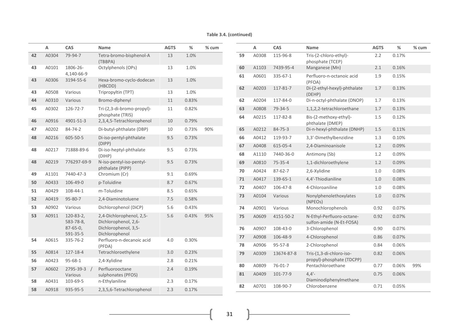|    | А     | <b>CAS</b>                                             | Name                                                                                       | <b>AGTS</b> | %     | % cum |
|----|-------|--------------------------------------------------------|--------------------------------------------------------------------------------------------|-------------|-------|-------|
| 42 | A0304 | 79-94-7                                                | Tetra-bromo-bisphenol-A<br>(TBBPA)                                                         | 13          | 1.0%  |       |
| 43 | A0101 | 1806-26-<br>4,140-66-9                                 | Octylphenols (OPs)                                                                         | 13          | 1.0%  |       |
| 43 | A0306 | 3194-55-6                                              | Hexa-bromo-cyclo-dodecan<br>(HBCDD)                                                        | 13          | 1.0%  |       |
| 43 | A0508 | Various                                                | Tripropyltin (TPT)                                                                         | 13          | 1.0%  |       |
| 44 | A0310 | Various                                                | Bromo-diphenyl                                                                             | 11          | 0.83% |       |
| 45 | A0302 | 126-72-7                                               | Tri-(2,3-di-bromo-propyl)-<br>phosphate (TRIS)                                             | 11          | 0.82% |       |
| 46 | A0916 | 4901-51-3                                              | 2,3,4,5-Tetrachlorophenol                                                                  | 10          | 0.79% |       |
| 47 | A0202 | 84-74-2                                                | Di-butyl-phthalate (DBP)                                                                   | 10          | 0.73% | 90%   |
| 48 | A0216 | 605-50-5                                               | Di-iso-pentyl-phthalate<br>(DIPP)                                                          | 9.5         | 0.73% |       |
| 48 | A0217 | 71888-89-6                                             | Di-iso-heptyl-phthalate<br>(DIHP)                                                          | 9.5         | 0.73% |       |
| 48 | A0219 | 776297-69-9                                            | N-iso-pentyl-iso-pentyl-<br>phthalate (PIPP)                                               | 9.5         | 0.73% |       |
| 49 | A1101 | 7440-47-3                                              | Chromium (Cr)                                                                              | 9.1         | 0.69% |       |
| 50 | A0433 | 106-49-0                                               | p-Toluidine                                                                                | 8.7         | 0.67% |       |
| 51 | A0429 | 108-44-1                                               | m-Toluidine                                                                                | 8.5         | 0.65% |       |
| 52 | A0419 | $95 - 80 - 7$                                          | 2,4-Diaminotoluene                                                                         | 7.5         | 0.58% |       |
| 53 | A0902 | Various                                                | Dichlorophenol (DiCP)                                                                      | 5.6         | 0.43% |       |
| 53 | A0911 | $120-83-2,$<br>583-78-8,<br>$87 - 65 - 0,$<br>591-35-5 | 2,4-Dichlorophenol, 2,5-<br>Dichlorophenol, 2,6-<br>Dichlorophenol, 3,5-<br>Dichlorophenol | 5.6         | 0.43% | 95%   |
| 54 | A0615 | 335-76-2                                               | Perfluoro-n-decanoic acid<br>(PFDA)                                                        | 4.0         | 0.30% |       |
| 55 | A0814 | 127-18-4                                               | Tetrachloroethylene                                                                        | 3.0         | 0.23% |       |
| 56 | A0423 | $95 - 68 - 1$                                          | 2,4-Xylidine                                                                               | 2.8         | 0.21% |       |
| 57 | A0602 | 2795-39-3<br>$\sqrt{2}$<br>Various                     | Perfluorooctane<br>sulphonates (PFOS)                                                      | 2.4         | 0.19% |       |
| 58 | A0431 | 103-69-5                                               | n-Ethylaniline                                                                             | 2.3         | 0.17% |       |
| 58 | A0918 | 935-95-5                                               | 2,3,5,6-Tetrachlorophenol                                                                  | 2.3         | 0.17% |       |

|    | A     | CAS           | <b>Name</b>                                           | <b>AGTS</b> | %     | % cum |
|----|-------|---------------|-------------------------------------------------------|-------------|-------|-------|
| 59 | A0308 | 115-96-8      | Tris-(2-chloro-ethyl)-<br>phosphate (TCEP)            | 2.2         | 0.17% |       |
| 60 | A1103 | 7439-95-4     | Manganese (Mn)                                        | 2.1         | 0.16% |       |
| 61 | A0601 | 335-67-1      | Perfluoro-n-octanoic acid<br>(PFOA)                   | 1.9         | 0.15% |       |
| 62 | A0203 | 117-81-7      | Di-(2-ethyl-hexyl)-phthalate<br>(DEHP)                | 1.7         | 0.13% |       |
| 62 | A0204 | 117-84-0      | Di-n-octyl-phthalate (DNOP)                           | 1.7         | 0.13% |       |
| 63 | A0808 | 79-34-5       | 1,1,2,2-tetrachloroethane                             | 1.7         | 0.13% |       |
| 64 | A0215 | 117-82-8      | Bis-(2-methoxy-ethyl)-<br>phthalate (DMEP)            | 1.5         | 0.12% |       |
| 65 | A0212 | $84 - 75 - 3$ | Di-n-hexyl-phthalate (DNHP)                           | 1.5         | 0.11% |       |
| 66 | A0412 | 119-93-7      | 3,3'-Dimethylbenzidine                                | 1.3         | 0.10% |       |
| 67 | A0408 | 615-05-4      | 2,4-Diaminoanisole                                    | 1.2         | 0.09% |       |
| 68 | A1110 | 7440-36-0     | Antimony (Sb)                                         | 1.2         | 0.09% |       |
| 69 | A0810 | $75 - 35 - 4$ | 1,1-dichloroethylene                                  | 1.2         | 0.09% |       |
| 70 | A0424 | $87 - 62 - 7$ | 2,6-Xylidine                                          | 1.0         | 0.08% |       |
| 71 | A0417 | 139-65-1      | 4,4'-Thiodianiline                                    | 1.0         | 0.08% |       |
| 72 | A0407 | 106-47-8      | 4-Chloroaniline                                       | 1.0         | 0.08% |       |
| 73 | A0104 | Various       | Nonylphenolethoxylates<br>(NPEO <sub>s</sub> )        | 1.0         | 0.07% |       |
| 74 | A0901 | Various       | Monochlorophenols                                     | 0.92        | 0.07% |       |
| 75 | A0609 | 4151-50-2     | N-Ethyl-Perfluoro-octane-<br>sulfon-amide (N-Et-FOSA) | 0.92        | 0.07% |       |
| 76 | A0907 | 108-43-0      | 3-Chlorophenol                                        | 0.90        | 0.07% |       |
| 77 | A0908 | 106-48-9      | 4-Chlorophenol                                        | 0.86        | 0.07% |       |
| 78 | A0906 | $95 - 57 - 8$ | 2-Chlorophenol                                        | 0.84        | 0.06% |       |
| 79 | A0309 | 13674-87-8    | Tris-(1,3-di-chloro-iso-<br>propyl)-phosphate (TDCPP) | 0.82        | 0.06% |       |
| 80 | A0809 | $76 - 01 - 7$ | Pentachloroethane                                     | 0.77        | 0.06% | 99%   |
| 81 | A0409 | 101-77-9      | $4,4'$ -<br>Diaminodiphenylmethane                    | 0.75        | 0.06% |       |
| 82 | A0701 | 108-90-7      | Chlorobenzene                                         | 0.71        | 0.05% |       |

### **Table 3.4. (continued)**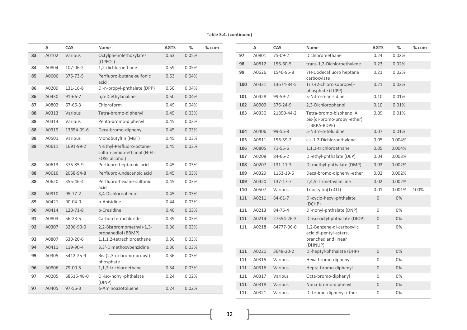| 83<br>A0102<br>Various<br>Octylphenolethoxylates<br>0.63<br>0.05%<br>(OPEO <sub>s</sub> )<br>1,2-dichloroethane<br>0.59<br>84<br>A0804<br>107-06-2<br>0.05%<br>85<br>Perfluoro-butane-sulfonic<br>A0606<br>375-73-5<br>0.53<br>0.04%<br>acid<br>A0209<br>131-16-8<br>Di-n-propyl-phthalate (DPP)<br>0.50<br>0.04%<br>86<br>86<br>A0430<br>$91 - 66 - 7$<br>n,n-Diethylanaline<br>0.50<br>0.04%<br>Chloroform<br>A0802<br>67-66-3<br>0.04%<br>87<br>0.49<br>88<br>A0313<br>Various<br>Tetra-bromo-diphenyl<br>0.45<br>0.03%<br>88<br>A0314<br>Various<br>Penta-bromo-diphenyl<br>0.45<br>0.03%<br>13654-09-6<br>Deca-bromo-diphenyl<br>88<br>A0319<br>0.45<br>0.03%<br>88<br>A0501<br>Various<br>Monobutyltin (MBT)<br>0.45<br>0.03%<br>88<br>A0611<br>1691-99-2<br>N-Ethyl-Perfluoro-octane-<br>0.45<br>0.03%<br>sulfon-amido-ethanol (N-Et-<br>FOSE alcohol)<br>A0613<br>375-85-9<br>Perfluoro-heptanoic acid<br>0.45<br>88<br>0.03%<br>A0616<br>Perfluoro-undecanoic acid<br>88<br>2058-94-8<br>0.45<br>0.03%<br>88<br>A0620<br>355-46-4<br>Perfluoro-hexane-sulfonic<br>0.45<br>0.03%<br>acid<br>88<br>A0910<br>$95 - 77 - 2$<br>3,4-Dichlorophenol<br>0.45<br>0.03%<br>89<br>0.44<br>A0421<br>$90 - 04 - 0$<br>o-Anisidine<br>0.03%<br>90<br>A0414<br>120-71-8<br>p-Cresidine<br>0.40<br>0.03%<br>Carbon tetrachloride<br>91<br>A0803<br>$56 - 23 - 5$<br>0.39<br>0.03%<br>2,2-Bis(bromomethyl)-1,3-<br>92<br>A0307<br>3296-90-0<br>0.36<br>0.03%<br>propanediol (BBMP)<br>93<br>A0807<br>630-20-6<br>1,1,1,2-tetrachloroethane<br>0.36<br>0.03%<br>A0411<br>3,3'-Dimethoxybenzidine<br>94<br>119-90-4<br>0.36<br>0.03%<br>A0305<br>5412-25-9<br>Bis-(2,3-di-bromo-propyl)-<br>0.36<br>95<br>$0.03\%$<br>phosphate |    | А     | <b>CAS</b> | Name                  | <b>AGTS</b> | %     | % cum |
|------------------------------------------------------------------------------------------------------------------------------------------------------------------------------------------------------------------------------------------------------------------------------------------------------------------------------------------------------------------------------------------------------------------------------------------------------------------------------------------------------------------------------------------------------------------------------------------------------------------------------------------------------------------------------------------------------------------------------------------------------------------------------------------------------------------------------------------------------------------------------------------------------------------------------------------------------------------------------------------------------------------------------------------------------------------------------------------------------------------------------------------------------------------------------------------------------------------------------------------------------------------------------------------------------------------------------------------------------------------------------------------------------------------------------------------------------------------------------------------------------------------------------------------------------------------------------------------------------------------------------------------------------------------------------------------------------------------------|----|-------|------------|-----------------------|-------------|-------|-------|
|                                                                                                                                                                                                                                                                                                                                                                                                                                                                                                                                                                                                                                                                                                                                                                                                                                                                                                                                                                                                                                                                                                                                                                                                                                                                                                                                                                                                                                                                                                                                                                                                                                                                                                                        |    |       |            |                       |             |       |       |
|                                                                                                                                                                                                                                                                                                                                                                                                                                                                                                                                                                                                                                                                                                                                                                                                                                                                                                                                                                                                                                                                                                                                                                                                                                                                                                                                                                                                                                                                                                                                                                                                                                                                                                                        |    |       |            |                       |             |       |       |
|                                                                                                                                                                                                                                                                                                                                                                                                                                                                                                                                                                                                                                                                                                                                                                                                                                                                                                                                                                                                                                                                                                                                                                                                                                                                                                                                                                                                                                                                                                                                                                                                                                                                                                                        |    |       |            |                       |             |       |       |
|                                                                                                                                                                                                                                                                                                                                                                                                                                                                                                                                                                                                                                                                                                                                                                                                                                                                                                                                                                                                                                                                                                                                                                                                                                                                                                                                                                                                                                                                                                                                                                                                                                                                                                                        |    |       |            |                       |             |       |       |
|                                                                                                                                                                                                                                                                                                                                                                                                                                                                                                                                                                                                                                                                                                                                                                                                                                                                                                                                                                                                                                                                                                                                                                                                                                                                                                                                                                                                                                                                                                                                                                                                                                                                                                                        |    |       |            |                       |             |       |       |
|                                                                                                                                                                                                                                                                                                                                                                                                                                                                                                                                                                                                                                                                                                                                                                                                                                                                                                                                                                                                                                                                                                                                                                                                                                                                                                                                                                                                                                                                                                                                                                                                                                                                                                                        |    |       |            |                       |             |       |       |
|                                                                                                                                                                                                                                                                                                                                                                                                                                                                                                                                                                                                                                                                                                                                                                                                                                                                                                                                                                                                                                                                                                                                                                                                                                                                                                                                                                                                                                                                                                                                                                                                                                                                                                                        |    |       |            |                       |             |       |       |
|                                                                                                                                                                                                                                                                                                                                                                                                                                                                                                                                                                                                                                                                                                                                                                                                                                                                                                                                                                                                                                                                                                                                                                                                                                                                                                                                                                                                                                                                                                                                                                                                                                                                                                                        |    |       |            |                       |             |       |       |
|                                                                                                                                                                                                                                                                                                                                                                                                                                                                                                                                                                                                                                                                                                                                                                                                                                                                                                                                                                                                                                                                                                                                                                                                                                                                                                                                                                                                                                                                                                                                                                                                                                                                                                                        |    |       |            |                       |             |       |       |
|                                                                                                                                                                                                                                                                                                                                                                                                                                                                                                                                                                                                                                                                                                                                                                                                                                                                                                                                                                                                                                                                                                                                                                                                                                                                                                                                                                                                                                                                                                                                                                                                                                                                                                                        |    |       |            |                       |             |       |       |
|                                                                                                                                                                                                                                                                                                                                                                                                                                                                                                                                                                                                                                                                                                                                                                                                                                                                                                                                                                                                                                                                                                                                                                                                                                                                                                                                                                                                                                                                                                                                                                                                                                                                                                                        |    |       |            |                       |             |       |       |
|                                                                                                                                                                                                                                                                                                                                                                                                                                                                                                                                                                                                                                                                                                                                                                                                                                                                                                                                                                                                                                                                                                                                                                                                                                                                                                                                                                                                                                                                                                                                                                                                                                                                                                                        |    |       |            |                       |             |       |       |
|                                                                                                                                                                                                                                                                                                                                                                                                                                                                                                                                                                                                                                                                                                                                                                                                                                                                                                                                                                                                                                                                                                                                                                                                                                                                                                                                                                                                                                                                                                                                                                                                                                                                                                                        |    |       |            |                       |             |       |       |
|                                                                                                                                                                                                                                                                                                                                                                                                                                                                                                                                                                                                                                                                                                                                                                                                                                                                                                                                                                                                                                                                                                                                                                                                                                                                                                                                                                                                                                                                                                                                                                                                                                                                                                                        |    |       |            |                       |             |       |       |
|                                                                                                                                                                                                                                                                                                                                                                                                                                                                                                                                                                                                                                                                                                                                                                                                                                                                                                                                                                                                                                                                                                                                                                                                                                                                                                                                                                                                                                                                                                                                                                                                                                                                                                                        |    |       |            |                       |             |       |       |
|                                                                                                                                                                                                                                                                                                                                                                                                                                                                                                                                                                                                                                                                                                                                                                                                                                                                                                                                                                                                                                                                                                                                                                                                                                                                                                                                                                                                                                                                                                                                                                                                                                                                                                                        |    |       |            |                       |             |       |       |
|                                                                                                                                                                                                                                                                                                                                                                                                                                                                                                                                                                                                                                                                                                                                                                                                                                                                                                                                                                                                                                                                                                                                                                                                                                                                                                                                                                                                                                                                                                                                                                                                                                                                                                                        |    |       |            |                       |             |       |       |
|                                                                                                                                                                                                                                                                                                                                                                                                                                                                                                                                                                                                                                                                                                                                                                                                                                                                                                                                                                                                                                                                                                                                                                                                                                                                                                                                                                                                                                                                                                                                                                                                                                                                                                                        |    |       |            |                       |             |       |       |
|                                                                                                                                                                                                                                                                                                                                                                                                                                                                                                                                                                                                                                                                                                                                                                                                                                                                                                                                                                                                                                                                                                                                                                                                                                                                                                                                                                                                                                                                                                                                                                                                                                                                                                                        |    |       |            |                       |             |       |       |
|                                                                                                                                                                                                                                                                                                                                                                                                                                                                                                                                                                                                                                                                                                                                                                                                                                                                                                                                                                                                                                                                                                                                                                                                                                                                                                                                                                                                                                                                                                                                                                                                                                                                                                                        |    |       |            |                       |             |       |       |
|                                                                                                                                                                                                                                                                                                                                                                                                                                                                                                                                                                                                                                                                                                                                                                                                                                                                                                                                                                                                                                                                                                                                                                                                                                                                                                                                                                                                                                                                                                                                                                                                                                                                                                                        |    |       |            |                       |             |       |       |
|                                                                                                                                                                                                                                                                                                                                                                                                                                                                                                                                                                                                                                                                                                                                                                                                                                                                                                                                                                                                                                                                                                                                                                                                                                                                                                                                                                                                                                                                                                                                                                                                                                                                                                                        |    |       |            |                       |             |       |       |
|                                                                                                                                                                                                                                                                                                                                                                                                                                                                                                                                                                                                                                                                                                                                                                                                                                                                                                                                                                                                                                                                                                                                                                                                                                                                                                                                                                                                                                                                                                                                                                                                                                                                                                                        | 96 | A0806 | 79-00-5    | 1,1,2-trichloroethane | 0.34        | 0.03% |       |
| Di-iso-nonyl-phthalate<br>97<br>A0205<br>68515-48-0<br>0.24<br>0.02%<br>(DINP)                                                                                                                                                                                                                                                                                                                                                                                                                                                                                                                                                                                                                                                                                                                                                                                                                                                                                                                                                                                                                                                                                                                                                                                                                                                                                                                                                                                                                                                                                                                                                                                                                                         |    |       |            |                       |             |       |       |
| o-Aminoazotoluene<br>0.24<br>97<br>A0405<br>$97 - 56 - 3$<br>0.02%                                                                                                                                                                                                                                                                                                                                                                                                                                                                                                                                                                                                                                                                                                                                                                                                                                                                                                                                                                                                                                                                                                                                                                                                                                                                                                                                                                                                                                                                                                                                                                                                                                                     |    |       |            |                       |             |       |       |

#### **A CAS Name AGTS % % cum 97** A0801 75-09-2 Dichloromethane 0.24 0.02% **98** A0812 156-60-5 trans-1,2-Dichloroethylene 0.23 0.02% **99** A0626 1546-95-8 7H-Dodecafluoro heptane carboxylate **100** A0331 13674-84-5 Tris-(2-chloroisopropyl)-0.21 0.02% phosphate (TCPP) **101** A0428 99-59-2 5-Nitro-o-anisidine 0.10 0.01% 0.21 0.02% **102** A0909 576-24-9 2,3-Dichlorophenol 0.10 0.01% **103** A0330 21850-44-2 Tetra-bromo-bisphenol A bis-(di-bromo-propyl-ether) (TBBPA-BDPE) **104** A0406 99-55-8 5-Nitro-o-toluidine 0.07 0.01% 0.09 0.01% **105** A0811 156-59-2 cis-1,2-Dichloroethylene 0.05 0.004%0.004% **106** A0805 71-55-6 1,1,1-trichloroethane 0.05 **107** A0208 84-66-2 Di-ethyl-phthalate (DEP) 0.04 0.003% **108** A0207 131-11-3 Di-methyl-phthalate (DMP) 0.03 0.002% **109** A0329 1163-19-5 Deca-bromo-diphenyl-ether 0.02 0.002% **109** A0420 137-17-7 2,4,5-Trimethylaniline 0.02 0.002% **110** A0507 Various Trioctyltin(TriOT) 0.01 0.001% 100% **111** A0211 84-61-7 Di-cyclo-hexyl-phthalate (DCHP) **111** A0213 84-76-4 Di-nonyl-phthalate (DNP) 00 0% 0% **111** A0214 27554-26-3 Di-iso-octyl-phthalate (DIOP) 0 0% **111** A0218 84777-06-0 1,2-Benzene-di-carboxylic acid di-pentyl-esters, branched and linear (DHNUP) 0 0% **111** A0220 3648-20-2 Di-heptyl-phthalate (DHP) 0 0% **111** A0315 Various Hexa-bromo-diphenyl 0 0% 111 A0316 Various Hepta-bromo-diphenyl 0 0% **111** A0317 Various Octa-bromo-diphenyl 0 0% 111 A0318 Various Nona-bromo-diphenyl 0 0% **111** A0321 Various Di-bromo-diphenyl-ether 00%

#### **Table 3.4. (continued)**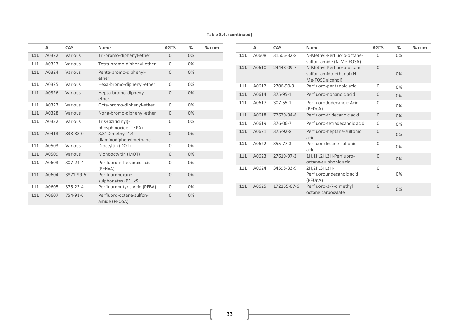|     | A     | CAS            | Name                                          | <b>AGTS</b>    | %  | % cum |
|-----|-------|----------------|-----------------------------------------------|----------------|----|-------|
| 111 | A0322 | Various        | Tri-bromo-diphenyl-ether                      | $\Omega$       | 0% |       |
| 111 | A0323 | Various        | Tetra-bromo-diphenyl-ether                    | $\Omega$       | 0% |       |
| 111 | A0324 | Various        | Penta-bromo-diphenyl-<br>ether                | $\Omega$       | 0% |       |
| 111 | A0325 | Various        | Hexa-bromo-diphenyl-ether                     | $\Omega$       | 0% |       |
| 111 | A0326 | Various        | Hepta-bromo-diphenyl-<br>ether                | $\overline{0}$ | 0% |       |
| 111 | A0327 | Various        | Octa-bromo-diphenyl-ether                     | $\Omega$       | 0% |       |
| 111 | A0328 | Various        | Nona-bromo-diphenyl-ether                     | $\overline{0}$ | 0% |       |
| 111 | A0332 | Various        | Tris-(aziridinyl)-<br>phosphinoxide (TEPA)    | $\overline{0}$ | 0% |       |
| 111 | A0413 | 838-88-0       | 3,3'-Dimethyl-4,4'-<br>diaminodiphenylmethane | $\overline{0}$ | 0% |       |
| 111 | A0503 | Various        | Dioctyltin (DOT)                              | $\Omega$       | 0% |       |
| 111 | A0509 | Various        | Monooctyltin (MOT)                            | $\Omega$       | 0% |       |
| 111 | A0603 | $307 - 24 - 4$ | Perfluoro-n-hexanoic acid<br>(PFHxA)          | $\overline{0}$ | 0% |       |
| 111 | A0604 | 3871-99-6      | Perfluorohexane<br>sulphonates (PFHxS)        | $\Omega$       | 0% |       |
| 111 | A0605 | 375-22-4       | Perfluorobutyric Acid (PFBA)                  | $\overline{0}$ | 0% |       |
| 111 | A0607 | 754-91-6       | Perfluoro-octane-sulfon-<br>amide (PFOSA)     | $\overline{0}$ | 0% |       |

|  |  | Table 3.4. (continued) |
|--|--|------------------------|
|--|--|------------------------|

|     | A     | <b>CAS</b>  | Name                                                                       | <b>AGTS</b>    | ℅     | $%$ cum |
|-----|-------|-------------|----------------------------------------------------------------------------|----------------|-------|---------|
| 111 | A0608 | 31506-32-8  | N-Methyl-Perfluoro-octane-<br>sulfon-amide (N-Me-FOSA)                     | $\Omega$       | $0\%$ |         |
| 111 | A0610 | 24448-09-7  | N-Methyl-Perfluoro-octane-<br>sulfon-amido-ethanol (N-<br>Me-FOSE alcohol) | $\overline{0}$ | 0%    |         |
| 111 | A0612 | 2706-90-3   | Perfluoro-pentanoic acid                                                   | $\Omega$       | 0%    |         |
| 111 | A0614 | 375-95-1    | Perfluoro-nonanoic acid                                                    | $\overline{0}$ | 0%    |         |
| 111 | A0617 | 307-55-1    | Perfluorododecanoic Acid<br>(PFDoA)                                        | $\mathbf{0}$   | 0%    |         |
| 111 | A0618 | 72629-94-8  | Perfluoro-tridecanoic acid                                                 | $\mathbf{0}$   | 0%    |         |
| 111 | A0619 | 376-06-7    | Perfluoro-tetradecanoic acid                                               | 0              | 0%    |         |
| 111 | A0621 | 375-92-8    | Perfluoro-heptane-sulfonic<br>acid                                         | $\overline{0}$ | 0%    |         |
| 111 | A0622 | 355-77-3    | Perfluor-decane-sulfonic<br>acid                                           | $\overline{0}$ | 0%    |         |
| 111 | A0623 | 27619-97-2  | 1H,1H,2H,2H-Perfluoro-<br>octane-sulphonic acid                            | $\Omega$       | 0%    |         |
| 111 | A0624 | 34598-33-9  | 2H, 2H, 3H, 3H-<br>Perfluoroundecanoic acid<br>(PFUnA)                     | $\Omega$       | 0%    |         |
| 111 | A0625 | 172155-07-6 | Perfluoro-3-7-dimethyl<br>octane carboxylate                               | $\overline{0}$ | 0%    |         |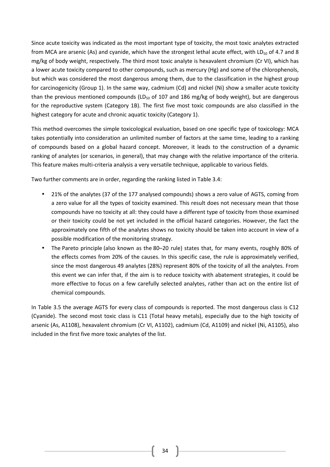Since acute toxicity was indicated as the most important type of toxicity, the most toxic analytes extracted from MCA are arsenic (As) and cyanide, which have the strongest lethal acute effect, with LD<sub>50</sub> of 4.7 and 8 mg/kg of body weight, respectively. The third most toxic analyte is hexavalent chromium (Cr VI), which has a lower acute toxicity compared to other compounds, such as mercury (Hg) and some of the chlorophenols, but which was considered the most dangerous among them, due to the classification in the highest group for carcinogenicity (Group 1). In the same way, cadmium (Cd) and nickel (Ni) show a smaller acute toxicity than the previous mentioned compounds (LD<sub>50</sub> of 107 and 186 mg/kg of body weight), but are dangerous for the reproductive system (Category 1B). The first five most toxic compounds are also classified in the highest category for acute and chronic aquatic toxicity (Category 1).

This method overcomes the simple toxicological evaluation, based on one specific type of toxicology: MCA takes potentially into consideration an unlimited number of factors at the same time, leading to a ranking of compounds based on a global hazard concept. Moreover, it leads to the construction of a dynamic ranking of analytes (or scenarios, in general), that may change with the relative importance of the criteria. This feature makes multi-criteria analysis a very versatile technique, applicable to various fields.

Two further comments are in order, regarding the ranking listed in Table 3.4:

- 21% of the analytes (37 of the 177 analysed compounds) shows a zero value of AGTS, coming from a zero value for all the types of toxicity examined. This result does not necessary mean that those compounds have no toxicity at all: they could have a different type of toxicity from those examined or their toxicity could be not yet included in the official hazard categories. However, the fact the approximately one fifth of the analytes shows no toxicity should be taken into account in view of a possible modification of the monitoring strategy.
- The Pareto principle (also known as the 80–20 rule) states that, for many events, roughly 80% of the effects comes from 20% of the causes. In this specific case, the rule is approximately verified, since the most dangerous 49 analytes (28%) represent 80% of the toxicity of all the analytes. From this event we can infer that, if the aim is to reduce toxicity with abatement strategies, it could be more effective to focus on a few carefully selected analytes, rather than act on the entire list of chemical compounds.

In Table 3.5 the average AGTS for every class of compounds is reported. The most dangerous class is C12 (Cyanide). The second most toxic class is C11 (Total heavy metals), especially due to the high toxicity of arsenic (As, A1108), hexavalent chromium (Cr VI, A1102), cadmium (Cd, A1109) and nickel (Ni, A1105), also included in the first five more toxic analytes of the list.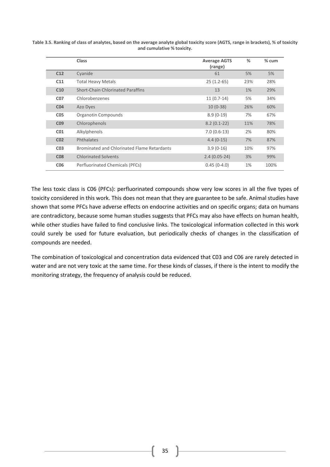|                 | <b>Class</b>                                | <b>Average AGTS</b><br>(range) | %   | $%$ cum |
|-----------------|---------------------------------------------|--------------------------------|-----|---------|
| C12             | Cyanide                                     | 61                             | 5%  | 5%      |
| C11             | <b>Total Heavy Metals</b>                   | $25(1.2-65)$                   | 23% | 28%     |
| C10             | <b>Short-Chain Chlorinated Paraffins</b>    | 13                             | 1%  | 29%     |
| C <sub>07</sub> | Chlorobenzenes                              | $11(0.7-14)$                   | 5%  | 34%     |
| CO <sub>4</sub> | Azo Dyes                                    | $10(0-38)$                     | 26% | 60%     |
| C <sub>05</sub> | Organotin Compounds                         | $8.9(0-19)$                    | 7%  | 67%     |
| <b>CO9</b>      | Chlorophenols                               | $8.2(0.1-22)$                  | 11% | 78%     |
| CO <sub>1</sub> | Alkylphenols                                | $7.0(0.6-13)$                  | 2%  | 80%     |
| CO <sub>2</sub> | Phthalates                                  | $4.4(0-15)$                    | 7%  | 87%     |
| CO <sub>3</sub> | Brominated and Chlorinated Flame Retardants | $3.9(0-16)$                    | 10% | 97%     |
| C <sub>08</sub> | <b>Chlorinated Solvents</b>                 | $2.4(0.05-24)$                 | 3%  | 99%     |
| <b>CO6</b>      | Perfluorinated Chemicals (PFCs)             | $0.45(0-4.0)$                  | 1%  | 100%    |

**Table 3.5. Ranking of class of analytes, based on the average analyte global toxicity score (AGTS, range in brackets), % of toxicity and cumulative % toxicity.** 

The less toxic class is C06 (PFCs): perfluorinated compounds show very low scores in all the five types of toxicity considered in this work. This does not mean that they are guarantee to be safe. Animal studies have shown that some PFCs have adverse effects on endocrine activities and on specific organs; data on humans are contradictory, because some human studies suggests that PFCs may also have effects on human health, while other studies have failed to find conclusive links. The toxicological information collected in this work could surely be used for future evaluation, but periodically checks of changes in the classification of compounds are needed.

The combination of toxicological and concentration data evidenced that C03 and C06 are rarely detected in water and are not very toxic at the same time. For these kinds of classes, if there is the intent to modify the monitoring strategy, the frequency of analysis could be reduced.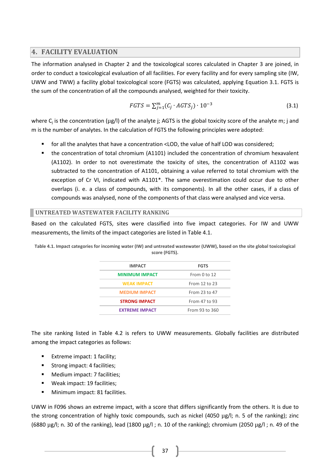# **4. FACILITY EVALUATION**

The information analysed in Chapter 2 and the toxicological scores calculated in Chapter 3 are joined, in order to conduct a toxicological evaluation of all facilities. For every facility and for every sampling site (IW, UWW and TWW) a facility global toxicological score (FGTS) was calculated, applying Equation 3.1. FGTS is the sum of the concentration of all the compounds analysed, weighted for their toxicity.

$$
FGTS = \sum_{j=1}^{m} (C_j \cdot AGTS_j) \cdot 10^{-3}
$$
\n(3.1)

where  $C_j$  is the concentration ( $\mu$ g/l) of the analyte j; AGTS is the global toxicity score of the analyte m; j and m is the number of analytes. In the calculation of FGTS the following principles were adopted:

- for all the analytes that have a concentration <LOD, the value of half LOD was considered;
- the concentration of total chromium (A1101) included the concentration of chromium hexavalent (A1102). In order to not overestimate the toxicity of sites, the concentration of A1102 was subtracted to the concentration of A1101, obtaining a value referred to total chromium with the exception of Cr VI, indicated with A1101\*. The same overestimation could occur due to other overlaps (i. e. a class of compounds, with its components). In all the other cases, if a class of compounds was analysed, none of the components of that class were analysed and vice versa.

## **UNTREATED WASTEWATER FACILITY RANKING**

Based on the calculated FGTS, sites were classified into five impact categories. For IW and UWW measurements, the limits of the impact categories are listed in Table 4.1.

| <b>IMPACT</b>         | <b>FGTS</b>      |
|-----------------------|------------------|
| <b>MINIMUM IMPACT</b> | From $0$ to $12$ |
| <b>WEAK IMPACT</b>    | From 12 to 23    |
| <b>MEDIUM IMPACT</b>  | From 23 to 47    |
| <b>STRONG IMPACT</b>  | From 47 to 93    |
| <b>EXTREME IMPACT</b> | From 93 to 360   |

**Table 4.1. Impact categories for incoming water (IW) and untreated wastewater (UWW), based on the site global toxicological score (FGTS).** 

The site ranking listed in Table 4.2 is refers to UWW measurements. Globally facilities are distributed among the impact categories as follows:

- **Extreme impact: 1 facility;**
- **Strong impact: 4 facilities;**
- **Medium impact: 7 facilities;**
- **Weak impact: 19 facilities;**
- Minimum impact: 81 facilities.

UWW in F096 shows an extreme impact, with a score that differs significantly from the others. It is due to the strong concentration of highly toxic compounds, such as nickel (4050 µg/l; n. 5 of the ranking); zinc (6880  $\mu$ g/l; n. 30 of the ranking), lead (1800  $\mu$ g/l; n. 10 of the ranking); chromium (2050  $\mu$ g/l; n. 49 of the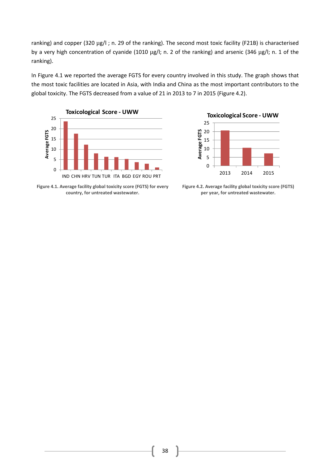ranking) and copper (320 µg/l ; n. 29 of the ranking). The second most toxic facility (F21B) is characterised by a very high concentration of cyanide (1010 µg/l; n. 2 of the ranking) and arsenic (346 µg/l; n. 1 of the ranking).

In Figure 4.1 we reported the average FGTS for every country involved in this study. The graph shows that the most toxic facilities are located in Asia, with India and China as the most important contributors to the global toxicity. The FGTS decreased from a value of 21 in 2013 to 7 in 2015 (Figure 4.2).



**Figure 4.1. Average facility global toxicity score (FGTS) for every country, for untreated wastewater.** 



**Figure 4.2. Average facility global toxicity score (FGTS) per year, for untreated wastewater.**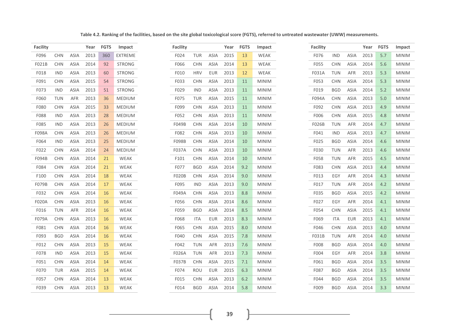**Table 4.2. Ranking of the facilities, based on the site global toxicological score (FGTS), referred to untreated wastewater (UWW) measurements.** 

| <b>Facility</b> |            |             | Year | <b>FGTS</b> | Impact         |
|-----------------|------------|-------------|------|-------------|----------------|
| F096            | <b>CHN</b> | <b>ASIA</b> | 2013 | 360         | <b>EXTREME</b> |
| F021B           | CHN        | ASIA        | 2014 | 92          | STRONG         |
| F018            | <b>IND</b> | ASIA        | 2013 | 60          | <b>STRONG</b>  |
| F091            | <b>CHN</b> | ASIA        | 2015 | 54          | <b>STRONG</b>  |
| F073            | IND        | ASIA        | 2013 | 51          | <b>STRONG</b>  |
| F060            | TUN        | <b>AFR</b>  | 2013 | 36          | MEDIUM         |
| F080            | CHN        | ASIA        | 2015 | 33          | <b>MEDIUM</b>  |
| F088            | <b>IND</b> | <b>ASIA</b> | 2013 | 28          | <b>MEDIUM</b>  |
| F085            | IND        | <b>ASIA</b> | 2013 | 26          | <b>MEDIUM</b>  |
| F098A           | CHN        | ASIA        | 2013 | 26          | <b>MEDIUM</b>  |
| F064            | <b>IND</b> | <b>ASIA</b> | 2013 | 25          | <b>MEDIUM</b>  |
| F022            | CHN        | <b>ASIA</b> | 2014 | 24          | <b>MEDIUM</b>  |
| F094B           | <b>CHN</b> | ASIA        | 2014 | 21          | WEAK           |
| F084            | <b>CHN</b> | ASIA        | 2014 | 21          | <b>WEAK</b>    |
| F100            | <b>CHN</b> | <b>ASIA</b> | 2014 | 18          | WEAK           |
| <b>F079B</b>    | <b>CHN</b> | <b>ASIA</b> | 2014 | 17          | WEAK           |
| F032            | CHN        | ASIA        | 2014 | 16          | WEAK           |
| F020A           | <b>CHN</b> | <b>ASIA</b> | 2013 | 16          | WEAK           |
| F016            | TUN        | <b>AFR</b>  | 2014 | 16          | <b>WEAK</b>    |
| F079A           | CHN        | <b>ASIA</b> | 2013 | 16          | WEAK           |
| F081            | <b>CHN</b> | ASIA        | 2014 | 16          | WEAK           |
| F093            | BGD        | ASIA        | 2014 | 16          | WEAK           |
| F012            | <b>CHN</b> | ASIA        | 2013 | 15          | WEAK           |
| F078            | <b>IND</b> | ASIA        | 2013 | 15          | WEAK           |
| F051            | <b>CHN</b> | <b>ASIA</b> | 2014 | 14          | WEAK           |
| F070            | TUR        | <b>ASIA</b> | 2015 | 14          | WEAK           |
| F057            | CHN        | ASIA        | 2014 | 13          | WEAK           |
| F039            | <b>CHN</b> | ASIA        | 2013 | 13          | WEAK           |
|                 |            |             |      |             |                |

| <b>Facility</b> |            |             | Year | <b>FGTS</b> | Impact       |
|-----------------|------------|-------------|------|-------------|--------------|
| F024            | TUR        | <b>ASIA</b> | 2015 | 13          | WEAK         |
| F066            | <b>CHN</b> | ASIA        | 2014 | 13          | WEAK         |
| F010            | <b>HRV</b> | <b>EUR</b>  | 2013 | 12          | <b>WEAK</b>  |
| F033            | CHN        | <b>ASIA</b> | 2013 | 11          | <b>MINIM</b> |
| F029            | <b>IND</b> | <b>ASIA</b> | 2013 | 11          | <b>MINIM</b> |
| F075            | TUR        | <b>ASIA</b> | 2015 | 11          | <b>MINIM</b> |
| F099            | <b>CHN</b> | <b>ASIA</b> | 2013 | 11          | <b>MINIM</b> |
| F052            | <b>CHN</b> | <b>ASIA</b> | 2013 | 11          | <b>MINIM</b> |
| F049B           | <b>CHN</b> | <b>ASIA</b> | 2014 | 10          | <b>MINIM</b> |
| F082            | <b>CHN</b> | <b>ASIA</b> | 2013 | 10          | <b>MINIM</b> |
| F098B           | <b>CHN</b> | ASIA        | 2014 | 10          | MINIM        |
| F037A           | <b>CHN</b> | <b>ASIA</b> | 2013 | 10          | <b>MINIM</b> |
| F101            | <b>CHN</b> | <b>ASIA</b> | 2014 | 10          | <b>MINIM</b> |
| F077            | <b>BGD</b> | ASIA        | 2014 | 9.2         | <b>MINIM</b> |
| <b>F020B</b>    | <b>CHN</b> | <b>ASIA</b> | 2014 | 9.0         | <b>MINIM</b> |
| F095            | <b>IND</b> | <b>ASIA</b> | 2013 | 9.0         | <b>MINIM</b> |
| F049A           | <b>CHN</b> | <b>ASIA</b> | 2013 | 8.8         | <b>MINIM</b> |
| F056            | <b>CHN</b> | <b>ASIA</b> | 2014 | 8.6         | <b>MINIM</b> |
| F059            | <b>BGD</b> | <b>ASIA</b> | 2014 | 8.5         | <b>MINIM</b> |
| F068            | ITA        | EUR         | 2013 | 8.3         | MINIM        |
| F065            | <b>CHN</b> | ASIA        | 2015 | 8.0         | MINIM        |
| F040            | <b>CHN</b> | <b>ASIA</b> | 2015 | 7.8         | <b>MINIM</b> |
| F042            | TUN        | AFR         | 2013 | 7.6         | <b>MINIM</b> |
| F026A           | TUN        | <b>AFR</b>  | 2013 | 7.3         | <b>MINIM</b> |
| F037B           | <b>CHN</b> | <b>ASIA</b> | 2015 | 7.1         | <b>MINIM</b> |
| F074            | ROU        | <b>EUR</b>  | 2015 | 6.3         | <b>MINIM</b> |
| F015            | <b>CHN</b> | <b>ASIA</b> | 2013 | 6.2         | <b>MINIM</b> |
| F014            | <b>BGD</b> | <b>ASIA</b> | 2014 | 5.8         | <b>MINIM</b> |
|                 |            |             |      |             |              |

| <b>Facility</b> |            |             | Year | <b>FGTS</b> | Impact       |
|-----------------|------------|-------------|------|-------------|--------------|
| F076            | IND        | <b>ASIA</b> | 2013 | 5.7         | <b>MINIM</b> |
| F055            | <b>CHN</b> | <b>ASIA</b> | 2014 | 5.6         | <b>MINIM</b> |
| F031A           | TUN        | AFR         | 2013 | 5.3         | <b>MINIM</b> |
| F053            | CHN        | ASIA        | 2014 | 5.3         | MINIM        |
| F019            | <b>BGD</b> | <b>ASIA</b> | 2014 | 5.2         | <b>MINIM</b> |
| F094A           | CHN        | ASIA        | 2013 | 5.0         | <b>MINIM</b> |
| F092            | CHN        | ASIA        | 2013 | 4.9         | <b>MINIM</b> |
| F006            | CHN        | <b>ASIA</b> | 2015 | 4.8         | <b>MINIM</b> |
| F026B           | <b>TUN</b> | AFR         | 2014 | 4.7         | <b>MINIM</b> |
| F041            | IND        | ASIA        | 2013 | 4.7         | <b>MINIM</b> |
| F025            | BGD        | <b>ASIA</b> | 2014 | 4.6         | MINIM        |
| F030            | TUN        | <b>AFR</b>  | 2013 | 4.6         | <b>MINIM</b> |
| F058            | TUN        | AFR         | 2015 | 4.5         | <b>MINIM</b> |
| F083            | CHN        | ASIA        | 2013 | 4.4         | <b>MINIM</b> |
| F013            | EGY        | AFR         | 2014 | 4.3         | <b>MINIM</b> |
| F017            | TUN        | AFR         | 2014 | 4.2         | <b>MINIM</b> |
| F035            | BGD        | ASIA        | 2015 | 4.2         | <b>MINIM</b> |
| F027            | EGY        | <b>AFR</b>  | 2014 | 4.1         | <b>MINIM</b> |
| F054            | CHN        | <b>ASIA</b> | 2015 | 4.1         | <b>MINIM</b> |
| F069            | ITA        | EUR         | 2013 | 4.1         | MINIM        |
| F046            | <b>CHN</b> | ASIA        | 2013 | 4.0         | <b>MINIM</b> |
| F031B           | TUN        | AFR         | 2014 | 4.0         | <b>MINIM</b> |
| F008            | BGD        | <b>ASIA</b> | 2014 | 4.0         | <b>MINIM</b> |
| F004            | EGY        | AFR         | 2014 | 3.8         | <b>MINIM</b> |
| F061            | <b>BGD</b> | <b>ASIA</b> | 2014 | 3.5         | <b>MINIM</b> |
| F087            | BGD        | ASIA        | 2014 | 3.5         | <b>MINIM</b> |
| F044            | BGD        | ASIA        | 2014 | 3.5         | MINIM        |
| F009            | BGD        | <b>ASIA</b> | 2014 | 3.3         | <b>MINIM</b> |
|                 |            |             |      |             |              |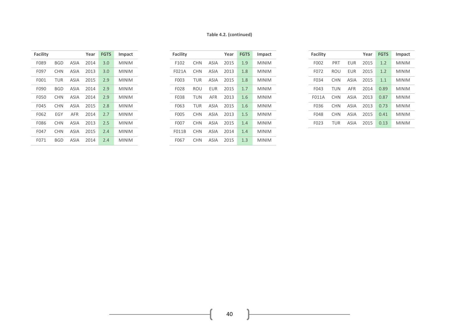## **Table 4.2. (continued)**

| Facility    |            |      | Year | <b>FGTS</b> | Impact       |
|-------------|------------|------|------|-------------|--------------|
| <b>F089</b> | <b>BGD</b> | ASIA | 2014 | 3.0         | <b>MINIM</b> |
| F097        | CHN        | ASIA | 2013 | 3.0         | <b>MINIM</b> |
| F001        | TUR        | ASIA | 2015 | 2.9         | <b>MINIM</b> |
| F090        | BGD        | ASIA | 2014 | 2.9         | <b>MINIM</b> |
| F050        | CHN        | ASIA | 2014 | 2.9         | <b>MINIM</b> |
| F045        | <b>CHN</b> | ASIA | 2015 | 2.8         | <b>MINIM</b> |
| F062        | EGY        | AFR  | 2014 | 2.7         | <b>MINIM</b> |
| F086        | CHN        | ASIA | 2013 | 2.5         | <b>MINIM</b> |
| F047        | <b>CHN</b> | ASIA | 2015 | 2.4         | <b>MINIM</b> |
| F071        | BGD        | ASIA | 2014 | 7.4         | <b>MINIM</b> |

| Facility         |            |             | Year | <b>FGTS</b> | Impact       |
|------------------|------------|-------------|------|-------------|--------------|
| F <sub>102</sub> | <b>CHN</b> | ASIA        | 2015 | 1.9         | <b>MINIM</b> |
| F021A            | <b>CHN</b> | ASIA        | 2013 | 1.8         | MINIM        |
| F003             | TUR        | ASIA        | 2015 | 1.8         | <b>MINIM</b> |
| F028             | ROU        | EUR         | 2015 | 1.7         | <b>MINIM</b> |
| F038             | TUN        | AFR         | 2013 | 1.6         | <b>MINIM</b> |
| F063             | TUR        | ASIA        | 2015 | 1.6         | <b>MINIM</b> |
| F005             | <b>CHN</b> | ASIA        | 2013 | 1.5         | MINIM        |
| F007             | <b>CHN</b> | ASIA        | 2015 | 1.4         | <b>MINIM</b> |
| F011B            | CHN        | ASIA        | 2014 | 1.4         | <b>MINIM</b> |
| F067             | <b>CHN</b> | <b>ASIA</b> | 2015 | 1.3         | MINIM        |

| Facility         |            |      | Year | <b>FGTS</b> | Impact       |
|------------------|------------|------|------|-------------|--------------|
| F <sub>002</sub> | <b>PRT</b> | FUR  | 2015 | 1.2         | <b>MINIM</b> |
| F072             | ROU        | EUR  | 2015 | 1.2         | <b>MINIM</b> |
| F034             | <b>CHN</b> | ASIA | 2015 | 1.1         | <b>MINIM</b> |
| F043             | TUN        | AFR  | 2014 | 0.89        | <b>MINIM</b> |
| F011A            | <b>CHN</b> | ASIA | 2013 | 0.87        | <b>MINIM</b> |
| F036             | <b>CHN</b> | ASIA | 2013 | 0.73        | <b>MINIM</b> |
| F048             | <b>CHN</b> | ASIA | 2015 | 0.41        | <b>MINIM</b> |
| F023             | TUR        | ASIA | 2015 | 0.13        | <b>MINIM</b> |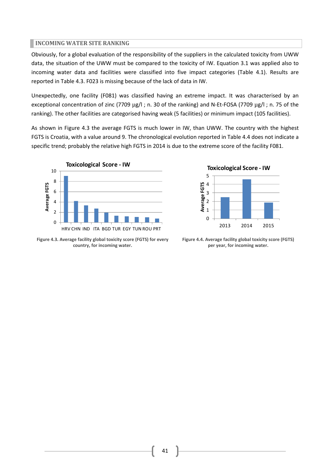## **INCOMING WATER SITE RANKING**

Obviously, for a global evaluation of the responsibility of the suppliers in the calculated toxicity from UWW data, the situation of the UWW must be compared to the toxicity of IW. Equation 3.1 was applied also to incoming water data and facilities were classified into five impact categories (Table 4.1). Results are reported in Table 4.3. F023 is missing because of the lack of data in IW.

Unexpectedly, one facility (F081) was classified having an extreme impact. It was characterised by an exceptional concentration of zinc (7709 µg/l ; n. 30 of the ranking) and N-Et-FOSA (7709 µg/l ; n. 75 of the ranking). The other facilities are categorised having weak (5 facilities) or minimum impact (105 facilities).

As shown in Figure 4.3 the average FGTS is much lower in IW, than UWW. The country with the highest FGTS is Croatia, with a value around 9. The chronological evolution reported in Table 4.4 does not indicate a specific trend; probably the relative high FGTS in 2014 is due to the extreme score of the facility F081.





**Figure 4.3. Average facility global toxicity score (FGTS) for every country, for incoming water.** 

**Figure 4.4. Average facility global toxicity score (FGTS) per year, for incoming water.**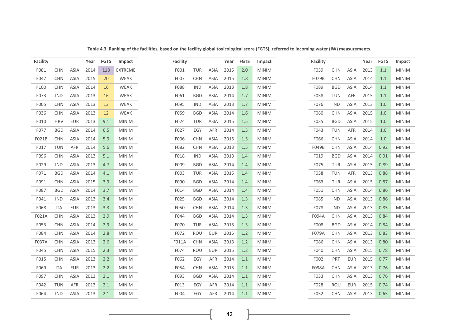| Facility     |            |             | Year | <b>FGTS</b> | Impact       | Facility |            |             | Year | <b>FGTS</b> | Impact       | <b>Facility</b> |            |             | Year | <b>FGTS</b> | Impact       |
|--------------|------------|-------------|------|-------------|--------------|----------|------------|-------------|------|-------------|--------------|-----------------|------------|-------------|------|-------------|--------------|
| F081         | <b>CHN</b> | <b>ASIA</b> | 2014 | 118         | EXTREME      | F001     | <b>TUR</b> | ASIA        | 2015 | 2.0         | <b>MINIM</b> | F039            | <b>CHN</b> | ASIA        | 2013 | 1.1         | <b>MINIM</b> |
| F047         | <b>CHN</b> | <b>ASIA</b> | 2015 | 20          | <b>WEAK</b>  | F007     | <b>CHN</b> | ASIA        | 2015 | 1.8         | <b>MINIM</b> | F079B           | <b>CHN</b> | <b>ASIA</b> | 2014 | 1.1         | <b>MINIM</b> |
| F100         | <b>CHN</b> | ASIA        | 2014 | 16          | <b>WEAK</b>  | F088     | <b>IND</b> | <b>ASIA</b> | 2013 | 1.8         | <b>MINIM</b> | F089            | <b>BGD</b> | ASIA        | 2014 | 1.1         | <b>MINIM</b> |
| F073         | IND.       | ASIA        | 2013 | 16          | WEAK         | F061     | <b>BGD</b> | ASIA        | 2014 | 1.7         | <b>MINIM</b> | F058            | <b>TUN</b> | <b>AFR</b>  | 2015 | 1.1         | <b>MINIM</b> |
| F005         | <b>CHN</b> | <b>ASIA</b> | 2013 | 13          | <b>WEAK</b>  | F095     | <b>IND</b> | ASIA        | 2013 | 1.7         | <b>MINIM</b> | F076            | <b>IND</b> | <b>ASIA</b> | 2013 | 1.0         | <b>MINIM</b> |
| F036         | <b>CHN</b> | ASIA        | 2013 | 12          | <b>WEAK</b>  | F059     | <b>BGD</b> | ASIA        | 2014 | 1.6         | <b>MINIM</b> | F080            | <b>CHN</b> | ASIA        | 2015 | 1.0         | <b>MINIM</b> |
| F010         | <b>HRV</b> | <b>EUR</b>  | 2013 | 9.1         | <b>MINIM</b> | F024     | <b>TUR</b> | ASIA        | 2015 | 1.5         | <b>MINIM</b> | F035            | <b>BGD</b> | <b>ASIA</b> | 2015 | 1.0         | <b>MINIM</b> |
| F077         | <b>BGD</b> | <b>ASIA</b> | 2014 | 6.5         | <b>MINIM</b> | F027     | EGY        | AFR         | 2014 | 1.5         | <b>MINIM</b> | F043            | <b>TUN</b> | <b>AFR</b>  | 2014 | 1.0         | <b>MINIM</b> |
| F021B        | <b>CHN</b> | ASIA        | 2014 | 5.9         | <b>MINIM</b> | F006     | <b>CHN</b> | ASIA        | 2015 | 1.5         | <b>MINIM</b> | F066            | <b>CHN</b> | ASIA        | 2014 | 1.0         | <b>MINIM</b> |
| F017         | <b>TUN</b> | <b>AFR</b>  | 2014 | 5.6         | <b>MINIM</b> | F082     | <b>CHN</b> | ASIA        | 2013 | 1.5         | <b>MINIM</b> | F049B           | <b>CHN</b> | ASIA        | 2014 | 0.92        | <b>MINIM</b> |
| F096         | <b>CHN</b> | <b>ASIA</b> | 2013 | 5.1         | <b>MINIM</b> | F018     | <b>IND</b> | <b>ASIA</b> | 2013 | 1.4         | <b>MINIM</b> | F019            | <b>BGD</b> | ASIA        | 2014 | 0.91        | <b>MINIM</b> |
| F029         | <b>IND</b> | ASIA        | 2013 | 4.7         | <b>MINIM</b> | F009     | <b>BGD</b> | <b>ASIA</b> | 2014 | 1.4         | <b>MINIM</b> | F075            | <b>TUR</b> | <b>ASIA</b> | 2015 | 0.89        | <b>MINIM</b> |
| F071         | <b>BGD</b> | <b>ASIA</b> | 2014 | 4.1         | <b>MINIM</b> | F003     | <b>TUR</b> | ASIA        | 2015 | 1.4         | <b>MINIM</b> | F038            | <b>TUN</b> | <b>AFR</b>  | 2013 | 0.88        | <b>MINIM</b> |
| F091         | <b>CHN</b> | <b>ASIA</b> | 2015 | 3.9         | <b>MINIM</b> | F090     | <b>BGD</b> | <b>ASIA</b> | 2014 | 1.4         | <b>MINIM</b> | F063            | <b>TUR</b> | ASIA        | 2015 | 0.87        | <b>MINIM</b> |
| F087         | <b>BGD</b> | <b>ASIA</b> | 2014 | 3.7         | <b>MINIM</b> | F014     | <b>BGD</b> | <b>ASIA</b> | 2014 | 1.4         | <b>MINIM</b> | F051            | <b>CHN</b> | ASIA        | 2014 | 0.86        | <b>MINIM</b> |
| F041         | <b>IND</b> | <b>ASIA</b> | 2013 | 3.4         | <b>MINIM</b> | F025     | <b>BGD</b> | ASIA        | 2014 | 1.3         | <b>MINIM</b> | F085            | <b>IND</b> | ASIA        | 2013 | 0.86        | <b>MINIM</b> |
| F068         | <b>ITA</b> | <b>EUR</b>  | 2013 | 3.3         | <b>MINIM</b> | F050     | <b>CHN</b> | ASIA        | 2014 | 1.3         | <b>MINIM</b> | F078            | <b>IND</b> | ASIA        | 2013 | 0.85        | <b>MINIM</b> |
| F021A        | <b>CHN</b> | <b>ASIA</b> | 2013 | 2.9         | <b>MINIM</b> | F044     | <b>BGD</b> | ASIA        | 2014 | 1.3         | <b>MINIM</b> | F094A           | <b>CHN</b> | <b>ASIA</b> | 2013 | 0.84        | <b>MINIM</b> |
| F053         | <b>CHN</b> | <b>ASIA</b> | 2014 | 2.9         | <b>MINIM</b> | F070     | <b>TUR</b> | <b>ASIA</b> | 2015 | 1.3         | <b>MINIM</b> | F008            | <b>BGD</b> | ASIA        | 2014 | 0.84        | <b>MINIM</b> |
| F084         | <b>CHN</b> | <b>ASIA</b> | 2014 | 2.8         | <b>MINIM</b> | F072     | ROU        | <b>EUR</b>  | 2015 | 1.2         | <b>MINIM</b> | F079A           | <b>CHN</b> | ASIA        | 2013 | 0.83        | <b>MINIM</b> |
| <b>F037A</b> | <b>CHN</b> | ASIA        | 2013 | 2.6         | <b>MINIM</b> | F011A    | <b>CHN</b> | ASIA        | 2013 | 1.2         | <b>MINIM</b> | F086            | <b>CHN</b> | <b>ASIA</b> | 2013 | 0.80        | <b>MINIM</b> |
| F045         | <b>CHN</b> | ASIA        | 2015 | 2.3         | <b>MINIM</b> | F074     | ROU        | <b>EUR</b>  | 2015 | 1.2         | <b>MINIM</b> | F040            | <b>CHN</b> | ASIA        | 2015 | 0.78        | <b>MINIM</b> |
| F015         | <b>CHN</b> | <b>ASIA</b> | 2013 | 2.2         | <b>MINIM</b> | F062     | <b>EGY</b> | AFR         | 2014 | 1.1         | <b>MINIM</b> | F002            | <b>PRT</b> | <b>EUR</b>  | 2015 | 0.77        | <b>MINIM</b> |
| F069         | <b>ITA</b> | <b>EUR</b>  | 2013 | 2.2         | <b>MINIM</b> | F054     | <b>CHN</b> | ASIA        | 2015 | 1.1         | <b>MINIM</b> | <b>F098A</b>    | <b>CHN</b> | ASIA        | 2013 | 0.76        | <b>MINIM</b> |
| F097         | <b>CHN</b> | ASIA        | 2013 | 2.1         | <b>MINIM</b> | F093     | <b>BGD</b> | <b>ASIA</b> | 2014 | 1.1         | <b>MINIM</b> | F033            | <b>CHN</b> | ASIA        | 2013 | 0.76        | <b>MINIM</b> |
| F042         | <b>TUN</b> | <b>AFR</b>  | 2013 | 2.1         | <b>MINIM</b> | F013     | EGY        | AFR         | 2014 | 1.1         | <b>MINIM</b> | F028            | ROU        | EUR         | 2015 | 0.74        | <b>MINIM</b> |
| F064         | <b>IND</b> | <b>ASIA</b> | 2013 | 2.1         | <b>MINIM</b> | F004     | <b>EGY</b> | <b>AFR</b>  | 2014 | 1.1         | <b>MINIM</b> | F052            | <b>CHN</b> | <b>ASIA</b> | 2013 | 0.65        | <b>MINIM</b> |
|              |            |             |      |             |              |          |            |             |      |             |              |                 |            |             |      |             |              |

**Table 4.3. Ranking of the facilities, based on the facility global toxicological score (FGTS), referred to incoming water (IW) measurements.** 

42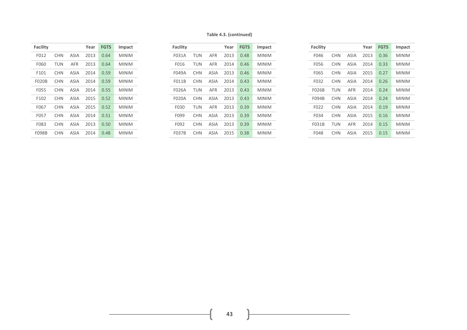| Facility         |     |      | Year | <b>FGTS</b> | Impact       |
|------------------|-----|------|------|-------------|--------------|
| F012             | CHN | ASIA | 2013 | 0.64        | <b>MINIM</b> |
| F060             | TUN | AFR  | 2013 | 0.64        | <b>MINIM</b> |
| F101             | CHN | ASIA | 2014 | 0.59        | <b>MINIM</b> |
| F020B            | CHN | ASIA | 2014 | 0.59        | <b>MINIM</b> |
| F055             | CHN | ASIA | 2014 | 0.55        | <b>MINIM</b> |
| F <sub>102</sub> | CHN | ASIA | 2015 | 0.52        | <b>MINIM</b> |
| F067             | CHN | ASIA | 2015 | 0.52        | <b>MINIM</b> |
| F057             | CHN | ASIA | 2014 | 0.51        | <b>MINIM</b> |
| F083             | CHN | ASIA | 2013 | 0.50        | <b>MINIM</b> |
| F098B            | CHN | ASIA | 2014 | 0.48        | <b>MINIM</b> |
|                  |     |      |      |             |              |

| Facility |            |            | Year | <b>FGTS</b> | Impact       |
|----------|------------|------------|------|-------------|--------------|
| F031A    | TUN        | AFR        | 2013 | 0.48        | <b>MINIM</b> |
| F016     | TUN        | <b>AFR</b> | 2014 | 0.46        | <b>MINIM</b> |
| F049A    | <b>CHN</b> | ASIA       | 2013 | 0.46        | <b>MINIM</b> |
| F011B    | <b>CHN</b> | ASIA       | 2014 | 0.43        | <b>MINIM</b> |
| F026A    | TUN        | AFR        | 2013 | 0.43        | <b>MINIM</b> |
| F020A    | <b>CHN</b> | ASIA       | 2013 | 0.43        | <b>MINIM</b> |
| F030     | TUN        | AFR        | 2013 | 0.39        | <b>MINIM</b> |
| F099     | <b>CHN</b> | ASIA       | 2013 | 0.39        | <b>MINIM</b> |
| F092     | <b>CHN</b> | ASIA       | 2013 | 0.39        | <b>MINIM</b> |
| F037B    | <b>CHN</b> | ASIA       | 2015 | 0.38        | <b>MINIM</b> |

| <b>Facility</b> |            |      | Year | <b>FGTS</b> | Impact       |
|-----------------|------------|------|------|-------------|--------------|
| F046            | <b>CHN</b> | ASIA | 2013 | 0.36        | <b>MINIM</b> |
| F056            | <b>CHN</b> | ASIA | 2014 | 0.33        | <b>MINIM</b> |
| F065            | <b>CHN</b> | ASIA | 2015 | 0.27        | MINIM        |
| F032            | <b>CHN</b> | ASIA | 2014 | 0.26        | <b>MINIM</b> |
| F026B           | TUN        | AFR  | 2014 | 0.24        | <b>MINIM</b> |
| F094B           | <b>CHN</b> | ASIA | 2014 | 0.24        | <b>MINIM</b> |
| F022            | <b>CHN</b> | ASIA | 2014 | 0.19        | MINIM        |
| F034            | <b>CHN</b> | ASIA | 2015 | 0.16        | <b>MINIM</b> |
| F031B           | TUN        | AFR  | 2014 | 0.15        | MINIM        |
| F048            | CHN        | ASIA | 2015 | 0.15        | MINIM        |
|                 |            |      |      |             |              |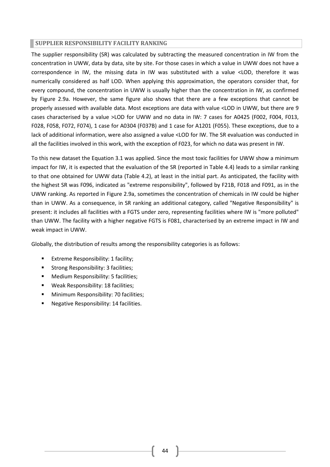## **SUPPLIER RESPONSIBILITY FACILITY RANKING**

The supplier responsibility (SR) was calculated by subtracting the measured concentration in IW from the concentration in UWW, data by data, site by site. For those cases in which a value in UWW does not have a correspondence in IW, the missing data in IW was substituted with a value <LOD, therefore it was numerically considered as half LOD. When applying this approximation, the operators consider that, for every compound, the concentration in UWW is usually higher than the concentration in IW, as confirmed by Figure 2.9a. However, the same figure also shows that there are a few exceptions that cannot be properly assessed with available data. Most exceptions are data with value <LOD in UWW, but there are 9 cases characterised by a value >LOD for UWW and no data in IW: 7 cases for A0425 (F002, F004, F013, F028, F058, F072, F074), 1 case for A0304 (F037B) and 1 case for A1201 (F055). These exceptions, due to a lack of additional information, were also assigned a value <LOD for IW. The SR evaluation was conducted in all the facilities involved in this work, with the exception of F023, for which no data was present in IW.

To this new dataset the Equation 3.1 was applied. Since the most toxic facilities for UWW show a minimum impact for IW, it is expected that the evaluation of the SR (reported in Table 4.4) leads to a similar ranking to that one obtained for UWW data (Table 4.2), at least in the initial part. As anticipated, the facility with the highest SR was F096, indicated as "extreme responsibility", followed by F21B, F018 and F091, as in the UWW ranking. As reported in Figure 2.9a, sometimes the concentration of chemicals in IW could be higher than in UWW. As a consequence, in SR ranking an additional category, called "Negative Responsibility" is present: it includes all facilities with a FGTS under zero, representing facilities where IW is "more polluted" than UWW. The facility with a higher negative FGTS is F081, characterised by an extreme impact in IW and weak impact in UWW.

Globally, the distribution of results among the responsibility categories is as follows:

- Extreme Responsibility: 1 facility;
- Strong Responsibility: 3 facilities;
- **Medium Responsibility: 5 facilities;**
- **Weak Responsibility: 18 facilities;**
- Minimum Responsibility: 70 facilities;
- **Negative Responsibility: 14 facilities.**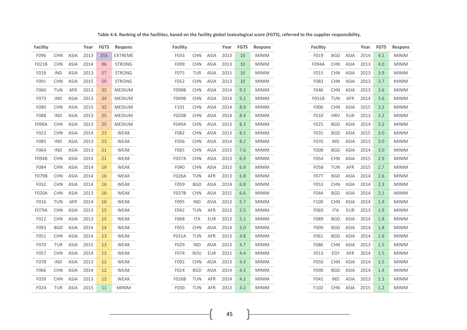**Table 4.4. Ranking of the facilities, based on the facility global toxicological score (FGTS), referred to the supplier responsibility.** 

| <b>Facility</b> |            |             | Year | <b>FGTS</b> | <b>Respons</b> |
|-----------------|------------|-------------|------|-------------|----------------|
| F096            | <b>CHN</b> | <b>ASIA</b> | 2013 | 355         | <b>EXTREME</b> |
| F021B           | <b>CHN</b> | ASIA        | 2014 | 86          | <b>STRONG</b>  |
| F018            | <b>IND</b> | <b>ASIA</b> | 2013 | 57          | STRONG         |
| F091            | <b>CHN</b> | <b>ASIA</b> | 2015 | 50          | <b>STRONG</b>  |
| F060            | <b>TUN</b> | <b>AFR</b>  | 2013 | 35          | <b>MEDIUM</b>  |
| F073            | IND        | <b>ASIA</b> | 2013 | 34          | <b>MEDIUM</b>  |
| F080            | <b>CHN</b> | <b>ASIA</b> | 2015 | 32          | <b>MEDIUM</b>  |
| F088            | IND        | <b>ASIA</b> | 2013 | 25          | <b>MEDIUM</b>  |
| F098A           | <b>CHN</b> | <b>ASIA</b> | 2013 | 25          | <b>MEDIUM</b>  |
| F022            | <b>CHN</b> | <b>ASIA</b> | 2014 | 23          | <b>WEAK</b>    |
| F085            | <b>IND</b> | <b>ASIA</b> | 2013 | 23          | <b>WEAK</b>    |
| F064            | IND        | <b>ASIA</b> | 2013 | 21          | <b>WEAK</b>    |
| F094B           | <b>CHN</b> | <b>ASIA</b> | 2014 | 21          | <b>WEAK</b>    |
| F084            | <b>CHN</b> | <b>ASIA</b> | 2014 | 19          | <b>WEAK</b>    |
| F079B           | <b>CHN</b> | <b>ASIA</b> | 2014 | 16          | <b>WEAK</b>    |
| F032            | <b>CHN</b> | ASIA        | 2014 | 16          | <b>WEAK</b>    |
| F020A           | <b>CHN</b> | <b>ASIA</b> | 2013 | 16          | <b>WEAK</b>    |
| F016            | TUN        | AFR         | 2014 | 16          | <b>WEAK</b>    |
| F079A           | <b>CHN</b> | <b>ASIA</b> | 2013 | 15          | <b>WEAK</b>    |
| F012            | CHN        | ASIA        | 2013 | 15          | WEAK           |
| F093            | <b>BGD</b> | <b>ASIA</b> | 2014 | 14          | <b>WEAK</b>    |
| F051            | <b>CHN</b> | <b>ASIA</b> | 2014 | 13          | <b>WEAK</b>    |
| F070            | TUR        | ASIA        | 2015 | 13          | WEAK           |
| F057            | <b>CHN</b> | <b>ASIA</b> | 2014 | 13          | <b>WEAK</b>    |
| F078            | <b>IND</b> | <b>ASIA</b> | 2013 | 12          | <b>WEAK</b>    |
| F066            | CHN        | ASIA        | 2014 | 12          | WEAK           |
| F039            | <b>CHN</b> | <b>ASIA</b> | 2013 | 12          | WEAK           |
| F024            | TUR        | <b>ASIA</b> | 2015 | 11          | <b>MINIM</b>   |

| <b>Facility</b> |            |             | Year | <b>FGTS</b> | <b>Respons</b> |
|-----------------|------------|-------------|------|-------------|----------------|
| F033            | <b>CHN</b> | <b>ASIA</b> | 2013 | 10          | MINIM          |
| F099            | <b>CHN</b> | ASIA        | 2013 | 10          | <b>MINIM</b>   |
| F075            | <b>TUR</b> | <b>ASIA</b> | 2015 | 10          | <b>MINIM</b>   |
| F052            | <b>CHN</b> | ASIA        | 2013 | 10          | <b>MINIM</b>   |
| F098B           | CHN        | ASIA        | 2014 | 9.2         | <b>MINIM</b>   |
| F049B           | <b>CHN</b> | <b>ASIA</b> | 2014 | 9.2         | <b>MINIM</b>   |
| F101            | <b>CHN</b> | ASIA        | 2014 | 8.9         | <b>MINIM</b>   |
| <b>F020B</b>    | <b>CHN</b> | ASIA        | 2014 | 8.4         | <b>MINIM</b>   |
| F049A           | CHN        | ASIA        | 2013 | 8.3         | <b>MINIM</b>   |
| F082            | <b>CHN</b> | ASIA        | 2013 | 8.2         | <b>MINIM</b>   |
| F056            | CHN        | ASIA        | 2014 | 8.2         | <b>MINIM</b>   |
| F065            | <b>CHN</b> | <b>ASIA</b> | 2015 | 7.6         | <b>MINIM</b>   |
| F037A           | <b>CHN</b> | <b>ASIA</b> | 2013 | 6.9         | <b>MINIM</b>   |
| F040            | <b>CHN</b> | ASIA        | 2015 | 6.9         | <b>MINIM</b>   |
| F026A           | TUN        | <b>AFR</b>  | 2013 | 6.8         | <b>MINIM</b>   |
| F059            | <b>BGD</b> | <b>ASIA</b> | 2014 | 6.8         | <b>MINIM</b>   |
| F037B           | <b>CHN</b> | ASIA        | 2015 | 6.6         | <b>MINIM</b>   |
| F095            | <b>IND</b> | ASIA        | 2013 | 5.7         | <b>MINIM</b>   |
| F042            | TUN        | AFR         | 2013 | 5.5         | <b>MINIM</b>   |
| F068            | ITA        | <b>EUR</b>  | 2013 | 5.1         | <b>MINIM</b>   |
| F055            | <b>CHN</b> | ASIA        | 2014 | 5.0         | <b>MINIM</b>   |
| F031A           | TUN        | AFR         | 2013 | 4.8         | MINIM          |
| F029            | <b>IND</b> | ASIA        | 2013 | 4.7         | <b>MINIM</b>   |
| F074            | ROU        | <b>EUR</b>  | 2015 | 4.4         | <b>MINIM</b>   |
| F092            | CHN        | ASIA        | 2013 | 4.3         | MINIM          |
| F014            | <b>BGD</b> | ASIA        | 2014 | 4.3         | MINIM          |
| F026B           | <b>TUN</b> | AFR         | 2014 | 4.2         | <b>MINIM</b>   |
| F030            | TUN        | AFR         | 2013 | 4.2         | <b>MINIM</b>   |

| <b>Facility</b> |            |             | Year | <b>FGTS</b> | <b>Respons</b> |
|-----------------|------------|-------------|------|-------------|----------------|
| F019            | BGD        | ASIA        | 2014 | 4.1         | MINIM          |
| F094A           | <b>CHN</b> | ASIA        | 2013 | 4.0         | <b>MINIM</b>   |
| F015            | <b>CHN</b> | ASIA        | 2013 | 3.9         | <b>MINIM</b>   |
| F083            | <b>CHN</b> | ASIA        | 2013 | 3.7         | <b>MINIM</b>   |
| F046            | <b>CHN</b> | ASIA        | 2013 | 3.6         | <b>MINIM</b>   |
| F031B           | <b>TUN</b> | <b>AFR</b>  | 2014 | 3.6         | <b>MINIM</b>   |
| F006            | CHN        | ASIA        | 2015 | 3.2         | <b>MINIM</b>   |
| F010            | HRV        | EUR         | 2013 | 3.2         | <b>MINIM</b>   |
| F025            | <b>BGD</b> | ASIA        | 2014 | 3.2         | <b>MINIM</b>   |
| F035            | BGD        | ASIA        | 2015 | 3.0         | <b>MINIM</b>   |
| F076            | IND        | ASIA        | 2013 | 3.0         | <b>MINIM</b>   |
| F008            | <b>BGD</b> | ASIA        | 2014 | 3.0         | <b>MINIM</b>   |
| F054            | <b>CHN</b> | <b>ASIA</b> | 2015 | 2.9         | <b>MINIM</b>   |
| F058            | TUN        | <b>AFR</b>  | 2015 | 2.7         | <b>MINIM</b>   |
| F077            | BGD        | ASIA        | 2014 | 2.6         | <b>MINIM</b>   |
| F053            | <b>CHN</b> | ASIA        | 2014 | 2.3         | <b>MINIM</b>   |
| F044            | BGD        | ASIA        | 2014 | 2.1         | <b>MINIM</b>   |
| F100            | <b>CHN</b> | ASIA        | 2014 | 1.9         | <b>MINIM</b>   |
| F069            | <b>ITA</b> | <b>EUR</b>  | 2013 | 1.9         | <b>MINIM</b>   |
| F089            | BGD        | ASIA        | 2014 | 1.8         | <b>MINIM</b>   |
| F009            | <b>BGD</b> | ASIA        | 2014 | 1.8         | <b>MINIM</b>   |
| F061            | BGD        | ASIA        | 2014 | 1.6         | <b>MINIM</b>   |
| F086            | <b>CHN</b> | ASIA        | 2013 | 1.5         | <b>MINIM</b>   |
| F013            | EGY        | AFR         | 2014 | 1.5         | <b>MINIM</b>   |
| F050            | <b>CHN</b> | ASIA        | 2014 | 1.5         | <b>MINIM</b>   |
| F090            | <b>BGD</b> | ASIA        | 2014 | 1.4         | <b>MINIM</b>   |
| F041            | <b>IND</b> | ASIA        | 2013 | 1.3         | <b>MINIM</b>   |
| F102            | <b>CHN</b> | <b>ASIA</b> | 2015 | 1.2         | <b>MINIM</b>   |
|                 |            |             |      |             |                |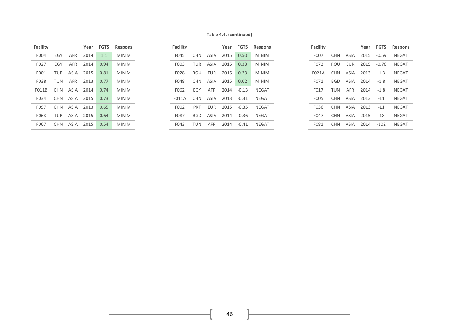| <b>Facility</b> |      |      | Year | <b>FGTS</b> | <b>Respons</b> |
|-----------------|------|------|------|-------------|----------------|
| F004            | FGY  | AFR  | 2014 | 1.1         | <b>MINIM</b>   |
| F027            | FGY  | AFR  | 2014 | 0.94        | <b>MINIM</b>   |
| F001            | TUR  | ASIA | 2015 | 0.81        | <b>MINIM</b>   |
| F038            | TUN  | AFR  | 2013 | 0.77        | <b>MINIM</b>   |
| F011B           | CHN. | ASIA | 2014 | 0.74        | <b>MINIM</b>   |
| F034            | CHN. | ASIA | 2015 | 0.73        | <b>MINIM</b>   |
| F097            | CHN. | ASIA | 2013 | 0.65        | <b>MINIM</b>   |
| F063            | TUR  | ASIA | 2015 | 0.64        | <b>MINIM</b>   |
| F067            | CHN  | ASIA | 2015 | 0.54        | <b>MINIM</b>   |
|                 |      |      |      |             |                |

## **Table 4.4. (continued)**

| <b>Facility</b> |            |            | Year | <b>FGTS</b> | <b>Respons</b> |
|-----------------|------------|------------|------|-------------|----------------|
| F045            | <b>CHN</b> | ASIA       | 2015 | 0.50        | <b>MINIM</b>   |
| F003            | <b>TUR</b> | ASIA       | 2015 | 0.33        | <b>MINIM</b>   |
| F028            | ROU        | <b>EUR</b> | 2015 | 0.23        | <b>MINIM</b>   |
| F048            | <b>CHN</b> | ASIA       | 2015 | 0.02        | <b>MINIM</b>   |
| F062            | EGY        | <b>AFR</b> | 2014 | $-0.13$     | <b>NEGAT</b>   |
| F011A           | <b>CHN</b> | ASIA       | 2013 | $-0.31$     | <b>NEGAT</b>   |
| F002            | PRT        | FUR        | 2015 | $-0.35$     | <b>NFGAT</b>   |
| F087            | <b>BGD</b> | ASIA       | 2014 | $-0.36$     | <b>NEGAT</b>   |
| F043            | <b>TUN</b> | AFR        | 2014 | $-0.41$     | <b>NEGAT</b>   |

| Facility    |            |             | Year | <b>FGTS</b> | <b>Respons</b> |
|-------------|------------|-------------|------|-------------|----------------|
| F007        | <b>CHN</b> | <b>ASIA</b> | 2015 | $-0.59$     | <b>NEGAT</b>   |
| F072        | ROU        | <b>EUR</b>  | 2015 | $-0.76$     | NEGAT          |
| F021A       | <b>CHN</b> | ASIA        | 2013 | $-1.3$      | NFGAT          |
| F071        | <b>BGD</b> | <b>ASIA</b> | 2014 | $-1.8$      | <b>NEGAT</b>   |
| F017        | <b>TUN</b> | AFR         | 2014 | $-1.8$      | <b>NEGAT</b>   |
| <b>F005</b> | <b>CHN</b> | ASIA        | 2013 | $-11$       | <b>NEGAT</b>   |
| F036        | <b>CHN</b> | ASIA        | 2013 | $-11$       | <b>NEGAT</b>   |
| F047        | <b>CHN</b> | ASIA        | 2015 | $-18$       | <b>NEGAT</b>   |
| F081        | <b>CHN</b> | ASIA        | 2014 | $-102$      | <b>NEGAT</b>   |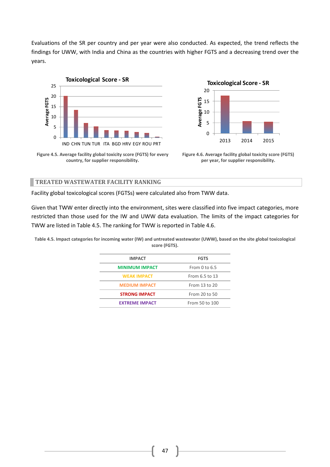Evaluations of the SR per country and per year were also conducted. As expected, the trend reflects the findings for UWW, with India and China as the countries with higher FGTS and a decreasing trend over the years.







**Figure 4.6. Average facility global toxicity score (FGTS) per year, for supplier responsibility.** 

## **TREATED WASTEWATER FACILITY RANKING**

Facility global toxicological scores (FGTSs) were calculated also from TWW data.

Given that TWW enter directly into the environment, sites were classified into five impact categories, more restricted than those used for the IW and UWW data evaluation. The limits of the impact categories for TWW are listed in Table 4.5. The ranking for TWW is reported in Table 4.6.

**Table 4.5. Impact categories for incoming water (IW) and untreated wastewater (UWW), based on the site global toxicological score (FGTS).** 

| <b>IMPACT</b>         | <b>FGTS</b>     |  |  |
|-----------------------|-----------------|--|--|
| <b>MINIMUM IMPACT</b> | From 0 to $6.5$ |  |  |
| <b>WEAK IMPACT</b>    | From 6.5 to 13  |  |  |
| <b>MEDIUM IMPACT</b>  | From 13 to 20   |  |  |
| <b>STRONG IMPACT</b>  | From 20 to 50   |  |  |
| <b>EXTREME IMPACT</b> | From 50 to 100  |  |  |
|                       |                 |  |  |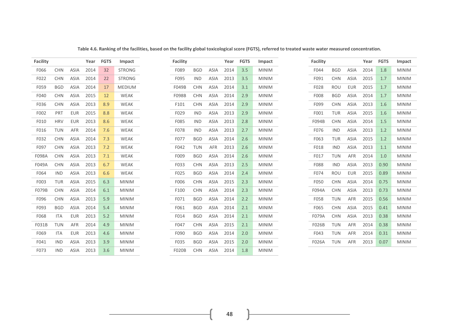|            |             | Year | <b>FGTS</b> | Impact        | Facility     |            |             | Year | <b>FGTS</b> | Impact       | Facility |            |             | Year | <b>FGTS</b> | Impact       |
|------------|-------------|------|-------------|---------------|--------------|------------|-------------|------|-------------|--------------|----------|------------|-------------|------|-------------|--------------|
| <b>CHN</b> | <b>ASIA</b> | 2014 | 32          | <b>STRONG</b> | F089         | <b>BGD</b> | <b>ASIA</b> | 2014 | 3.5         | <b>MINIM</b> | F044     | <b>BGD</b> | <b>ASIA</b> | 2014 | 1.8         | <b>MINIM</b> |
| <b>CHN</b> | <b>ASIA</b> | 2014 | 22          | <b>STRONG</b> | F095         | <b>IND</b> | <b>ASIA</b> | 2013 | 3.5         | <b>MINIM</b> | F091     | <b>CHN</b> | <b>ASIA</b> | 2015 | 1.7         | <b>MINIM</b> |
| <b>BGD</b> | ASIA        | 2014 | 17          | <b>MEDIUM</b> | F049B        | <b>CHN</b> | <b>ASIA</b> | 2014 | 3.1         | <b>MINIM</b> | F028     | <b>ROU</b> | <b>EUR</b>  | 2015 | 1.7         | <b>MINIM</b> |
| <b>CHN</b> | <b>ASIA</b> | 2015 | 12          | <b>WEAK</b>   | <b>F098B</b> | <b>CHN</b> | <b>ASIA</b> | 2014 | 2.9         | <b>MINIM</b> | F008     | <b>BGD</b> | <b>ASIA</b> | 2014 | 1.7         | <b>MINIM</b> |
| <b>CHN</b> | <b>ASIA</b> | 2013 | 8.9         | <b>WEAK</b>   | F101         | <b>CHN</b> | <b>ASIA</b> | 2014 | 2.9         | <b>MINIM</b> | F099     | <b>CHN</b> | <b>ASIA</b> | 2013 | 1.6         | <b>MINIM</b> |
| PRT        | <b>EUR</b>  | 2015 | 8.8         | <b>WEAK</b>   | F029         | <b>IND</b> | <b>ASIA</b> | 2013 | 2.9         | <b>MINIM</b> | F001     | <b>TUR</b> | <b>ASIA</b> | 2015 | 1.6         | <b>MINIM</b> |
| <b>HRV</b> | <b>EUR</b>  | 2013 | 8.6         | <b>WEAK</b>   | F085         | <b>IND</b> | <b>ASIA</b> | 2013 | 2.8         | <b>MINIM</b> | F094B    | <b>CHN</b> | <b>ASIA</b> | 2014 | 1.5         | <b>MINIM</b> |
| <b>TUN</b> | AFR         | 2014 | 7.6         | <b>WEAK</b>   | F078         | <b>IND</b> | <b>ASIA</b> | 2013 | 2.7         | <b>MINIM</b> | F076     | <b>IND</b> | <b>ASIA</b> | 2013 | 1.2         | <b>MINIM</b> |
| <b>CHN</b> | ASIA        | 2014 | 7.3         | <b>WEAK</b>   | F077         | <b>BGD</b> | <b>ASIA</b> | 2014 | 2.6         | <b>MINIM</b> | F063     | <b>TUR</b> | <b>ASIA</b> | 2015 | 1.2         | <b>MINIM</b> |
| <b>CHN</b> | ASIA        | 2013 | 7.2         | <b>WEAK</b>   | F042         | <b>TUN</b> | <b>AFR</b>  | 2013 | 2.6         | <b>MINIM</b> | F018     | <b>IND</b> | <b>ASIA</b> | 2013 | 1.1         | <b>MINIM</b> |
| <b>CHN</b> | ASIA        | 2013 | 7.1         | <b>WEAK</b>   | F009         | <b>BGD</b> | <b>ASIA</b> | 2014 | 2.6         | <b>MINIM</b> | F017     | <b>TUN</b> | <b>AFR</b>  | 2014 | 1.0         | <b>MINIM</b> |
| <b>CHN</b> | ASIA        | 2013 | 6.7         | <b>WEAK</b>   | F033         | <b>CHN</b> | <b>ASIA</b> | 2013 | 2.5         | <b>MINIM</b> | F088     | <b>IND</b> | <b>ASIA</b> | 2013 | 0.90        | <b>MINIM</b> |
| <b>IND</b> | <b>ASIA</b> | 2013 | 6.6         | <b>WEAK</b>   | F025         | <b>BGD</b> | <b>ASIA</b> | 2014 | 2.4         | <b>MINIM</b> | F074     | <b>ROU</b> | <b>EUR</b>  | 2015 | 0.89        | <b>MINIM</b> |
| <b>TUR</b> | <b>ASIA</b> | 2015 | 6.3         | <b>MINIM</b>  | F006         | <b>CHN</b> | <b>ASIA</b> | 2015 | 2.3         | <b>MINIM</b> | F050     | <b>CHN</b> | <b>ASIA</b> | 2014 | 0.75        | <b>MINIM</b> |
| <b>CHN</b> | ASIA        | 2014 | 6.1         | <b>MINIM</b>  | F100         | <b>CHN</b> | <b>ASIA</b> | 2014 | 2.3         | <b>MINIM</b> | F094A    | <b>CHN</b> | ASIA        | 2013 | 0.73        | <b>MINIM</b> |
| <b>CHN</b> | ASIA        | 2013 | 5.9         | <b>MINIM</b>  | F071         | <b>BGD</b> | <b>ASIA</b> | 2014 | 2.2         | <b>MINIM</b> | F058     | <b>TUN</b> | <b>AFR</b>  | 2015 | 0.56        | <b>MINIM</b> |
| <b>BGD</b> | <b>ASIA</b> | 2014 | 5.4         | <b>MINIM</b>  | F061         | <b>BGD</b> | <b>ASIA</b> | 2014 | 2.1         | <b>MINIM</b> | F065     | <b>CHN</b> | <b>ASIA</b> | 2015 | 0.41        | <b>MINIM</b> |
| <b>ITA</b> | EUR         | 2013 | 5.2         | <b>MINIM</b>  | F014         | <b>BGD</b> | <b>ASIA</b> | 2014 | 2.1         | <b>MINIM</b> | F079A    | <b>CHN</b> | ASIA        | 2013 | 0.38        | <b>MINIM</b> |
| <b>TUN</b> | AFR         | 2014 | 4.9         | <b>MINIM</b>  | F047         | <b>CHN</b> | <b>ASIA</b> | 2015 | 2.1         | <b>MINIM</b> | F026B    | <b>TUN</b> | <b>AFR</b>  | 2014 | 0.38        | <b>MINIM</b> |
| <b>ITA</b> | <b>EUR</b>  | 2013 | 4.6         | <b>MINIM</b>  | F090         | <b>BGD</b> | <b>ASIA</b> | 2014 | 2.0         | <b>MINIM</b> | F043     | <b>TUN</b> | <b>AFR</b>  | 2014 | 0.31        | <b>MINIM</b> |
| <b>IND</b> | <b>ASIA</b> | 2013 | 3.9         | <b>MINIM</b>  | F035         | <b>BGD</b> | <b>ASIA</b> | 2015 | 2.0         | <b>MINIM</b> | F026A    | <b>TUN</b> | <b>AFR</b>  | 2013 | 0.07        | <b>MINIM</b> |
| <b>IND</b> | ASIA        | 2013 | 3.6         | <b>MINIM</b>  | <b>F020B</b> | <b>CHN</b> | <b>ASIA</b> | 2014 | 1.8         | <b>MINIM</b> |          |            |             |      |             |              |
|            |             |      |             |               |              |            |             |      |             |              |          |            |             |      |             |              |

**Table 4.6. Ranking of the facilities, based on the facility global toxicological score (FGTS), referred to treated waste water measured concentration.**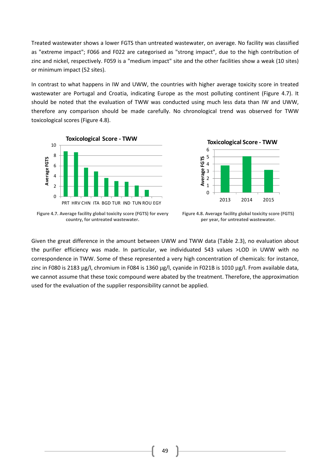Treated wastewater shows a lower FGTS than untreated wastewater, on average. No facility was classified as "extreme impact"; F066 and F022 are categorised as "strong impact", due to the high contribution of zinc and nickel, respectively. F059 is a "medium impact" site and the other facilities show a weak (10 sites) or minimum impact (52 sites).

In contrast to what happens in IW and UWW, the countries with higher average toxicity score in treated wastewater are Portugal and Croatia, indicating Europe as the most polluting continent (Figure 4.7). It should be noted that the evaluation of TWW was conducted using much less data than IW and UWW, therefore any comparison should be made carefully. No chronological trend was observed for TWW toxicological scores (Figure 4.8).



**Figure 4.7. Average facility global toxicity score (FGTS) for every country, for untreated wastewater.** 



**Figure 4.8. Average facility global toxicity score (FGTS) per year, for untreated wastewater.** 

Given the great difference in the amount between UWW and TWW data (Table 2.3), no evaluation about the purifier efficiency was made. In particular, we individuated 543 values >LOD in UWW with no correspondence in TWW. Some of these represented a very high concentration of chemicals: for instance, zinc in F080 is 2183 µg/l, chromium in F084 is 1360 µg/l, cyanide in F021B is 1010 µg/l. From available data, we cannot assume that these toxic compound were abated by the treatment. Therefore, the approximation used for the evaluation of the supplier responsibility cannot be applied.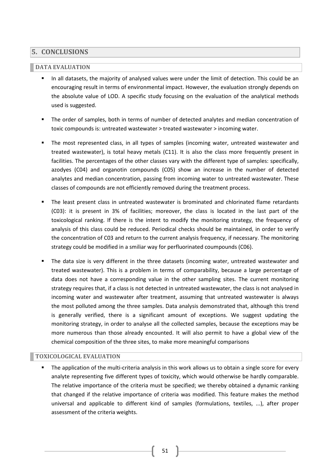# **5. CONCLUSIONS**

## **DATA EVALUATION**

- In all datasets, the majority of analysed values were under the limit of detection. This could be an encouraging result in terms of environmental impact. However, the evaluation strongly depends on the absolute value of LOD. A specific study focusing on the evaluation of the analytical methods used is suggested.
- The order of samples, both in terms of number of detected analytes and median concentration of toxic compounds is: untreated wastewater > treated wastewater > incoming water.
- The most represented class, in all types of samples (incoming water, untreated wastewater and treated wastewater), is total heavy metals (C11). It is also the class more frequently present in facilities. The percentages of the other classes vary with the different type of samples: specifically, azodyes (C04) and organotin compounds (C05) show an increase in the number of detected analytes and median concentration, passing from incoming water to untreated wastewater. These classes of compounds are not efficiently removed during the treatment process.
- The least present class in untreated wastewater is brominated and chlorinated flame retardants (C03): it is present in 3% of facilities; moreover, the class is located in the last part of the toxicological ranking. If there is the intent to modify the monitoring strategy, the frequency of analysis of this class could be reduced. Periodical checks should be maintained, in order to verify the concentration of C03 and return to the current analysis frequency, if necessary. The monitoring strategy could be modified in a smiliar way for perfluorinated coumpounds (C06).
- The data size is very different in the three datasets (incoming water, untreated wastewater and treated wastewater). This is a problem in terms of comparability, because a large percentage of data does not have a corresponding value in the other sampling sites. The current monitoring strategy requires that, if a class is not detected in untreated wastewater, the class is not analysed in incoming water and wastewater after treatment, assuming that untreated wastewater is always the most polluted among the three samples. Data analysis demonstrated that, although this trend is generally verified, there is a significant amount of exceptions. We suggest updating the monitoring strategy, in order to analyse all the collected samples, because the exceptions may be more numerous than those already encounted. It will also permit to have a global view of the chemical composition of the three sites, to make more meaningful comparisons

## **TOXICOLOGICAL EVALUATION**

 The application of the multi-criteria analysis in this work allows us to obtain a single score for every analyte representing five different types of toxicity, which would otherwise be hardly comparable. The relative importance of the criteria must be specified; we thereby obtained a dynamic ranking that changed if the relative importance of criteria was modified. This feature makes the method universal and applicable to different kind of samples (formulations, textiles, ...), after proper assessment of the criteria weights.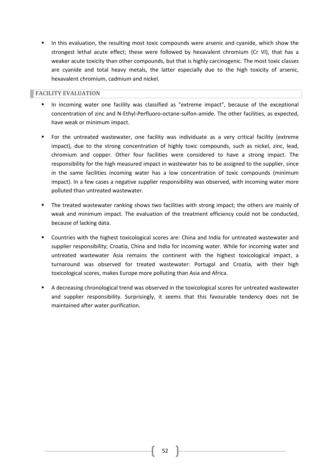In this evaluation, the resulting most toxic compounds were arsenic and cyanide, which show the strongest lethal acute effect; these were followed by hexavalent chromium (Cr VI), that has a weaker acute toxicity than other compounds, but that is highly carcinogenic. The most toxic classes are cyanide and total heavy metals, the latter especially due to the high toxicity of arsenic, hexavalent chromium, cadmium and nickel.

## **FACILITY EVALUATION**

- In incoming water one facility was classified as "extreme impact", because of the exceptional concentration of zinc and N-Ethyl-Perfluoro-octane-sulfon-amide. The other facilities, as expected, have weak or minimum impact.
- For the untreated wastewater, one facility was individuate as a very critical facility (extreme impact), due to the strong concentration of highly toxic compounds, such as nickel, zinc, lead, chromium and copper. Other four facilities were considered to have a strong impact. The responsibility for the high measured impact in wastewater has to be assigned to the supplier, since in the same facilities incoming water has a low concentration of toxic compounds (minimum impact). In a few cases a negative supplier responsibility was observed, with incoming water more polluted than untreated wastewater.
- **The treated wastewater ranking shows two facilities with strong impact; the others are mainly of** weak and minimum impact. The evaluation of the treatment efficiency could not be conducted, because of lacking data.
- Countries with the highest toxicological scores are: China and India for untreated wastewater and supplier responsibility; Croatia, China and India for incoming water. While for incoming water and untreated wastewater Asia remains the continent with the highest toxicological impact, a turnaround was observed for treated wastewater: Portugal and Croatia, with their high toxicological scores, makes Europe more polluting than Asia and Africa.
- A decreasing chronological trend was observed in the toxicological scores for untreated wastewater and supplier responsibility. Surprisingly, it seems that this favourable tendency does not be maintained after water purification.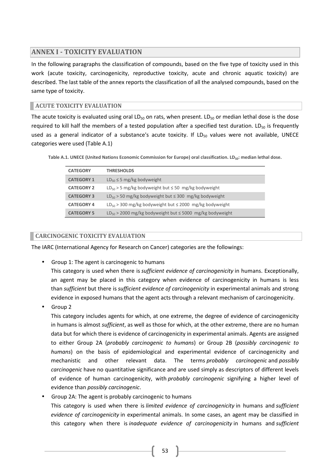# **ANNEX I - TOXICITY EVALUATION**

In the following paragraphs the classification of compounds, based on the five type of toxicity used in this work (acute toxicity, carcinogenicity, reproductive toxicity, acute and chronic aquatic toxicity) are described. The last table of the annex reports the classification of all the analysed compounds, based on the same type of toxicity.

## **ACUTE TOXICITY EVALUATION**

The acute toxicity is evaluated using oral LD<sub>50</sub> on rats, when present. LD<sub>50</sub> or median lethal dose is the dose required to kill half the members of a tested population after a specified test duration. LD<sub>50</sub> is frequently used as a general indicator of a substance's acute toxicity. If  $LD_{50}$  values were not available, UNECE categories were used (Table A.1)

**Table A.1. UNECE (United Nations Economic Commission for Europe) oral classification. LD50: median lethal dose.** 

| <b>CATEGORY</b>   | <b>THRESHOLDS</b>                                                        |
|-------------------|--------------------------------------------------------------------------|
| <b>CATEGORY 1</b> | $LD_{50} \leq 5$ mg/kg bodyweight                                        |
| <b>CATEGORY 2</b> | $LD_{50}$ > 5 mg/kg bodyweight but $\leq$ 50 mg/kg bodyweight            |
| <b>CATEGORY 3</b> | LD <sub>50</sub> > 50 mg/kg bodyweight but $\leq$ 300 mg/kg bodyweight   |
| <b>CATEGORY 4</b> | LD <sub>50</sub> > 300 mg/kg bodyweight but $\leq$ 2000 mg/kg bodyweight |
| <b>CATEGORY 5</b> | $LD_{50}$ > 2000 mg/kg bodyweight but $\leq$ 5000 mg/kg bodyweight       |

## **CARCINOGENIC TOXICITY EVALUATION**

The IARC (International Agency for Research on Cancer) categories are the followings:

• Group 1: The agent is carcinogenic to humans

 This category is used when there is *sufficient evidence of carcinogenicity* in humans. Exceptionally, an agent may be placed in this category when evidence of carcinogenicity in humans is less than *sufficient* but there is *sufficient evidence of carcinogenicity* in experimental animals and strong evidence in exposed humans that the agent acts through a relevant mechanism of carcinogenicity.

• Group 2

 This category includes agents for which, at one extreme, the degree of evidence of carcinogenicity in humans is almost *sufficient*, as well as those for which, at the other extreme, there are no human data but for which there is evidence of carcinogenicity in experimental animals. Agents are assigned to either Group 2A (*probably carcinogenic to humans*) or Group 2B (*possibly carcinogenic to humans*) on the basis of epidemiological and experimental evidence of carcinogenicity and mechanistic and other relevant data. The terms *probably carcinogenic* and *possibly carcinogenic* have no quantitative significance and are used simply as descriptors of different levels of evidence of human carcinogenicity, with *probably carcinogenic* signifying a higher level of evidence than *possibly carcinogenic*.

• Group 2A: The agent is probably carcinogenic to humans This category is used when there is *limited evidence of carcinogenicity* in humans and *sufficient evidence of carcinogenicity* in experimental animals. In some cases, an agent may be classified in this category when there is *inadequate evidence of carcinogenicity* in humans and *sufficient*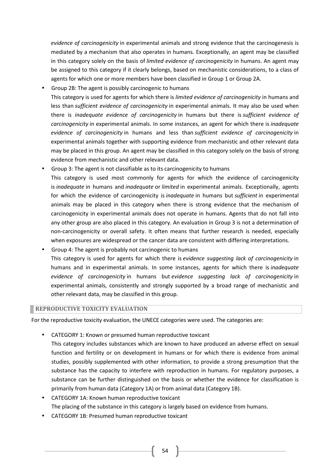*evidence of carcinogenicity* in experimental animals and strong evidence that the carcinogenesis is mediated by a mechanism that also operates in humans. Exceptionally, an agent may be classified in this category solely on the basis of *limited evidence of carcinogenicity* in humans. An agent may be assigned to this category if it clearly belongs, based on mechanistic considerations, to a class of agents for which one or more members have been classified in Group 1 or Group 2A.

• Group 2B: The agent is possibly carcinogenic to humans

 This category is used for agents for which there is *limited evidence of carcinogenicity* in humans and less than *sufficient evidence of carcinogenicity* in experimental animals. It may also be used when there is *inadequate evidence of carcinogenicity* in humans but there is *sufficient evidence of carcinogenicity* in experimental animals. In some instances, an agent for which there is *inadequate evidence of carcinogenicity* in humans and less than *sufficient evidence of carcinogenicity* in experimental animals together with supporting evidence from mechanistic and other relevant data may be placed in this group. An agent may be classified in this category solely on the basis of strong evidence from mechanistic and other relevant data.

- Group 3: The agent is not classifiable as to its carcinogenicity to humans This category is used most commonly for agents for which the evidence of carcinogenicity is *inadequate* in humans and *inadequate* or *limited* in experimental animals. Exceptionally, agents for which the evidence of carcinogenicity is *inadequate* in humans but *sufficient* in experimental animals may be placed in this category when there is strong evidence that the mechanism of carcinogenicity in experimental animals does not operate in humans. Agents that do not fall into any other group are also placed in this category. An evaluation in Group 3 is not a determination of non-carcinogenicity or overall safety. It often means that further research is needed, especially when exposures are widespread or the cancer data are consistent with differing interpretations.
- Group 4: The agent is probably not carcinogenic to humans This category is used for agents for which there is *evidence suggesting lack of carcinogenicity* in humans and in experimental animals. In some instances, agents for which there is *inadequate evidence of carcinogenicity* in humans but *evidence suggesting lack of carcinogenicity* in experimental animals, consistently and strongly supported by a broad range of mechanistic and other relevant data, may be classified in this group.

## **REPRODUCTIVE TOXICITY EVALUATION**

For the reproductive toxicity evaluation, the UNECE categories were used. The categories are:

- CATEGORY 1: Known or presumed human reproductive toxicant This category includes substances which are known to have produced an adverse effect on sexual function and fertility or on development in humans or for which there is evidence from animal studies, possibly supplemented with other information, to provide a strong presumption that the substance has the capacity to interfere with reproduction in humans. For regulatory purposes, a substance can be further distinguished on the basis or whether the evidence for classification is primarily from human data (Category 1A) or from animal data (Category 1B).
- CATEGORY 1A: Known human reproductive toxicant The placing of the substance in this category is largely based on evidence from humans.
- CATEGORY 1B: Presumed human reproductive toxicant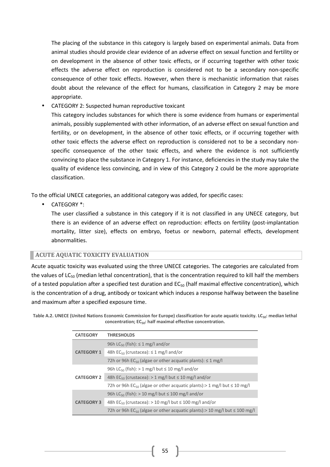The placing of the substance in this category is largely based on experimental animals. Data from animal studies should provide clear evidence of an adverse effect on sexual function and fertility or on development in the absence of other toxic effects, or if occurring together with other toxic effects the adverse effect on reproduction is considered not to be a secondary non-specific consequence of other toxic effects. However, when there is mechanistic information that raises doubt about the relevance of the effect for humans, classification in Category 2 may be more appropriate.

• CATEGORY 2: Suspected human reproductive toxicant

This category includes substances for which there is some evidence from humans or experimental animals, possibly supplemented with other information, of an adverse effect on sexual function and fertility, or on development, in the absence of other toxic effects, or if occurring together with other toxic effects the adverse effect on reproduction is considered not to be a secondary nonspecific consequence of the other toxic effects, and where the evidence is not sufficiently convincing to place the substance in Category 1. For instance, deficiencies in the study may take the quality of evidence less convincing, and in view of this Category 2 could be the more appropriate classification.

To the official UNECE categories, an additional category was added, for specific cases:

• CATEGORY \*:

The user classified a substance in this category if it is not classified in any UNECE category, but there is an evidence of an adverse effect on reproduction: effects on fertility (post-implantation mortality, litter size), effects on embryo, foetus or newborn, paternal effects, development abnormalities.

# **ACUTE AQUATIC TOXICITY EVALUATION**

Acute aquatic toxicity was evaluated using the three UNECE categories. The categories are calculated from the values of  $LC_{50}$  (median lethal concentration), that is the concentration required to kill half the members of a tested population after a specified test duration and  $EC_{50}$  (half maximal effective concentration), which is the concentration of a drug, antibody or toxicant which induces a response halfway between the baseline and maximum after a specified exposure time.

**Table A.2. UNECE (United Nations Economic Commission for Europe) classification for acute aquatic toxicity. LC50: median lethal concentration; EC50: half maximal effective concentration.** 

| <b>CATEGORY</b>   | <b>THRESHOLDS</b>                                                                           |
|-------------------|---------------------------------------------------------------------------------------------|
|                   | 96h LC <sub>50</sub> (fish): $\leq$ 1 mg/l and/or                                           |
| <b>CATEGORY 1</b> | 48h EC <sub>50</sub> (crustacea): $\leq$ 1 mg/l and/or                                      |
|                   | 72h or 96h EC <sub>50</sub> (algae or other acquatic plants): $\leq 1$ mg/l                 |
|                   | 96h LC <sub>50</sub> (fish): $> 1$ mg/l but $\leq 10$ mg/l and/or                           |
| <b>CATEGORY 2</b> | 48h EC <sub>50</sub> (crustacea): $> 1$ mg/l but $\leq 10$ mg/l and/or                      |
|                   | 72h or 96h EC <sub>50</sub> (algae or other acquatic plants):> 1 mg/l but $\leq$ 10 mg/l    |
|                   | 96h LC <sub>50</sub> (fish): $> 10$ mg/l but $\leq 100$ mg/l and/or                         |
| <b>CATEGORY 3</b> | 48h EC <sub>50</sub> (crustacea): > 10 mg/l but $\leq$ 100 mg/l and/or                      |
|                   | 72h or 96h EC <sub>50</sub> (algae or other acquatic plants): > 10 mg/l but $\leq$ 100 mg/l |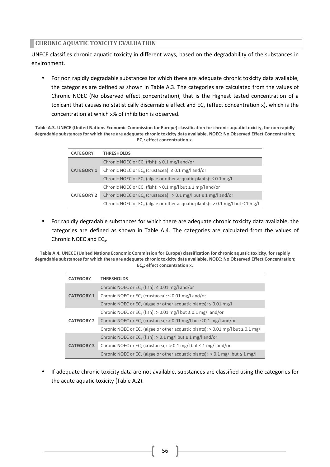## **CHRONIC AQUATIC TOXICITY EVALUATION**

UNECE classifies chronic aquatic toxicity in different ways, based on the degradability of the substances in environment.

• For non rapidly degradable substances for which there are adequate chronic toxicity data available, the categories are defined as shown in Table A.3. The categories are calculated from the values of Chronic NOEC (No observed effect concentration), that is the Highest tested concentration of a toxicant that causes no statistically discernable effect and  $EC_x$  (effect concentration x), which is the concentration at which x% of inhibition is observed.

**Table A.3. UNECE (United Nations Economic Commission for Europe) classification for chronic aquatic toxicity, for non rapidly degradable substances for which there are adequate chronic toxicity data available. NOEC: No Observed Effect Concentration; EC<sup>x</sup> : effect concentration x.** 

| <b>CATEGORY</b>   | <b>THRESHOLDS</b>                                                                                |
|-------------------|--------------------------------------------------------------------------------------------------|
|                   | Chronic NOEC or EC <sub>x</sub> (fish): $\leq$ 0.1 mg/l and/or                                   |
| <b>CATEGORY 1</b> | Chronic NOEC or EC <sub>x</sub> (crustacea): $\leq$ 0.1 mg/l and/or                              |
|                   | Chronic NOEC or EC <sub>y</sub> (algae or other acquatic plants): $\leq 0.1$ mg/l                |
|                   | Chronic NOEC or EC <sub>s</sub> (fish): $> 0.1$ mg/l but $\leq 1$ mg/l and/or                    |
| <b>CATEGORY 2</b> | Chronic NOEC or EC <sub>y</sub> (crustacea): $> 0.1$ mg/l but $\leq 1$ mg/l and/or               |
|                   | Chronic NOEC or EC <sub>x</sub> (algae or other acquatic plants): $> 0.1$ mg/l but $\leq 1$ mg/l |

• For rapidly degradable substances for which there are adequate chronic toxicity data available, the categories are defined as shown in Table A.4. The categories are calculated from the values of Chronic NOEC and EC<sub>x</sub>.

**Table A.4. UNECE (United Nations Economic Commission for Europe) classification for chronic aquatic toxicity, for rapidly degradable substances for which there are adequate chronic toxicity data available. NOEC: No Observed Effect Concentration; EC<sup>x</sup> : effect concentration x.** 

| <b>CATEGORY</b>   | <b>THRESHOLDS</b>                                                                                  |
|-------------------|----------------------------------------------------------------------------------------------------|
|                   | Chronic NOEC or EC <sub>v</sub> (fish): $\leq$ 0.01 mg/l and/or                                    |
| <b>CATEGORY 1</b> | Chronic NOEC or EC <sub>x</sub> (crustacea): $\leq$ 0.01 mg/l and/or                               |
|                   | Chronic NOEC or EC <sub>x</sub> (algae or other acquatic plants): $\leq$ 0.01 mg/l                 |
|                   | Chronic NOEC or EC <sub>x</sub> (fish): $> 0.01$ mg/l but $\leq 0.1$ mg/l and/or                   |
| <b>CATEGORY 2</b> | Chronic NOEC or EC <sub>x</sub> (crustacea): $> 0.01$ mg/l but $\leq 0.1$ mg/l and/or              |
|                   | Chronic NOEC or EC <sub>x</sub> (algae or other acquatic plants): $> 0.01$ mg/l but $\le 0.1$ mg/l |
|                   | Chronic NOEC or EC <sub>x</sub> (fish): $> 0.1$ mg/l but $\leq 1$ mg/l and/or                      |
| <b>CATEGORY 3</b> | Chronic NOEC or EC <sub>x</sub> (crustacea): $> 0.1$ mg/l but $\leq 1$ mg/l and/or                 |
|                   | Chronic NOEC or EC <sub>y</sub> (algae or other acquatic plants): $> 0.1$ mg/l but $\leq 1$ mg/l   |

• If adequate chronic toxicity data are not available, substances are classified using the categories for the acute aquatic toxicity (Table A.2).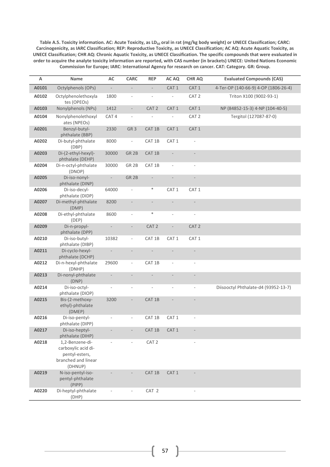**Table A.5. Toxicity information. AC: Acute Toxicity, as LD50 oral in rat (mg/kg body weight) or UNECE Classification; CARC: Carcinogenicity, as IARC Classification; REP: Reproductive Toxicity, as UNECE Classification; AC AQ: Acute Aquatic Toxicity, as UNECE Classification; CHR AQ: Chronic Aquatic Toxicity, as UNECE Classification. The specific compounds that were evaluated in order to acquire the analyte toxicity information are reported, with CAS number (in brackets) UNECE: United Nations Economic Commission for Europe; IARC: International Agency for research on cancer. CAT: Category. GR: Group.** 

| А     | Name                                                                                       | AC                       | <b>CARC</b>                  | <b>REP</b>               | AC AQ                    | <b>CHR AQ</b>                | <b>Evaluated Compounds (CAS)</b>     |
|-------|--------------------------------------------------------------------------------------------|--------------------------|------------------------------|--------------------------|--------------------------|------------------------------|--------------------------------------|
| A0101 | Octylphenols (OPs)                                                                         | $\overline{\phantom{a}}$ | $\overline{a}$               |                          | CAT <sub>1</sub>         | CAT <sub>1</sub>             | 4-Ter-OP (140-66-9) 4-OP (1806-26-4) |
| A0102 | Octylphenolethoxyla<br>tes (OPEOs)                                                         | 1800                     | $\overline{\phantom{m}}$     | $\overline{\phantom{m}}$ | $\overline{\phantom{0}}$ | CAT <sub>2</sub>             | Triton X100 (9002-93-1)              |
| A0103 | Nonylphenols (NPs)                                                                         | 1412                     | $\overline{\phantom{a}}$     | CAT <sub>2</sub>         | CAT <sub>1</sub>         | CAT <sub>1</sub>             | NP (84852-15-3) 4-NP (104-40-5)      |
| A0104 | Nonylphenolethoxyl<br>ates (NPEOs)                                                         | CAT4                     | $\qquad \qquad \blacksquare$ |                          | ÷,                       | CAT <sub>2</sub>             | Tergitol (127087-87-0)               |
| A0201 | Benzyl-butyl-<br>phthalate (BBP)                                                           | 2330                     | GR <sub>3</sub>              | CAT 1B                   | CAT <sub>1</sub>         | CAT <sub>1</sub>             |                                      |
| A0202 | Di-butyl-phthalate<br>(DBP)                                                                | 8000                     | $\overline{\phantom{a}}$     | CAT 1B                   | CAT <sub>1</sub>         | $\overline{\phantom{a}}$     |                                      |
| A0203 | Di-(2-ethyl-hexyl)-<br>phthalate (DEHP)                                                    | 30000                    | GR <sub>2B</sub>             | CAT 1B                   | $\overline{a}$           | $\qquad \qquad -$            |                                      |
| A0204 | Di-n-octyl-phthalate<br>(DNOP)                                                             | 30000                    | GR <sub>2B</sub>             | CAT 1B                   | $\overline{\phantom{a}}$ | ÷,                           |                                      |
| A0205 | Di-iso-nonyl-<br>phthalate (DINP)                                                          | $\overline{\phantom{a}}$ | GR <sub>2B</sub>             |                          |                          | $\frac{1}{2}$                |                                      |
| A0206 | Di-iso-decyl-<br>phthalate (DIDP)                                                          | 64000                    | $\overline{\phantom{a}}$     | $\ast$                   | CAT <sub>1</sub>         | CAT <sub>1</sub>             |                                      |
| A0207 | Di-methyl-phthalate<br>(DMP)                                                               | 8200                     | $\overline{\phantom{a}}$     |                          |                          | $\overline{a}$               |                                      |
| A0208 | Di-ethyl-phthalate<br>(DEP)                                                                | 8600                     | $\overline{\phantom{a}}$     | $\ast$                   |                          | ÷,                           |                                      |
| A0209 | Di-n-propyl-<br>phthalate (DPP)                                                            | $\overline{\phantom{a}}$ | $\overline{\phantom{a}}$     | CAT <sub>2</sub>         | $\qquad \qquad -$        | CAT <sub>2</sub>             |                                      |
| A0210 | Di-iso-butyl-<br>phthalate (DIBP)                                                          | 10382                    | $\overline{\phantom{a}}$     | CAT 1B                   | CAT <sub>1</sub>         | CAT <sub>1</sub>             |                                      |
| A0211 | Di-cyclo-hexyl-<br>phthalate (DCHP)                                                        | $\overline{\phantom{a}}$ | $\overline{\phantom{a}}$     |                          |                          |                              |                                      |
| A0212 | Di-n-hexyl-phthalate<br>(DNHP)                                                             | 29600                    | $\overline{\phantom{a}}$     | CAT 1B                   | ä,                       | ÷,                           |                                      |
| A0213 | Di-nonyl-phthalate<br>(DNP)                                                                | $\overline{\phantom{a}}$ | $\frac{1}{2}$                |                          |                          | $\overline{a}$               |                                      |
| A0214 | Di-iso-octyl-<br>phthalate (DIOP)                                                          |                          | ÷                            |                          | $\frac{1}{2}$            |                              | Diisooctyl Phthalate-d4 (93952-13-7) |
| A0215 | Bis-(2-methoxy-<br>ethyl)-phthalate<br>(DMEP)                                              | 3200                     | $\qquad \qquad \blacksquare$ | CAT 1B                   |                          | $\overline{a}$               |                                      |
| A0216 | Di-iso-pentyl-<br>phthalate (DIPP)                                                         | $\overline{\phantom{a}}$ | $\qquad \qquad \blacksquare$ | CAT 1B                   | CAT <sub>1</sub>         | $\overline{a}$               |                                      |
| A0217 | Di-iso-heptyl-<br>phthalate (DIHP)                                                         |                          | $\overline{\phantom{a}}$     | CAT 1B                   | CAT <sub>1</sub>         |                              |                                      |
| A0218 | 1,2-Benzene-di-<br>carboxylic acid di-<br>pentyl-esters,<br>branched and linear<br>(DHNUP) |                          | $\qquad \qquad \blacksquare$ | CAT <sub>2</sub>         |                          | $\qquad \qquad \blacksquare$ |                                      |
| A0219 | N-iso-pentyl-iso-<br>pentyl-phthalate<br>(PIPP)                                            |                          |                              | CAT 1B                   | CAT <sub>1</sub>         |                              |                                      |
| A0220 | Di-heptyl-phthalate<br>(DHP)                                                               |                          |                              | CAT <sub>2</sub>         |                          |                              |                                      |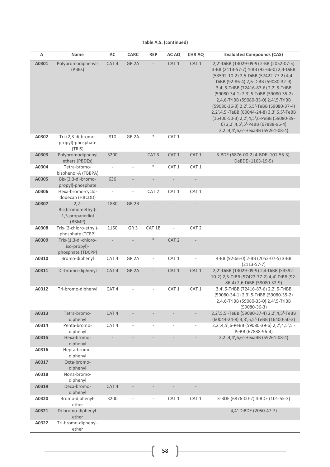**Table A.5. (continued)** 

| А     | Name                                                      | AC                       | <b>CARC</b>              | <b>REP</b>               | AC AQ                        | <b>CHRAQ</b>     | <b>Evaluated Compounds (CAS)</b>                                                                                                                                                                                                                                                                                                                                                                                                                                                                                      |
|-------|-----------------------------------------------------------|--------------------------|--------------------------|--------------------------|------------------------------|------------------|-----------------------------------------------------------------------------------------------------------------------------------------------------------------------------------------------------------------------------------------------------------------------------------------------------------------------------------------------------------------------------------------------------------------------------------------------------------------------------------------------------------------------|
| A0301 | Polybromodiphenyls<br>(PBBs)                              | CAT4                     | GR <sub>2A</sub>         |                          | CAT <sub>1</sub>             | CAT <sub>1</sub> | 2,2'-DiBB (13029-09-9) 2-BB (2052-07-5)<br>3-BB (2113-57-7) 4-BB (92-66-0) 2,4-DiBB<br>(53592-10-2) 2,5-DiBB (57422-77-2) 4,4'-<br>DiBB (92-86-4) 2,6-DiBB (59080-32-9)<br>3,4',5-TriBB (72416-87-6) 2,2',5-TriBB<br>(59080-34-1) 2,3',5-TriBB (59080-35-2)<br>2,4,6-TriBB (59080-33-0) 2,4',5-TriBB<br>(59080-36-3) 2,2',5,5'-TeBB (59080-37-4)<br>2,2',4,5'-TeBB (60044-24-8) 3,3',5,5'-TeBB<br>(16400-50-3) 2,2',4,5',6-PeBB (59080-39-<br>6) 2,2',4,5',5'-PeBB (67888-96-4)<br>2,2',4,4',6,6'-HexaBB (59261-08-4) |
| A0302 | Tri-(2,3-di-bromo-<br>propyl)-phosphate<br>(TRIS)         | 810                      | GR <sub>2A</sub>         | $\ast$                   | CAT <sub>1</sub>             |                  |                                                                                                                                                                                                                                                                                                                                                                                                                                                                                                                       |
| A0303 | Polybromodiphenyl<br>ethers (PBDEs)                       | 3200                     | $\overline{\phantom{0}}$ | CAT <sub>3</sub>         | CAT <sub>1</sub>             | CAT <sub>1</sub> | 3-BDE (6876-00-2) 4-BDE (101-55-3),<br>DeBDE (1163-19-5)                                                                                                                                                                                                                                                                                                                                                                                                                                                              |
| A0304 | Tetra-bromo-<br>bisphenol-A (TBBPA)                       | $\overline{\phantom{m}}$ |                          | $\ast$                   | CAT <sub>1</sub>             | CAT <sub>1</sub> |                                                                                                                                                                                                                                                                                                                                                                                                                                                                                                                       |
| A0305 | Bis-(2,3-di-bromo-<br>propyl)-phosphate                   | 636                      | $\overline{\phantom{a}}$ |                          |                              | $\overline{a}$   |                                                                                                                                                                                                                                                                                                                                                                                                                                                                                                                       |
| A0306 | Hexa-bromo-cyclo-<br>dodecan (HBCDD)                      | $\overline{\phantom{a}}$ | $\overline{\phantom{a}}$ | CAT <sub>2</sub>         | CAT <sub>1</sub>             | CAT <sub>1</sub> |                                                                                                                                                                                                                                                                                                                                                                                                                                                                                                                       |
| A0307 | $2,2-$<br>Bis(bromomethyl)-<br>1,3-propanediol<br>(BBMP)  | 1880                     | GR <sub>2B</sub>         |                          |                              |                  |                                                                                                                                                                                                                                                                                                                                                                                                                                                                                                                       |
| A0308 | Tris-(2-chloro-ethyl)-<br>phosphate (TCEP)                | 1150                     | GR <sub>3</sub>          | CAT 1B                   | $\qquad \qquad \blacksquare$ | CAT <sub>2</sub> |                                                                                                                                                                                                                                                                                                                                                                                                                                                                                                                       |
| A0309 | Tris-(1,3-di-chloro-<br>iso-propyl)-<br>phosphate (TDCPP) |                          |                          | $\ast$                   | CAT <sub>2</sub>             |                  |                                                                                                                                                                                                                                                                                                                                                                                                                                                                                                                       |
| A0310 | Bromo-diphenyl                                            | CAT <sub>4</sub>         | GR <sub>2A</sub>         | $\overline{\phantom{0}}$ | CAT <sub>1</sub>             |                  | 4-BB (92-66-0) 2-BB (2052-07-5) 3-BB<br>$(2113 - 57 - 7)$                                                                                                                                                                                                                                                                                                                                                                                                                                                             |
| A0311 | Di-bromo-diphenyl                                         | CAT4                     | GR <sub>2A</sub>         |                          | CAT <sub>1</sub>             | CAT <sub>1</sub> | 2,2'-DiBB (13029-09-9) 2,4-DiBB (53592-<br>10-2) 2,5-DiBB (57422-77-2) 4,4'-DiBB (92-<br>86-4) 2,6-DiBB (59080-32-9)                                                                                                                                                                                                                                                                                                                                                                                                  |
| A0312 | Tri-bromo-diphenyl                                        | CAT <sub>4</sub>         |                          |                          | CAT <sub>1</sub>             | CAT <sub>1</sub> | 3,4',5-TriBB (72416-87-6) 2,2',5-TriBB<br>(59080-34-1) 2,3',5-TriBB (59080-35-2)<br>2,4,6-TriBB (59080-33-0) 2,4',5-TriBB<br>$(59080-36-3)$                                                                                                                                                                                                                                                                                                                                                                           |
| A0313 | Tetra-bromo-<br>diphenyl                                  | CAT4                     |                          |                          |                              |                  | 2,2',5,5'-TeBB (59080-37-4) 2,2',4,5'-TeBB<br>(60044-24-8) 3,3',5,5'-TeBB (16400-50-3)                                                                                                                                                                                                                                                                                                                                                                                                                                |
| A0314 | Penta-bromo-<br>diphenyl                                  | CAT4                     | $\overline{\phantom{a}}$ | $\overline{\phantom{0}}$ |                              |                  | 2,2',4,5',6-PeBB (59080-39-6) 2,2',4,5',5'-<br>PeBB (67888-96-4)                                                                                                                                                                                                                                                                                                                                                                                                                                                      |
| A0315 | Hexa-bromo-<br>diphenyl                                   |                          | L.                       |                          |                              |                  | 2,2',4,4',6,6'-HexaBB (59261-08-4)                                                                                                                                                                                                                                                                                                                                                                                                                                                                                    |
| A0316 | Hepta-bromo-<br>diphenyl                                  |                          |                          |                          |                              |                  |                                                                                                                                                                                                                                                                                                                                                                                                                                                                                                                       |
| A0317 | Octa-bromo-<br>diphenyl                                   |                          |                          |                          |                              |                  |                                                                                                                                                                                                                                                                                                                                                                                                                                                                                                                       |
| A0318 | Nona-bromo-<br>diphenyl                                   |                          |                          |                          |                              |                  |                                                                                                                                                                                                                                                                                                                                                                                                                                                                                                                       |
| A0319 | Deca-bromo-<br>diphenyl                                   | CAT4                     |                          |                          |                              |                  |                                                                                                                                                                                                                                                                                                                                                                                                                                                                                                                       |
| A0320 | Bromo-diphenyl-<br>ether                                  | 3200                     | ÷                        | $\overline{\phantom{0}}$ | CAT <sub>1</sub>             | CAT <sub>1</sub> | 3-BDE (6876-00-2) 4-BDE (101-55-3)                                                                                                                                                                                                                                                                                                                                                                                                                                                                                    |
| A0321 | Di-bromo-diphenyl-<br>ether                               |                          |                          |                          |                              |                  | 4,4'-DiBDE (2050-47-7)                                                                                                                                                                                                                                                                                                                                                                                                                                                                                                |
| A0322 | Tri-bromo-diphenyl-<br>ether                              |                          |                          |                          |                              |                  |                                                                                                                                                                                                                                                                                                                                                                                                                                                                                                                       |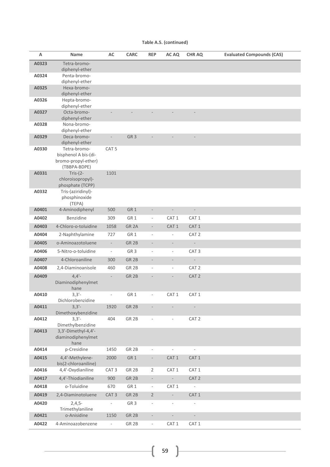**Table A.5. (continued)** 

| А     | Name                                              | AC                       | <b>CARC</b>      | <b>REP</b>               | AC AQ                    | <b>CHR AQ</b>            | <b>Evaluated Compounds (CAS)</b> |
|-------|---------------------------------------------------|--------------------------|------------------|--------------------------|--------------------------|--------------------------|----------------------------------|
| A0323 | Tetra-bromo-                                      |                          |                  |                          |                          |                          |                                  |
| A0324 | diphenyl-ether<br>Penta-bromo-                    |                          |                  |                          |                          |                          |                                  |
|       | diphenyl-ether                                    |                          |                  |                          |                          |                          |                                  |
| A0325 | Hexa-bromo-<br>diphenyl-ether                     |                          |                  |                          |                          |                          |                                  |
| A0326 | Hepta-bromo-<br>diphenyl-ether                    |                          |                  |                          |                          |                          |                                  |
| A0327 | Octa-bromo-                                       |                          |                  |                          |                          | Ē.                       |                                  |
| A0328 | diphenyl-ether<br>Nona-bromo-                     |                          |                  |                          |                          |                          |                                  |
|       | diphenyl-ether                                    |                          |                  |                          |                          |                          |                                  |
| A0329 | Deca-bromo-<br>diphenyl-ether                     | $\overline{a}$           | GR <sub>3</sub>  |                          |                          |                          |                                  |
| A0330 | Tetra-bromo-                                      | CAT <sub>5</sub>         |                  |                          |                          |                          |                                  |
|       | bisphenol A bis-(di-<br>bromo-propyl-ether)       |                          |                  |                          |                          |                          |                                  |
| A0331 | (TBBPA-BDPE)<br>$Tris-(2-$                        | 1101                     |                  |                          |                          |                          |                                  |
|       | chloroisopropyl)-<br>phosphate (TCPP)             |                          |                  |                          |                          |                          |                                  |
| A0332 | Tris-(aziridinyl)-                                |                          |                  |                          |                          |                          |                                  |
|       | phosphinoxide<br>(TEPA)                           |                          |                  |                          |                          |                          |                                  |
| A0401 | 4-Aminodiphenyl                                   | 500                      | GR <sub>1</sub>  | $\overline{\phantom{0}}$ | $\overline{\phantom{a}}$ | $\overline{\phantom{a}}$ |                                  |
| A0402 | Benzidine                                         | 309                      | GR <sub>1</sub>  | $\qquad \qquad -$        | CAT <sub>1</sub>         | CAT <sub>1</sub>         |                                  |
| A0403 | 4-Chloro-o-toluidine                              | 1058                     | GR <sub>2A</sub> | $\overline{\phantom{a}}$ | CAT <sub>1</sub>         | CAT <sub>1</sub>         |                                  |
| A0404 | 2-Naphthylamine                                   | 727                      | GR <sub>1</sub>  | $\overline{\phantom{a}}$ | $\overline{\phantom{a}}$ | CAT <sub>2</sub>         |                                  |
| A0405 | o-Aminoazotoluene                                 | $\overline{\phantom{a}}$ | GR <sub>2B</sub> | $\overline{\phantom{a}}$ | $\overline{\phantom{a}}$ | $\overline{\phantom{a}}$ |                                  |
| A0406 | 5-Nitro-o-toluidine                               | $\qquad \qquad -$        | GR <sub>3</sub>  | $\overline{\phantom{a}}$ | $\overline{\phantom{a}}$ | CAT <sub>3</sub>         |                                  |
| A0407 | 4-Chloroaniline                                   | 300                      | GR <sub>2B</sub> | $\overline{\phantom{a}}$ | $\overline{\phantom{a}}$ | $\overline{\phantom{a}}$ |                                  |
| A0408 | 2,4-Diaminoanisole                                | 460                      | GR <sub>2B</sub> | ÷,                       | $\overline{\phantom{a}}$ | CAT <sub>2</sub>         |                                  |
| A0409 | $4,4'-$<br>Diaminodiphenylmet                     | $\frac{1}{2}$            | GR <sub>2B</sub> |                          | $\overline{\phantom{m}}$ | CAT <sub>2</sub>         |                                  |
| A0410 | hane<br>$3,3'-$                                   | i,                       | GR <sub>1</sub>  | ÷                        | CAT <sub>1</sub>         | CAT <sub>1</sub>         |                                  |
| A0411 | Dichlorobenzidine<br>$3,3'$ -                     | 1920                     | GR <sub>2B</sub> |                          |                          |                          |                                  |
| A0412 | Dimethoxybenzidine<br>$3,3'-$                     | 404                      | GR 2B            |                          | $\overline{\phantom{a}}$ | CAT <sub>2</sub>         |                                  |
|       | Dimethylbenzidine                                 |                          |                  |                          |                          |                          |                                  |
| A0413 | 3,3'-Dimethyl-4,4'-<br>diaminodiphenylmet<br>hane |                          |                  |                          |                          |                          |                                  |
| A0414 | p-Cresidine                                       | 1450                     | GR <sub>2B</sub> |                          |                          |                          |                                  |
| A0415 | 4,4'-Methylene-<br>bis(2-chloroaniline)           | 2000                     | GR <sub>1</sub>  |                          | CAT <sub>1</sub>         | CAT <sub>1</sub>         |                                  |
| A0416 | 4,4'-Oxydianiline                                 | CAT <sub>3</sub>         | GR 2B            | $\overline{2}$           | CAT <sub>1</sub>         | CAT <sub>1</sub>         |                                  |
| A0417 | 4,4'-Thiodianiline                                | 900                      | GR <sub>2B</sub> | $\overline{\phantom{a}}$ | $\overline{\phantom{a}}$ | CAT <sub>2</sub>         |                                  |
| A0418 | o-Toluidine                                       | 670                      | GR <sub>1</sub>  | $\overline{\phantom{a}}$ | CAT <sub>1</sub>         | $\overline{\phantom{a}}$ |                                  |
| A0419 | 2,4-Diaminotoluene                                | CAT <sub>3</sub>         | GR <sub>2B</sub> | $\overline{2}$           | $\overline{\phantom{a}}$ | CAT 1                    |                                  |
| A0420 | $2,4,5-$<br>Trimethylaniline                      |                          | GR <sub>3</sub>  |                          |                          |                          |                                  |
| A0421 | o-Anisidine                                       | 1150                     | GR <sub>2B</sub> | $\qquad \qquad -$        | $\overline{a}$           | $\overline{\phantom{a}}$ |                                  |
| A0422 | 4-Aminoazobenzene                                 | $\overline{\phantom{a}}$ | GR <sub>2B</sub> | $\overline{\phantom{a}}$ | CAT <sub>1</sub>         | CAT <sub>1</sub>         |                                  |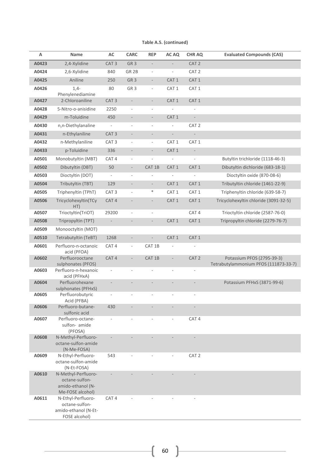| А     | Name                                                                           | AC                           | <b>CARC</b>              | <b>REP</b>                         | AC AQ                    | <b>CHR AQ</b>                | <b>Evaluated Compounds (CAS)</b>                                    |
|-------|--------------------------------------------------------------------------------|------------------------------|--------------------------|------------------------------------|--------------------------|------------------------------|---------------------------------------------------------------------|
| A0423 | 2,4-Xylidine                                                                   | CAT <sub>3</sub>             | GR <sub>3</sub>          | $\overline{\phantom{a}}$           |                          | CAT <sub>2</sub>             |                                                                     |
| A0424 | 2,6-Xylidine                                                                   | 840                          | GR <sub>2B</sub>         | $\overline{\phantom{a}}$           | $\overline{\phantom{0}}$ | CAT <sub>2</sub>             |                                                                     |
| A0425 | Aniline                                                                        | 250                          | GR <sub>3</sub>          | $\overline{\phantom{a}}$           | CAT <sub>1</sub>         | CAT <sub>1</sub>             |                                                                     |
| A0426 | $1,4-$                                                                         | 80                           | GR <sub>3</sub>          | $\overline{\phantom{a}}$           | CAT <sub>1</sub>         | CAT <sub>1</sub>             |                                                                     |
| A0427 | Phenylenediamine<br>2-Chloroaniline                                            | CAT <sub>3</sub>             | $\overline{a}$           | $\overline{\phantom{a}}$           | CAT <sub>1</sub>         | CAT <sub>1</sub>             |                                                                     |
| A0428 | 5-Nitro-o-anisidine                                                            | 2250                         | $\overline{\phantom{a}}$ |                                    | $\qquad \qquad -$        | ÷                            |                                                                     |
| A0429 | m-Toluidine                                                                    | 450                          | $\overline{\phantom{a}}$ | $\overline{\phantom{a}}$           | CAT <sub>1</sub>         | $\overline{a}$               |                                                                     |
| A0430 | n,n-Diethylanaline                                                             | $\overline{\phantom{m}}$     | $\overline{\phantom{a}}$ | $\bar{ }$                          | $\blacksquare$           | CAT <sub>2</sub>             |                                                                     |
| A0431 | n-Ethylaniline                                                                 | CAT <sub>3</sub>             | $\overline{a}$           | $\overline{\phantom{a}}$           | $\overline{a}$           | $\overline{a}$               |                                                                     |
| A0432 | n-Methylaniline                                                                | CAT <sub>3</sub>             | $\overline{\phantom{a}}$ | $\overline{\phantom{a}}$           | CAT <sub>1</sub>         | CAT <sub>1</sub>             |                                                                     |
| A0433 | p-Toluidine                                                                    | 336                          | $\overline{\phantom{a}}$ | $\overline{\phantom{a}}$           | CAT <sub>1</sub>         | $\qquad \qquad \blacksquare$ |                                                                     |
| A0501 | Monobutyltin (MBT)                                                             | CAT4                         | $\overline{\phantom{a}}$ | ÷                                  | $\overline{\phantom{a}}$ | $\blacksquare$               | Butyltin trichloride (1118-46-3)                                    |
| A0502 | Dibutyltin (DBT)                                                               | 50                           |                          | CAT 1B                             | CAT <sub>1</sub>         | CAT <sub>1</sub>             |                                                                     |
|       |                                                                                |                              | $\overline{\phantom{a}}$ |                                    |                          |                              | Dibutyltin dichloride (683-18-1)                                    |
| A0503 | Dioctyltin (DOT)                                                               | $\overline{\phantom{a}}$     | $\overline{\phantom{a}}$ |                                    | $\qquad \qquad -$        | $\overline{\phantom{m}}$     | Dioctyltin oxide (870-08-6)                                         |
| A0504 | Tributyltin (TBT)                                                              | 129                          | $\overline{\phantom{a}}$ | $\overline{\phantom{a}}$<br>$\ast$ | CAT <sub>1</sub>         | CAT <sub>1</sub>             | Tributyltin chloride (1461-22-9)                                    |
| A0505 | Triphenyltin (TPhT)                                                            | CAT <sub>3</sub>             | $\overline{\phantom{a}}$ |                                    | CAT 1                    | CAT <sub>1</sub>             | Triphenyltin chloride (639-58-7)                                    |
| A0506 | Tricyclohexyltin(TCy<br>HT)                                                    | CAT4                         | $\overline{a}$           |                                    | CAT <sub>1</sub>         | CAT <sub>1</sub>             | Tricyclohexyltin chloride (3091-32-5)                               |
| A0507 | Trioctyltin(TriOT)                                                             | 29200                        | $\overline{\phantom{a}}$ | $\sim$                             |                          | CAT <sub>4</sub>             | Trioctyltin chloride (2587-76-0)                                    |
| A0508 | Tripropyltin (TPT)                                                             | $\overline{\phantom{a}}$     | $\overline{\phantom{a}}$ | $\overline{\phantom{a}}$           | CAT <sub>1</sub>         | CAT <sub>1</sub>             | Tripropyltin chloride (2279-76-7)                                   |
| A0509 | Monooctyltin (MOT)                                                             |                              |                          |                                    |                          |                              |                                                                     |
| A0510 | Tetrabutyltin (TeBT)                                                           | 1268                         | $\overline{\phantom{a}}$ | $\overline{\phantom{a}}$           | CAT <sub>1</sub>         | CAT <sub>1</sub>             |                                                                     |
| A0601 | Perfluoro-n-octanoic<br>acid (PFOA)                                            | CAT <sub>4</sub>             | $\overline{\phantom{a}}$ | CAT 1B                             |                          |                              |                                                                     |
| A0602 | Perfluorooctane<br>sulphonates (PFOS)                                          | CAT4                         | $\overline{\phantom{a}}$ | CAT 1B                             | $\qquad \qquad -$        | CAT <sub>2</sub>             | Potassium PFOS (2795-39-3)<br>Tetrabutylammonium PFOS (111873-33-7) |
| A0603 | Perfluoro-n-hexanoic<br>acid (PFHxA)                                           | $\overline{\phantom{0}}$     | $\overline{a}$           |                                    |                          |                              |                                                                     |
| A0604 | Perfluorohexane<br>sulphonates (PFHxS)                                         | $\qquad \qquad -$            | L.                       |                                    | L,                       |                              | Potassium PFHxS (3871-99-6)                                         |
| A0605 | Perfluorobutyric<br>Acid (PFBA)                                                | $\qquad \qquad \blacksquare$ | $\qquad \qquad -$        | $\qquad \qquad \blacksquare$       | $\overline{\phantom{m}}$ | $\overline{\phantom{m}}$     |                                                                     |
| A0606 | Perfluoro-butane-<br>sulfonic acid                                             | 430                          |                          |                                    |                          |                              |                                                                     |
| A0607 | Perfluoro-octane-<br>sulfon- amide<br>(PFOSA)                                  | ÷,                           |                          |                                    |                          | CAT <sub>4</sub>             |                                                                     |
| A0608 | N-Methyl-Perfluoro-<br>octane-sulfon-amide<br>(N-Me-FOSA)                      |                              |                          |                                    |                          |                              |                                                                     |
| A0609 | N-Ethyl-Perfluoro-<br>octane-sulfon-amide<br>(N-Et-FOSA)                       | 543                          |                          |                                    |                          | CAT <sub>2</sub>             |                                                                     |
| A0610 | N-Methyl-Perfluoro-<br>octane-sulfon-<br>amido-ethanol (N-<br>Me-FOSE alcohol) |                              |                          |                                    |                          |                              |                                                                     |
| A0611 | N-Ethyl-Perfluoro-<br>octane-sulfon-<br>amido-ethanol (N-Et-<br>FOSE alcohol)  | CAT4                         |                          |                                    |                          |                              |                                                                     |

**Table A.5. (continued)**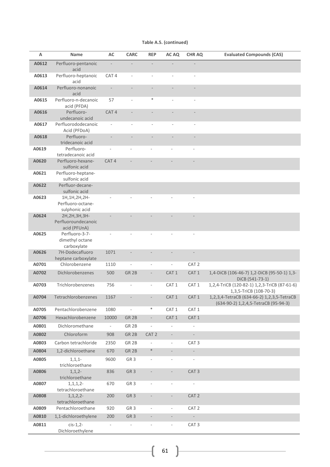## **Table A.5. (continued)**

| A     | Name                                                   | AC                       | <b>CARC</b>                  | <b>REP</b>               | AC AQ                    | <b>CHR AQ</b>                | <b>Evaluated Compounds (CAS)</b>                                                   |
|-------|--------------------------------------------------------|--------------------------|------------------------------|--------------------------|--------------------------|------------------------------|------------------------------------------------------------------------------------|
| A0612 | Perfluoro-pentanoic<br>acid                            |                          |                              |                          |                          |                              |                                                                                    |
| A0613 | Perfluoro-heptanoic<br>acid                            | CAT4                     | i.                           |                          |                          |                              |                                                                                    |
| A0614 | Perfluoro-nonanoic<br>acid                             | $\overline{\phantom{a}}$ | $\overline{a}$               |                          |                          |                              |                                                                                    |
| A0615 | Perfluoro-n-decanoic<br>acid (PFDA)                    | 57                       | ÷,                           | $\ast$                   | L,                       | $\bar{a}$                    |                                                                                    |
| A0616 | Perfluoro-<br>undecanoic acid                          | CAT <sub>4</sub>         | $\overline{\phantom{a}}$     | $\overline{\phantom{a}}$ | L.                       | $\overline{a}$               |                                                                                    |
| A0617 | Perfluorododecanoic<br>Acid (PFDoA)                    | $\overline{\phantom{a}}$ | L,                           |                          | ä,                       | J.                           |                                                                                    |
| A0618 | Perfluoro-<br>tridecanoic acid                         |                          |                              |                          |                          |                              |                                                                                    |
| A0619 | Perfluoro-<br>tetradecanoic acid                       |                          |                              |                          |                          | $\bar{a}$                    |                                                                                    |
| A0620 | Perfluoro-hexane-<br>sulfonic acid                     | CAT4                     |                              |                          |                          |                              |                                                                                    |
| A0621 | Perfluoro-heptane-<br>sulfonic acid                    |                          |                              |                          |                          |                              |                                                                                    |
| A0622 | Perfluor-decane-<br>sulfonic acid                      |                          |                              |                          |                          |                              |                                                                                    |
| A0623 | 1H, 1H, 2H, 2H-<br>Perfluoro-octane-<br>sulphonic acid |                          |                              |                          |                          |                              |                                                                                    |
| A0624 | 2H, 2H, 3H, 3H-<br>Perfluoroundecanoic<br>acid (PFUnA) |                          |                              |                          |                          |                              |                                                                                    |
| A0625 | Perfluoro-3-7-<br>dimethyl octane<br>carboxylate       |                          |                              |                          |                          |                              |                                                                                    |
| A0626 | 7H-Dodecafluoro<br>heptane carboxylate                 | 1071                     |                              |                          |                          |                              |                                                                                    |
| A0701 | Chlorobenzene                                          | 1110                     | ÷,                           | $\bar{\phantom{a}}$      | $\overline{\phantom{a}}$ | CAT <sub>2</sub>             |                                                                                    |
| A0702 | Dichlorobenzenes                                       | 500                      | GR <sub>2B</sub>             | ÷,                       | CAT <sub>1</sub>         | CAT <sub>1</sub>             | 1,4-DICB (106-46-7) 1,2-DICB (95-50-1) 1,3-<br>DiCB (541-73-1)                     |
| A0703 | Trichlorobenzenes                                      | 756                      |                              |                          | CAT <sub>1</sub>         | CAT <sub>1</sub>             | 1,2,4-TriCB (120-82-1) 1,2,3-TriCB (87-61-6)<br>1,3,5-TriCB (108-70-3)             |
| A0704 | Tetrachlorobenzenes                                    | 1167                     | $\overline{\phantom{a}}$     | $\overline{\phantom{a}}$ | CAT <sub>1</sub>         | CAT <sub>1</sub>             | 1,2,3,4-TetraCB (634-66-2) 1,2,3,5-TetraCB<br>(634-90-2) 1,2,4,5-TetraCB (95-94-3) |
| A0705 | Pentachlorobenzene                                     | 1080                     | $\qquad \qquad \blacksquare$ | $\ast$                   | CAT <sub>1</sub>         | CAT <sub>1</sub>             |                                                                                    |
| A0706 | Hexachlorobenzene                                      | 10000                    | GR <sub>2B</sub>             | $\overline{\phantom{a}}$ | CAT <sub>1</sub>         | CAT <sub>1</sub>             |                                                                                    |
| A0801 | Dichloromethane                                        | $\overline{\phantom{a}}$ | GR <sub>2B</sub>             | $\overline{\phantom{a}}$ | $\overline{\phantom{0}}$ | $\overline{\phantom{a}}$     |                                                                                    |
| A0802 | Chloroform                                             | 908                      | GR 2B                        | CAT <sub>2</sub>         | $\overline{\phantom{a}}$ | $\qquad \qquad \blacksquare$ |                                                                                    |
| A0803 | Carbon tetrachloride                                   | 2350                     | GR <sub>2B</sub>             | $\overline{\phantom{m}}$ | $\frac{1}{2}$            | CAT <sub>3</sub>             |                                                                                    |
| A0804 | 1,2-dichloroethane                                     | 670                      | GR <sub>2B</sub>             | $\ast$                   | $\overline{\phantom{0}}$ | $\overline{\phantom{a}}$     |                                                                                    |
| A0805 | 1, 1, 1<br>trichloroethane                             | 9600                     | GR <sub>3</sub>              | $\overline{\phantom{a}}$ | $\overline{\phantom{0}}$ | $\overline{\phantom{a}}$     |                                                                                    |
| A0806 | $1, 1, 2-$<br>trichloroethane                          | 836                      | GR <sub>3</sub>              | $\overline{\phantom{a}}$ | $\overline{\phantom{a}}$ | CAT <sub>3</sub>             |                                                                                    |
| A0807 | $1, 1, 1, 2-$<br>tetrachloroethane                     | 670                      | GR <sub>3</sub>              | $\overline{\phantom{a}}$ | $\overline{\phantom{a}}$ | $\overline{\phantom{a}}$     |                                                                                    |
| A0808 | $1, 1, 2, 2$ -<br>tetrachloroethane                    | 200                      | GR <sub>3</sub>              |                          | $\overline{a}$           | CAT <sub>2</sub>             |                                                                                    |
| A0809 | Pentachloroethane                                      | 920                      | GR <sub>3</sub>              | $\overline{\phantom{a}}$ | $\overline{\phantom{a}}$ | CAT <sub>2</sub>             |                                                                                    |
| A0810 | 1,1-dichloroethylene                                   | 200                      | GR <sub>3</sub>              |                          | $\overline{\phantom{a}}$ | $\overline{\phantom{a}}$     |                                                                                    |
| A0811 | $cis-1,2-$<br>Dichloroethylene                         |                          |                              |                          | $\overline{\phantom{a}}$ | CAT <sub>3</sub>             |                                                                                    |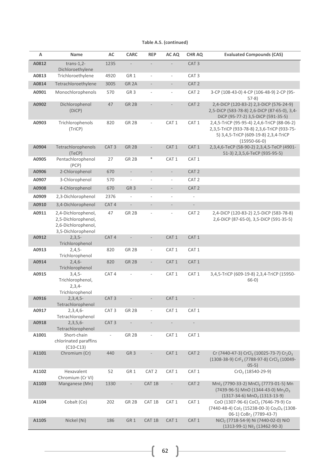| Table A.5. (continued) |  |  |  |
|------------------------|--|--|--|
|------------------------|--|--|--|

| A     | Name                                                                                    | AC               | <b>CARC</b>              | <b>REP</b>               | AC AQ                    | <b>CHR AQ</b>            | <b>Evaluated Compounds (CAS)</b>                                                                                                                                                |
|-------|-----------------------------------------------------------------------------------------|------------------|--------------------------|--------------------------|--------------------------|--------------------------|---------------------------------------------------------------------------------------------------------------------------------------------------------------------------------|
| A0812 | trans- $1,2-$<br>Dichloroethylene                                                       | 1235             |                          |                          |                          | CAT <sub>3</sub>         |                                                                                                                                                                                 |
| A0813 | Trichloroethylene                                                                       | 4920             | GR <sub>1</sub>          | $\overline{\phantom{a}}$ | $\overline{\phantom{a}}$ | CAT <sub>3</sub>         |                                                                                                                                                                                 |
| A0814 | Tetrachloroethylene                                                                     | 3005             | GR <sub>2A</sub>         | $\overline{\phantom{a}}$ | $\overline{\phantom{0}}$ | CAT <sub>2</sub>         |                                                                                                                                                                                 |
| A0901 | Monochlorophenols                                                                       | 570              | GR <sub>3</sub>          |                          | $\overline{\phantom{0}}$ | CAT <sub>2</sub>         | 3-CP (108-43-0) 4-CP (106-48-9) 2-CP (95-<br>$57-8)$                                                                                                                            |
| A0902 | Dichlorophenol<br>(DiCP)                                                                | 47               | GR <sub>2B</sub>         | $\overline{a}$           | ÷,                       | CAT <sub>2</sub>         | 2,4-DiCP (120-83-2) 2,3-DiCP (576-24-9)<br>2,5-DiCP (583-78-8) 2,6-DiCP (87-65-0), 3,4-<br>DiCP (95-77-2) 3,5-DiCP (591-35-5)                                                   |
| A0903 | Trichlorophenols<br>(TriCP)                                                             | 820              | GR <sub>2B</sub>         |                          | CAT <sub>1</sub>         | CAT <sub>1</sub>         | 2,4,5-TriCP (95-95-4) 2,4,6-TriCP (88-06-2)<br>2,3,5-TriCP (933-78-8) 2,3,6-TriCP (933-75-<br>5) 3,4,5-TriCP (609-19-8) 2,3,4-TriCP<br>$(15950-66-0)$                           |
| A0904 | Tetrachlorophenols<br>(TeCP)                                                            | CAT <sub>3</sub> | GR <sub>2B</sub>         | $\overline{\phantom{a}}$ | CAT <sub>1</sub>         | CAT <sub>1</sub>         | 2,3,4,6-TeCP (58-90-2) 2,3,4,5-TeCP (4901-<br>51-3) 2,3,5,6-TeCP (935-95-5)                                                                                                     |
| A0905 | Pentachlorophenol<br>(PCP)                                                              | 27               | GR <sub>2B</sub>         | $\ast$                   | CAT <sub>1</sub>         | CAT <sub>1</sub>         |                                                                                                                                                                                 |
| A0906 | 2-Chlorophenol                                                                          | 670              | $\frac{1}{2}$            |                          | $\frac{1}{2}$            | CAT <sub>2</sub>         |                                                                                                                                                                                 |
| A0907 | 3-Chlorophenol                                                                          | 570              | $\blacksquare$           | $\overline{\phantom{a}}$ | $\overline{\phantom{0}}$ | CAT <sub>2</sub>         |                                                                                                                                                                                 |
| A0908 | 4-Chlorophenol                                                                          | 670              | GR <sub>3</sub>          | $\overline{\phantom{a}}$ | $\frac{1}{2}$            | CAT <sub>2</sub>         |                                                                                                                                                                                 |
| A0909 | 2,3-Dichlorophenol                                                                      | 2376             | $\overline{\phantom{a}}$ | $\overline{\phantom{a}}$ | $\overline{\phantom{a}}$ | $\overline{\phantom{a}}$ |                                                                                                                                                                                 |
| A0910 | 3,4-Dichlorophenol                                                                      | CAT4             | $\overline{\phantom{a}}$ |                          | $\frac{1}{2}$            |                          |                                                                                                                                                                                 |
| A0911 | 2,4-Dichlorophenol,<br>2,5-Dichlorophenol,<br>2,6-Dichlorophenol,<br>3,5-Dichlorophenol | 47               | GR <sub>2B</sub>         | $\overline{\phantom{a}}$ | $\overline{\phantom{a}}$ | CAT <sub>2</sub>         | 2,4-DiCP (120-83-2) 2,5-DiCP (583-78-8)<br>2,6-DiCP (87-65-0), 3,5-DiCP (591-35-5)                                                                                              |
| A0912 | $2,3,5-$<br>Trichlorophenol                                                             | CAT4             | $\frac{1}{2}$            | $\overline{\phantom{a}}$ | CAT <sub>1</sub>         | CAT <sub>1</sub>         |                                                                                                                                                                                 |
| A0913 | $2,4,5-$<br>Trichlorophenol                                                             | 820              | GR <sub>2B</sub>         | $\overline{\phantom{a}}$ | CAT <sub>1</sub>         | CAT <sub>1</sub>         |                                                                                                                                                                                 |
| A0914 | $2,4,6-$<br>Trichlorophenol                                                             | 820              | GR <sub>2B</sub>         | $\overline{\phantom{a}}$ | CAT <sub>1</sub>         | CAT <sub>1</sub>         |                                                                                                                                                                                 |
| A0915 | $3,4,5-$<br>Trichlorophenol,<br>$2,3,4-$<br>Trichlorophenol                             | CAT4             |                          |                          | CAT <sub>1</sub>         | CAT <sub>1</sub>         | 3,4,5-TriCP (609-19-8) 2,3,4-TriCP (15950-<br>$66-0)$                                                                                                                           |
| A0916 | $2,3,4,5-$<br>Tetrachlorophenol                                                         | CAT <sub>3</sub> |                          |                          | CAT <sub>1</sub>         |                          |                                                                                                                                                                                 |
| A0917 | $2,3,4,6-$<br>Tetrachlorophenol                                                         | CAT <sub>3</sub> | GR <sub>2B</sub>         | $\overline{\phantom{a}}$ | CAT <sub>1</sub>         | CAT <sub>1</sub>         |                                                                                                                                                                                 |
| A0918 | $2,3,5,6-$<br>Tetrachlorophenol                                                         | CAT <sub>3</sub> |                          |                          |                          | $\qquad \qquad -$        |                                                                                                                                                                                 |
| A1001 | Short-chain<br>chlorinated paraffins<br>$(C10-C13)$                                     |                  | GR <sub>2B</sub>         |                          | CAT <sub>1</sub>         | CAT <sub>1</sub>         |                                                                                                                                                                                 |
| A1101 | Chromium (Cr)                                                                           | 440              | GR <sub>3</sub>          | $\overline{\phantom{0}}$ | CAT 1                    | CAT <sub>2</sub>         | Cr (7440-47-3) CrCl <sub>3</sub> (10025-73-7) Cr <sub>2</sub> O <sub>3</sub><br>(1308-38-9) CrF <sub>3</sub> (7788-97-8) CrCl <sub>2</sub> (10049-<br>$05-5)$                   |
| A1102 | Hexavalent<br>Chromium (Cr VI)                                                          | 52               | GR <sub>1</sub>          | CAT <sub>2</sub>         | CAT <sub>1</sub>         | CAT <sub>1</sub>         | $CrO3$ (18540-29-9)                                                                                                                                                             |
| A1103 | Manganese (Mn)                                                                          | 1330             | $\overline{\phantom{a}}$ | CAT 1B                   | $\overline{\phantom{a}}$ | CAT <sub>2</sub>         | Mnl <sub>2</sub> (7790-33-2) MnCl <sub>2</sub> (7773-01-5) Mn<br>$(7439-96-5)$ MnO $(1344-43-0)$ Mn <sub>2</sub> O <sub>3</sub><br>$(1317-34-6)$ MnO <sub>2</sub> $(1313-13-9)$ |
| A1104 | Cobalt (Co)                                                                             | 202              | GR <sub>2B</sub>         | CAT 1B                   | CAT <sub>1</sub>         | CAT <sub>1</sub>         | CoO (1307-96-6) CoCl <sub>2</sub> (7646-79-9) Co<br>(7440-48-4) Col <sub>2</sub> (15238-00-3) Co <sub>3</sub> O <sub>4</sub> (1308-<br>06-1) CoBr <sub>2</sub> (7789-43-7)      |
| A1105 | Nickel (Ni)                                                                             | 186              | GR <sub>1</sub>          | CAT 1B                   | CAT 1                    | CAT <sub>1</sub>         | NiCl <sub>2</sub> (7718-54-9) Ni (7440-02-0) NiO<br>$(1313-99-1)$ Nil <sub>2</sub> $(13462-90-3)$                                                                               |